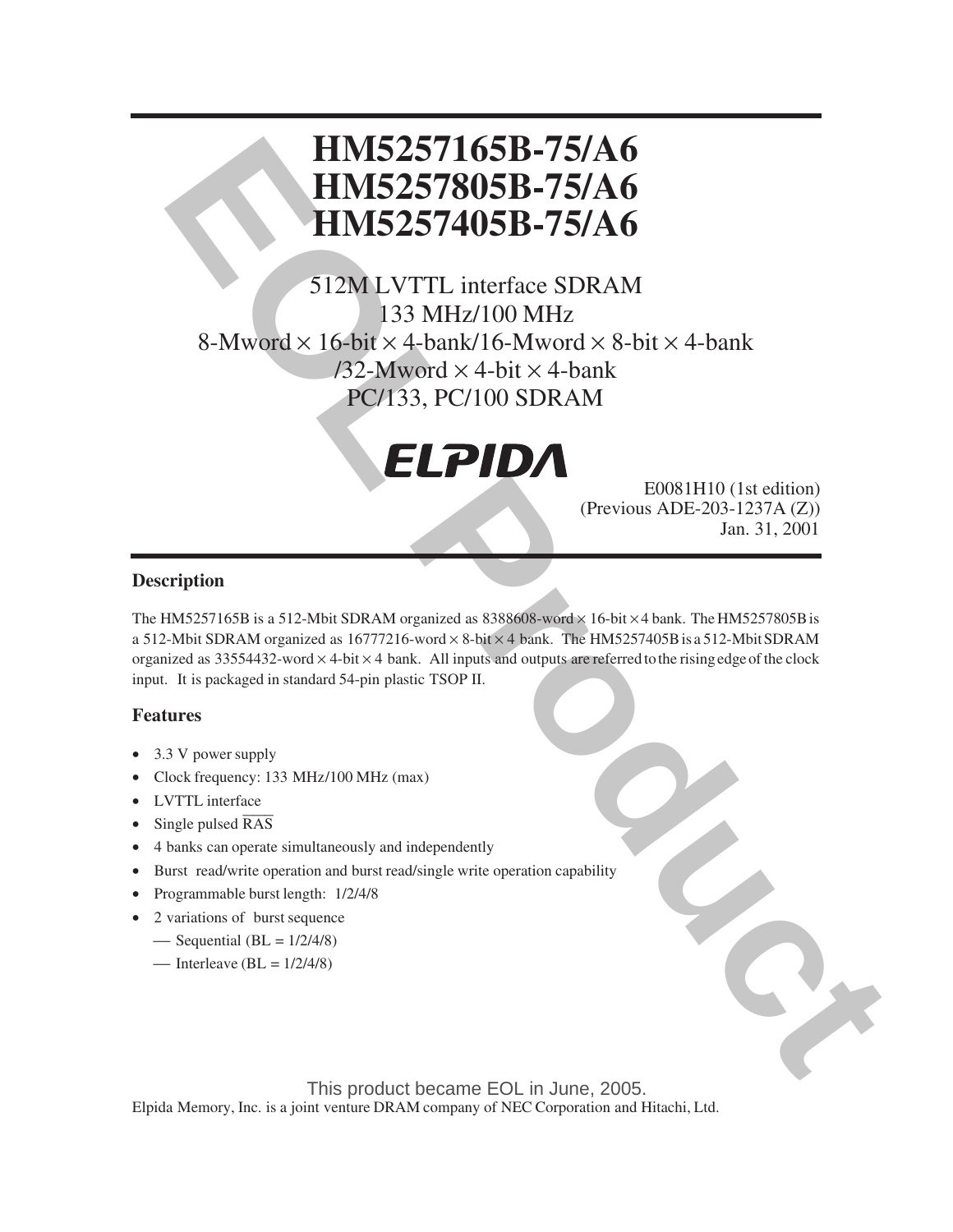# **HM5257165B-75/A6 HM5257805B-75/A6 HM5257405B-75/A6**

**EOLARESTIGES-7165B-75/A6<br>
EOLAREST AUGEST 165B-75/A6<br>
EOLAREST AUGEST 175/A6<br>
FORM SEVERAL ISS MILL OF MANAGEMENT COMMENT<br>
SAMWORD X 4-bit X 4-bank<br>
SAMWORD X 4-bit X 4-bank<br>
PC/133, PC/100 SDRAM<br>
PC/133, PC/100 SDRAM<br>
FO** 512M LVTTL interface SDRAM 133 MHz/100 MHz 8-Mword  $\times$  16-bit  $\times$  4-bank/16-Mword  $\times$  8-bit  $\times$  4-bank  $/32$ -Mword  $\times$  4-bit  $\times$  4-bank PC/133, PC/100 SDRAM



E0081H10 (1st edition) (Previous ADE-203-1237A (Z)) Jan. 31, 2001

## **Description**

The HM5257165B is a 512-Mbit SDRAM organized as  $8388608$ -word  $\times$  16-bit  $\times$  4 bank. The HM5257805B is a 512-Mbit SDRAM organized as 16777216-word  $\times$  8-bit  $\times$  4 bank. The HM5257405B is a 512-Mbit SDRAM organized as  $33554432$ -word  $\times$  4-bit  $\times$  4 bank. All inputs and outputs are referred to the rising edge of the clock input. It is packaged in standard 54-pin plastic TSOP II.

### **Features**

- 3.3 V power supply
- Clock frequency: 133 MHz/100 MHz (max)
- LVTTL interface
- Single pulsed  $\overline{RAS}$
- 4 banks can operate simultaneously and independently
- Burst read/write operation and burst read/single write operation capability
- Programmable burst length: 1/2/4/8
- 2 variations of burst sequence
	- $\sim$  Sequential (BL = 1/2/4/8)
	- $\text{Interleave (BL = } 1/2/4/8)$

Elpida Memory, Inc. is a joint venture DRAM company of NEC Corporation and Hitachi, Ltd. This product became EOL in June, 2005.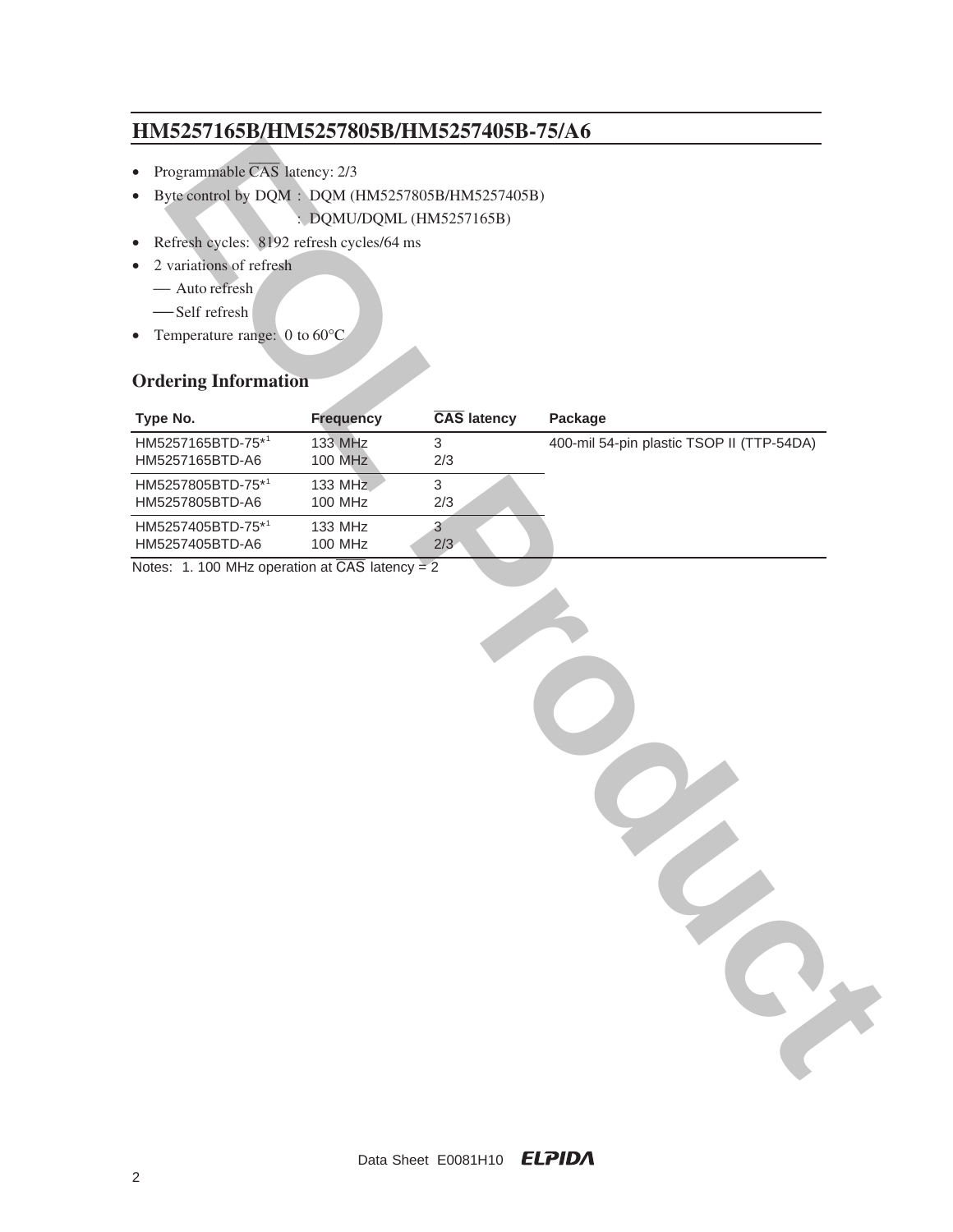- Programmable  $\overline{CAS}$  latency: 2/3
- Byte control by DQM : DQM (HM5257805B/HM5257405B)
	- : DQMU/DQML (HM5257165B)
- Refresh cycles: 8192 refresh cycles/64 ms
- 2 variations of refresh
	- Auto refresh
	- Self refresh
- Temperature range: 0 to 60°C

# **Ordering Information**

| HM5257165B/HM5257805B/HM5257405B-75/A6                                                         |                                  |                       |                                           |
|------------------------------------------------------------------------------------------------|----------------------------------|-----------------------|-------------------------------------------|
| Programmable CAS latency: 2/3<br>$\bullet$                                                     |                                  |                       |                                           |
| Byte control by DQM : DQM (HM5257805B/HM5257405B)<br>$\bullet$                                 |                                  |                       |                                           |
|                                                                                                | : DQMU/DQML (HM5257165B)         |                       |                                           |
| Refresh cycles: 8192 refresh cycles/64 ms<br>$\bullet$<br>2 variations of refresh<br>$\bullet$ |                                  |                       |                                           |
| - Auto refresh                                                                                 |                                  |                       |                                           |
| -Self refresh                                                                                  |                                  |                       |                                           |
| Temperature range: $0$ to $60^{\circ}$ C<br>$\bullet$                                          |                                  |                       |                                           |
| <b>Ordering Information</b>                                                                    |                                  |                       |                                           |
| Type No.                                                                                       | <b>Frequency</b>                 | CAS latency           | Package                                   |
| HM5257165BTD-75*1<br>HM5257165BTD-A6                                                           | <b>133 MHz</b><br><b>100 MHz</b> | $\mathbf{3}$<br>2/3   | 400-mil 54-pin plastic TSOP II (TTP-54DA) |
| HM5257805BTD-75*1<br>HM5257805BTD-A6                                                           | <b>133 MHz</b><br>100 MHz        | $\mathfrak{S}$<br>2/3 |                                           |
| HM5257405BTD-75*1<br>HM5257405BTD-A6                                                           | 133 MHz<br><b>100 MHz</b>        | $\mathbf{3}$<br>2/3   |                                           |
|                                                                                                |                                  |                       |                                           |
|                                                                                                |                                  |                       |                                           |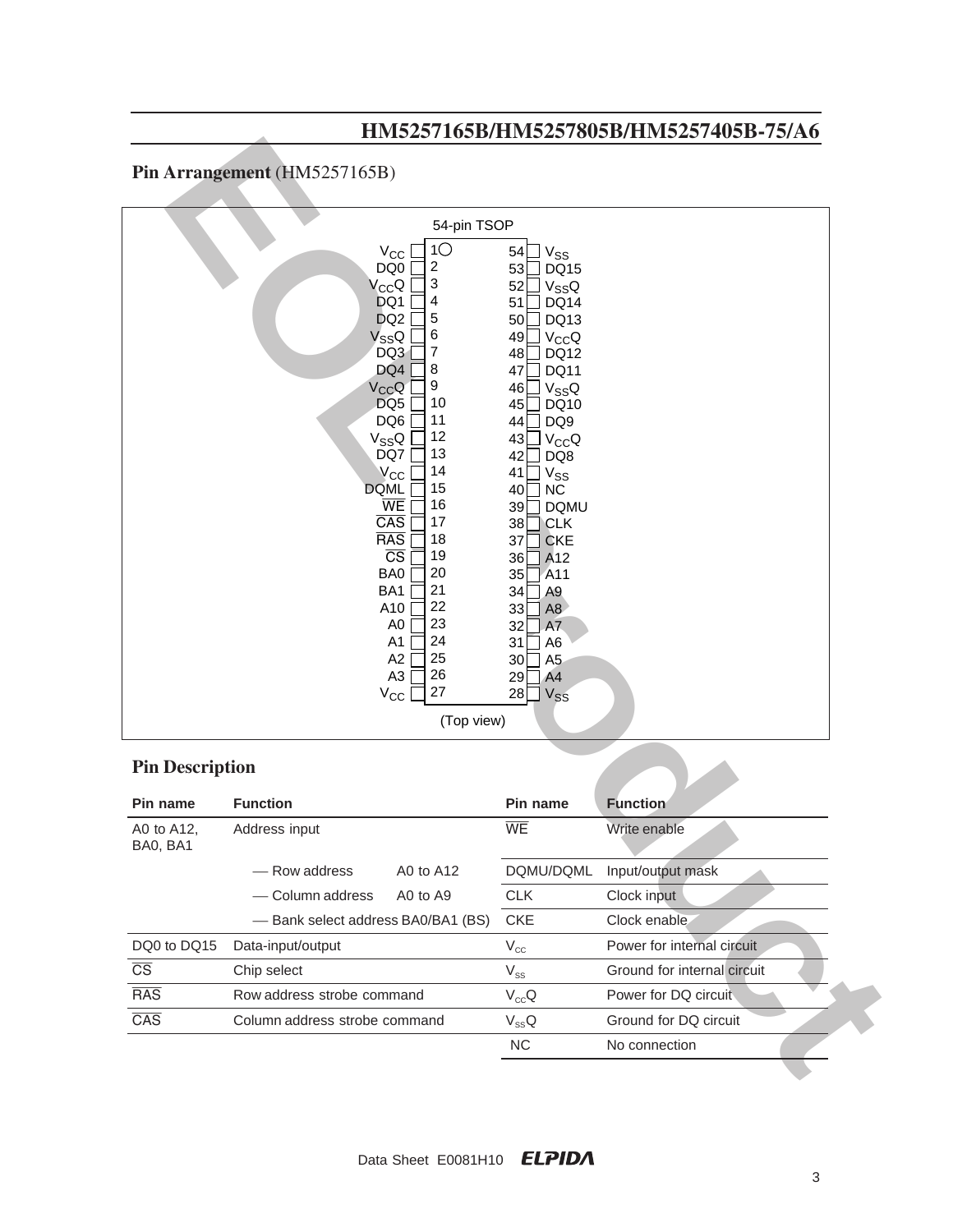# Pin Arrangement (HM5257165B)

|                         |                                                                                                                                                                                                                                                                                                                                                                                                                                                                                                                           |                                                                                                                                                                                                                                                                                                                                                                                                                                                                                                                                    | 111110201100D1111110201000D1111110201700D 101110 |
|-------------------------|---------------------------------------------------------------------------------------------------------------------------------------------------------------------------------------------------------------------------------------------------------------------------------------------------------------------------------------------------------------------------------------------------------------------------------------------------------------------------------------------------------------------------|------------------------------------------------------------------------------------------------------------------------------------------------------------------------------------------------------------------------------------------------------------------------------------------------------------------------------------------------------------------------------------------------------------------------------------------------------------------------------------------------------------------------------------|--------------------------------------------------|
|                         | Pin Arrangement (HM5257165B)                                                                                                                                                                                                                                                                                                                                                                                                                                                                                              |                                                                                                                                                                                                                                                                                                                                                                                                                                                                                                                                    |                                                  |
|                         | 54-pin TSOP                                                                                                                                                                                                                                                                                                                                                                                                                                                                                                               |                                                                                                                                                                                                                                                                                                                                                                                                                                                                                                                                    |                                                  |
|                         | 1 <sup>O</sup><br>$V_{CC}$<br>DQ0<br>2<br>3<br>$V_{CC}Q$<br>4<br>DQ1<br>5<br>DQ <sub>2</sub><br>6<br>$V_{SS}Q$<br>7<br>DQ3<br>DQ4<br>8<br>9<br>$V_{CC}Q$<br>DQ <sub>5</sub><br>10<br>11<br>DQ6<br>12<br>$V_{SS}Q$<br>DQ7<br>13<br>14<br>$V_{CC}$<br>15<br><b>DQML</b><br><b>WE</b><br>16<br>$\overline{CAS}$<br>17<br><b>RAS</b><br>18<br>$\overline{\text{CS}}$<br>19<br>BA0<br>20<br>21<br>BA1<br>22<br>A10<br>23<br>A <sub>0</sub><br>24<br>A1<br>25<br>A2<br>26<br>A <sub>3</sub><br>27<br>$V_{\rm CC}$<br>(Top view) | 54<br>$V_{SS}$<br>53<br><b>DQ15</b><br>52<br>$V_{SS}Q$<br>51<br><b>DQ14</b><br>DQ13<br>50<br>49<br>$V_{CC}Q$<br>48<br>DQ12<br>47<br><b>DQ11</b><br>46<br>$V_{SS}Q$<br>45<br>DQ10<br>DQ <sub>9</sub><br>44<br>43<br>$V_{CC}Q$<br>42<br>DQ8<br>41<br>V <sub>SS</sub><br>40<br><b>NC</b><br>39<br><b>DQMU</b><br><b>CLK</b><br>38<br>37<br><b>CKE</b><br>36<br>A12<br>35<br>A11<br>A <sub>9</sub><br>34<br>33<br>A <sub>8</sub><br>32<br>A7<br>31<br>A <sub>6</sub><br>30<br>A <sub>5</sub><br>A <sub>4</sub><br>29<br>28<br>$V_{SS}$ |                                                  |
|                         |                                                                                                                                                                                                                                                                                                                                                                                                                                                                                                                           |                                                                                                                                                                                                                                                                                                                                                                                                                                                                                                                                    |                                                  |
| <b>Pin Description</b>  |                                                                                                                                                                                                                                                                                                                                                                                                                                                                                                                           |                                                                                                                                                                                                                                                                                                                                                                                                                                                                                                                                    |                                                  |
| Pin name                | <b>Function</b>                                                                                                                                                                                                                                                                                                                                                                                                                                                                                                           | Pin name                                                                                                                                                                                                                                                                                                                                                                                                                                                                                                                           | <b>Function</b>                                  |
| A0 to A12,<br>BA0, BA1  | Address input                                                                                                                                                                                                                                                                                                                                                                                                                                                                                                             | WE                                                                                                                                                                                                                                                                                                                                                                                                                                                                                                                                 | Write enable                                     |
|                         | - Row address<br>A0 to A12                                                                                                                                                                                                                                                                                                                                                                                                                                                                                                | DQMU/DQML                                                                                                                                                                                                                                                                                                                                                                                                                                                                                                                          | Input/output mask                                |
|                         | - Column address<br>A0 to A9                                                                                                                                                                                                                                                                                                                                                                                                                                                                                              | <b>CLK</b>                                                                                                                                                                                                                                                                                                                                                                                                                                                                                                                         | Clock input                                      |
|                         |                                                                                                                                                                                                                                                                                                                                                                                                                                                                                                                           |                                                                                                                                                                                                                                                                                                                                                                                                                                                                                                                                    |                                                  |
|                         | - Bank select address BA0/BA1 (BS)                                                                                                                                                                                                                                                                                                                                                                                                                                                                                        | <b>CKE</b>                                                                                                                                                                                                                                                                                                                                                                                                                                                                                                                         | Clock enable                                     |
| DQ0 to DQ15             | Data-input/output                                                                                                                                                                                                                                                                                                                                                                                                                                                                                                         | $\rm V_{cc}$                                                                                                                                                                                                                                                                                                                                                                                                                                                                                                                       | Power for internal circuit                       |
| $\overline{\text{CS}}$  | Chip select                                                                                                                                                                                                                                                                                                                                                                                                                                                                                                               | $\rm V_{\rm SS}$                                                                                                                                                                                                                                                                                                                                                                                                                                                                                                                   | Ground for internal circuit                      |
| <b>RAS</b>              | Row address strobe command                                                                                                                                                                                                                                                                                                                                                                                                                                                                                                | $V_{cc}Q$                                                                                                                                                                                                                                                                                                                                                                                                                                                                                                                          | Power for DQ circuit                             |
| $\overline{\text{CAS}}$ | Column address strobe command                                                                                                                                                                                                                                                                                                                                                                                                                                                                                             | $V_{SS}Q$                                                                                                                                                                                                                                                                                                                                                                                                                                                                                                                          | Ground for DQ circuit                            |

# **Pin Description**

| Pin name               | <b>Function</b>                    |           | Pin name   | <b>Function</b>             |
|------------------------|------------------------------------|-----------|------------|-----------------------------|
| A0 to A12,<br>BA0, BA1 | Address input                      |           | <b>WE</b>  | Write enable                |
|                        | - Row address                      | A0 to A12 | DQMU/DQML  | Input/output mask           |
|                        | - Column address                   | A0 to A9  | <b>CLK</b> | Clock input                 |
|                        | - Bank select address BA0/BA1 (BS) |           | <b>CKE</b> | Clock enable.               |
| DQ0 to DQ15            | Data-input/output                  |           | $V_{cc}$   | Power for internal circuit  |
| $\overline{\text{CS}}$ | Chip select                        |           | $V_{ss}$   | Ground for internal circuit |
| <b>RAS</b>             | Row address strobe command         |           | $V_{cc}Q$  | Power for DQ circuit        |
| $\overline{CAS}$       | Column address strobe command      |           | $V_{SS}Q$  | Ground for DQ circuit       |
|                        |                                    |           | NC.        | No connection               |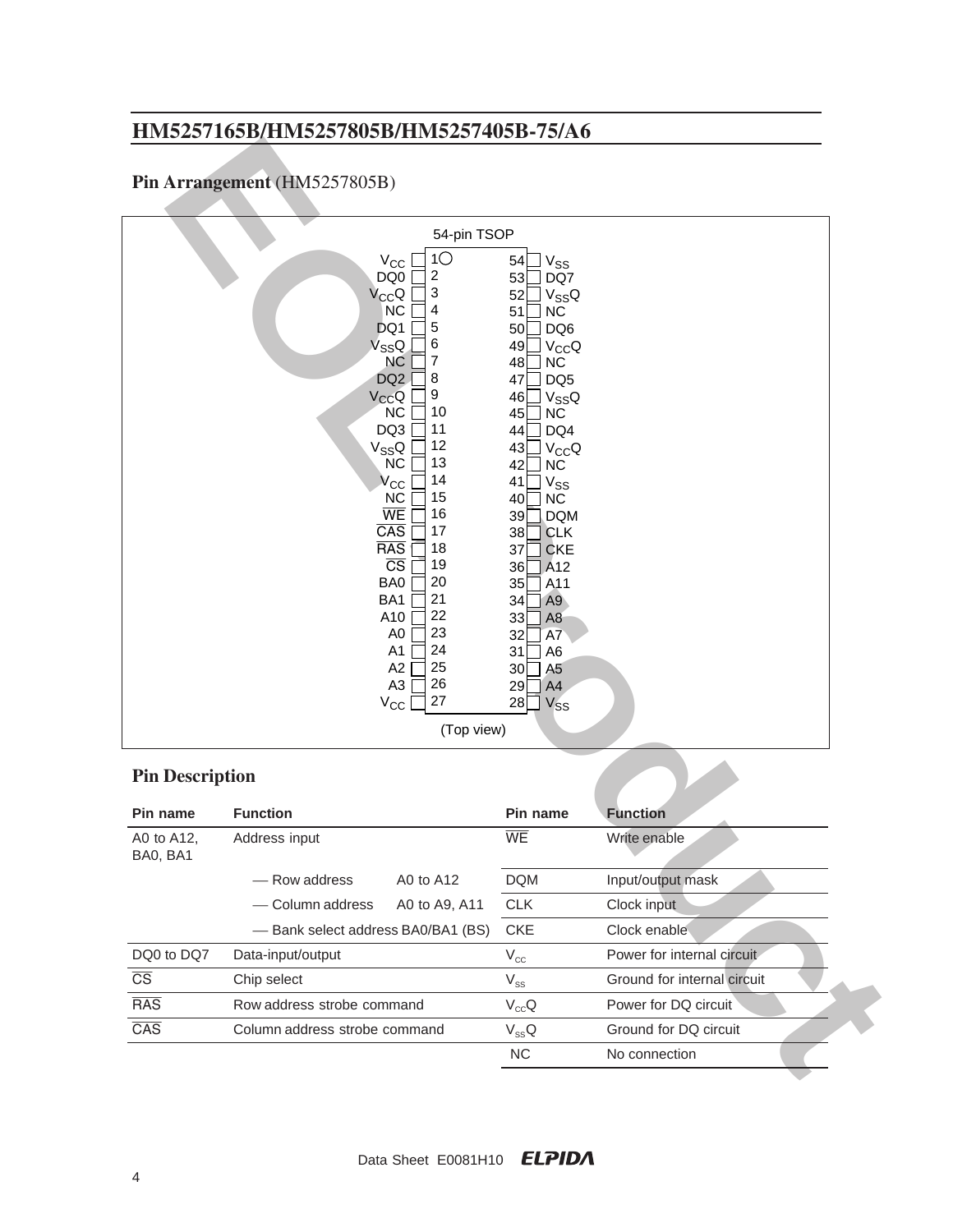# **Pin Arrangement** (HM5257805B)

|                                      | HM5257165B/HM5257805B/HM5257405B-75/A6                                                                                                                                                                                                                                                                                                                                                                                                                                                                                                                         |                                                                                                                                                                                                                                                                                                                                                                                                                                                                                                                                                  |                             |
|--------------------------------------|----------------------------------------------------------------------------------------------------------------------------------------------------------------------------------------------------------------------------------------------------------------------------------------------------------------------------------------------------------------------------------------------------------------------------------------------------------------------------------------------------------------------------------------------------------------|--------------------------------------------------------------------------------------------------------------------------------------------------------------------------------------------------------------------------------------------------------------------------------------------------------------------------------------------------------------------------------------------------------------------------------------------------------------------------------------------------------------------------------------------------|-----------------------------|
|                                      | Pin Arrangement (HM5257805B)                                                                                                                                                                                                                                                                                                                                                                                                                                                                                                                                   |                                                                                                                                                                                                                                                                                                                                                                                                                                                                                                                                                  |                             |
|                                      | 54-pin TSOP                                                                                                                                                                                                                                                                                                                                                                                                                                                                                                                                                    |                                                                                                                                                                                                                                                                                                                                                                                                                                                                                                                                                  |                             |
| <b>Pin Description</b>               | 1 <sup>o</sup><br>$V_{CC}$<br>$\overline{\mathbf{c}}$<br>DQ0<br>3<br>$V_{CC}Q$<br>4<br><b>NC</b><br>5<br>DQ1<br>6<br>$V_{SS}Q$<br>$\overline{7}$<br><b>NC</b><br>8<br>DQ <sub>2</sub><br>9<br>$V_{CC}Q$<br><b>NC</b><br>10<br>11<br>DQ3<br>12<br>$V_{SS}Q$<br>13<br><b>NC</b><br>14<br>$V_{\rm CC}$<br>15<br><b>NC</b><br>WE<br>16<br>CAS<br>17<br><b>RAS</b><br>18<br>$\overline{\text{CS}}$<br>19<br>BA0<br>20<br>21<br>BA1<br>22<br>A10<br>23<br>A <sub>0</sub><br>24<br>A <sub>1</sub><br>25<br>A2<br>26<br>A <sub>3</sub><br>27<br>$V_{CC}$<br>(Top view) | 54<br>$V_{SS}$<br>53<br>DQ7<br>52<br>$V_{SS}Q$<br>51<br><b>NC</b><br>50<br>DQ6<br>49<br>$V_{CC}Q$<br>48<br><b>NC</b><br>DQ <sub>5</sub><br>47<br>46<br>$V_{SS}Q$<br>45<br><b>NC</b><br>DQ4<br>44<br>43<br>$V_{CC}Q$<br>42<br><b>NC</b><br>41<br><b>V<sub>SS</sub></b><br>40<br><b>NC</b><br>39<br><b>DQM</b><br>38<br><b>CLK</b><br>37<br><b>CKE</b><br>A <sub>12</sub><br>36<br>35<br>A <sub>11</sub><br>34<br>A <sub>9</sub><br>33<br>A <sub>8</sub><br>32<br>A7<br>31<br>A <sub>6</sub><br>30<br>A <sub>5</sub><br>29<br>A4<br>28<br>$V_{SS}$ |                             |
| Pin name                             | <b>Function</b>                                                                                                                                                                                                                                                                                                                                                                                                                                                                                                                                                | Pin name                                                                                                                                                                                                                                                                                                                                                                                                                                                                                                                                         | <b>Function</b>             |
| A0 to A12,<br>BA0, BA1               | Address input                                                                                                                                                                                                                                                                                                                                                                                                                                                                                                                                                  | WE                                                                                                                                                                                                                                                                                                                                                                                                                                                                                                                                               | Write enable                |
|                                      | - Row address<br>A0 to A12                                                                                                                                                                                                                                                                                                                                                                                                                                                                                                                                     | <b>DQM</b>                                                                                                                                                                                                                                                                                                                                                                                                                                                                                                                                       | Input/output mask           |
|                                      |                                                                                                                                                                                                                                                                                                                                                                                                                                                                                                                                                                |                                                                                                                                                                                                                                                                                                                                                                                                                                                                                                                                                  |                             |
|                                      | - Column address<br>A0 to A9, A11                                                                                                                                                                                                                                                                                                                                                                                                                                                                                                                              | CLK                                                                                                                                                                                                                                                                                                                                                                                                                                                                                                                                              | Clock input                 |
|                                      | - Bank select address BA0/BA1 (BS)                                                                                                                                                                                                                                                                                                                                                                                                                                                                                                                             | <b>CKE</b>                                                                                                                                                                                                                                                                                                                                                                                                                                                                                                                                       | Clock enable                |
|                                      | Data-input/output                                                                                                                                                                                                                                                                                                                                                                                                                                                                                                                                              |                                                                                                                                                                                                                                                                                                                                                                                                                                                                                                                                                  | Power for internal circuit  |
| DQ0 to DQ7<br>$\overline{\text{CS}}$ | Chip select                                                                                                                                                                                                                                                                                                                                                                                                                                                                                                                                                    | $\rm V_{cc}$                                                                                                                                                                                                                                                                                                                                                                                                                                                                                                                                     | Ground for internal circuit |
| <b>RAS</b>                           | Row address strobe command                                                                                                                                                                                                                                                                                                                                                                                                                                                                                                                                     | $\rm V_{\rm SS}$                                                                                                                                                                                                                                                                                                                                                                                                                                                                                                                                 | Power for DQ circuit        |
| $\overline{\text{CAS}}$              | Column address strobe command                                                                                                                                                                                                                                                                                                                                                                                                                                                                                                                                  | $V_{cc}Q$<br>$V_{ss}Q$                                                                                                                                                                                                                                                                                                                                                                                                                                                                                                                           | Ground for DQ circuit       |

## **Pin Description**

| Pin name               | <b>Function</b>                    |               | Pin name   | <b>Function</b>             |
|------------------------|------------------------------------|---------------|------------|-----------------------------|
| A0 to A12,<br>BA0, BA1 | Address input                      |               | <b>WE</b>  | Write enable                |
|                        | - Row address                      | A0 to A12     | <b>DQM</b> | Input/output mask           |
|                        | - Column address                   | A0 to A9, A11 | <b>CLK</b> | Clock input                 |
|                        | - Bank select address BA0/BA1 (BS) |               | <b>CKE</b> | Clock enable                |
| DQ0 to DQ7             | Data-input/output                  |               | $V_{cc}$   | Power for internal circuit  |
| $\overline{\text{CS}}$ | Chip select                        |               | $V_{ss}$   | Ground for internal circuit |
| <b>RAS</b>             | Row address strobe command         |               | $V_{cc}Q$  | Power for DQ circuit        |
| $\overline{CAS}$       | Column address strobe command      |               | $V_{ss}Q$  | Ground for DQ circuit       |
|                        |                                    |               | <b>NC</b>  | No connection               |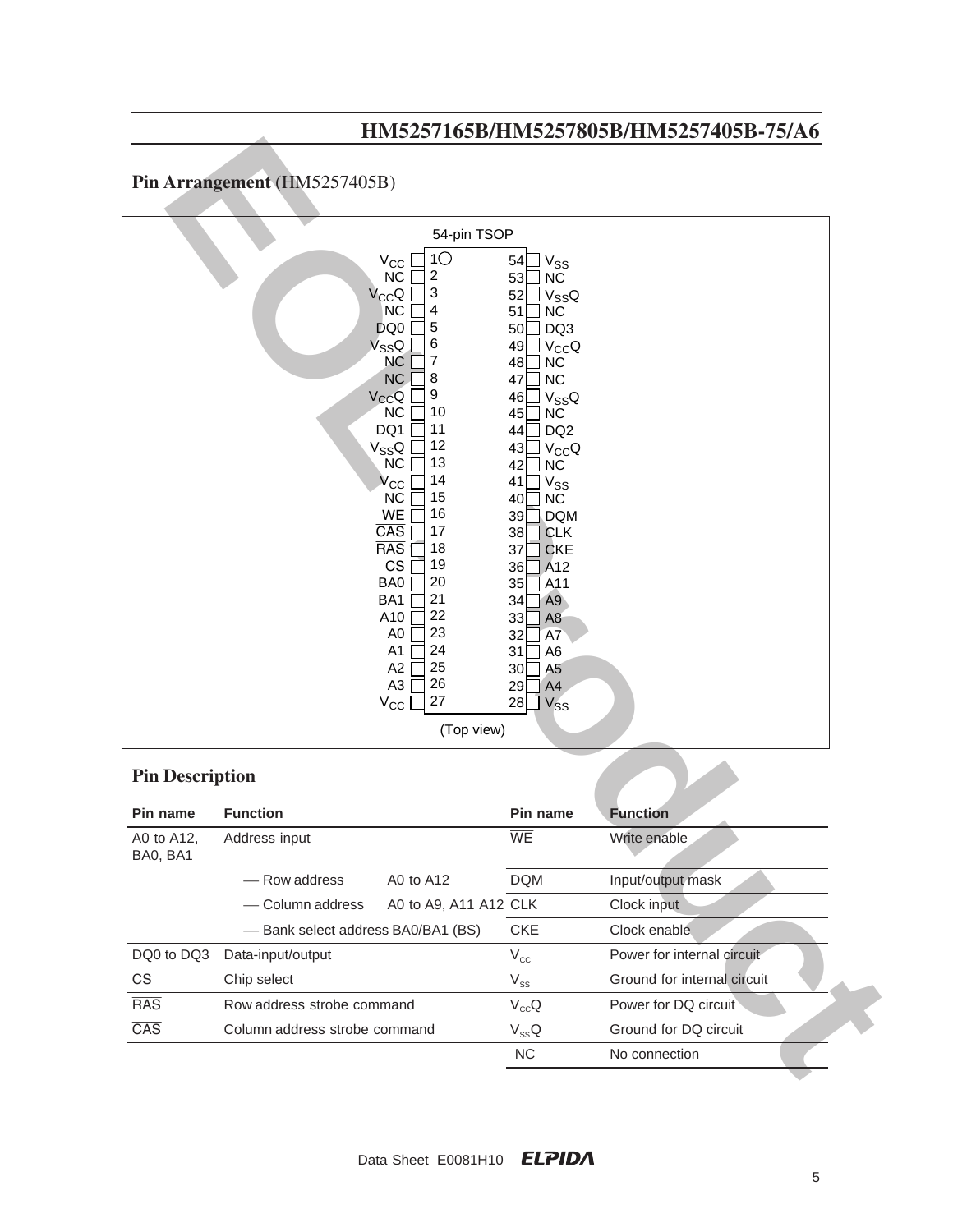# **Pin Arrangement** (HM5257405B)

|                        |                                                                                                                                                                                                                                                                                                                                                                                                                                                                                                                                                         |                                                                                                                                                                                                                                                                                                                                                                                                                                                                                                                                                   | 111110201100D11111110201000D1111110201700D 101110 |
|------------------------|---------------------------------------------------------------------------------------------------------------------------------------------------------------------------------------------------------------------------------------------------------------------------------------------------------------------------------------------------------------------------------------------------------------------------------------------------------------------------------------------------------------------------------------------------------|---------------------------------------------------------------------------------------------------------------------------------------------------------------------------------------------------------------------------------------------------------------------------------------------------------------------------------------------------------------------------------------------------------------------------------------------------------------------------------------------------------------------------------------------------|---------------------------------------------------|
|                        | Pin Arrangement (HM5257405B)                                                                                                                                                                                                                                                                                                                                                                                                                                                                                                                            |                                                                                                                                                                                                                                                                                                                                                                                                                                                                                                                                                   |                                                   |
|                        | 54-pin TSOP                                                                                                                                                                                                                                                                                                                                                                                                                                                                                                                                             |                                                                                                                                                                                                                                                                                                                                                                                                                                                                                                                                                   |                                                   |
|                        | 1 <sup>O</sup><br>$V_{\rm CC}$<br><b>NC</b><br>$\boldsymbol{2}$<br>3<br>$V_{CC}Q$<br>4<br><b>NC</b><br>5<br>DQ0<br>6<br>$V_{SS}Q$<br>7<br><b>NC</b><br>8<br><b>NC</b><br>9<br>$V_{CC}Q$<br><b>NC</b><br>10<br>11<br>DQ1<br>12<br>V <sub>SS</sub> Q<br>13<br>NC<br>14<br>$V_{\rm CC}$<br>15<br><b>NC</b><br>WE<br>16<br>$\overline{\text{CAS}}$<br>17<br><b>RAS</b><br>18<br>$\overline{\text{CS}}$<br>19<br>20<br>BA0<br>21<br>BA1<br>22<br>A10<br>23<br>A <sub>0</sub><br>24<br>A1<br>25<br>A2<br>26<br>A <sub>3</sub><br>27<br>$V_{CC}$<br>(Top view) | 54<br>V <sub>SS</sub><br>53<br><b>NC</b><br>52<br>$V_{SS}Q$<br>51<br><b>NC</b><br>DQ3<br>50<br>49<br>$V_{CC}Q$<br>48<br><b>NC</b><br><b>NC</b><br>47<br>46<br>$V_{SS}Q$<br>45<br><b>NC</b><br>DQ <sub>2</sub><br>44<br>43<br>$V_{CC}Q$<br>42<br><b>NC</b><br>V <sub>SS</sub><br>41<br>40<br><b>NC</b><br>39<br><b>DQM</b><br>38<br><b>CLK</b><br>37<br><b>CKE</b><br>36<br>A <sub>12</sub><br>A11<br>35<br>A <sub>9</sub><br>34<br>33<br>A <sub>8</sub><br>32<br>A7<br>31<br>A <sub>6</sub><br>A <sub>5</sub><br>30<br>A4<br>29<br>28<br>$V_{SS}$ |                                                   |
| <b>Pin Description</b> |                                                                                                                                                                                                                                                                                                                                                                                                                                                                                                                                                         |                                                                                                                                                                                                                                                                                                                                                                                                                                                                                                                                                   |                                                   |
| Pin name               | <b>Function</b>                                                                                                                                                                                                                                                                                                                                                                                                                                                                                                                                         | Pin name                                                                                                                                                                                                                                                                                                                                                                                                                                                                                                                                          | <b>Function</b>                                   |
| A0 to A12,             | Address input                                                                                                                                                                                                                                                                                                                                                                                                                                                                                                                                           | WE                                                                                                                                                                                                                                                                                                                                                                                                                                                                                                                                                |                                                   |
| BA0, BA1               |                                                                                                                                                                                                                                                                                                                                                                                                                                                                                                                                                         |                                                                                                                                                                                                                                                                                                                                                                                                                                                                                                                                                   | Write enable                                      |
|                        | - Row address<br>A0 to A12                                                                                                                                                                                                                                                                                                                                                                                                                                                                                                                              | <b>DQM</b>                                                                                                                                                                                                                                                                                                                                                                                                                                                                                                                                        | Input/output mask                                 |
|                        | A0 to A9, A11 A12 CLK<br>- Column address                                                                                                                                                                                                                                                                                                                                                                                                                                                                                                               |                                                                                                                                                                                                                                                                                                                                                                                                                                                                                                                                                   | Clock input                                       |
|                        | - Bank select address BA0/BA1 (BS)                                                                                                                                                                                                                                                                                                                                                                                                                                                                                                                      | <b>CKE</b>                                                                                                                                                                                                                                                                                                                                                                                                                                                                                                                                        | Clock enable                                      |
| DQ0 to DQ3             | Data-input/output                                                                                                                                                                                                                                                                                                                                                                                                                                                                                                                                       | $\rm V_{cc}$                                                                                                                                                                                                                                                                                                                                                                                                                                                                                                                                      | Power for internal circuit                        |
| $\overline{\text{CS}}$ | Chip select                                                                                                                                                                                                                                                                                                                                                                                                                                                                                                                                             |                                                                                                                                                                                                                                                                                                                                                                                                                                                                                                                                                   | Ground for internal circuit                       |
| <b>RAS</b>             | Row address strobe command                                                                                                                                                                                                                                                                                                                                                                                                                                                                                                                              | $\rm V_{ss}$                                                                                                                                                                                                                                                                                                                                                                                                                                                                                                                                      | Power for DQ circuit                              |
| CAS                    | Column address strobe command                                                                                                                                                                                                                                                                                                                                                                                                                                                                                                                           | $V_{cc}Q$<br>$V_{SS}Q$                                                                                                                                                                                                                                                                                                                                                                                                                                                                                                                            | Ground for DQ circuit                             |

## **Pin Description**

| Pin name                | <b>Function</b>                    |                       | Pin name   | <b>Function</b>             |
|-------------------------|------------------------------------|-----------------------|------------|-----------------------------|
| A0 to A12,<br>BA0, BA1  | Address input                      |                       | <b>WE</b>  | Write enable                |
|                         | - Row address                      | A0 to A12             | <b>DQM</b> | Input/output mask           |
|                         | - Column address                   | A0 to A9, A11 A12 CLK |            | Clock input                 |
|                         | - Bank select address BA0/BA1 (BS) |                       | <b>CKE</b> | Clock enable                |
| DQ0 to DQ3              | Data-input/output                  |                       | $V_{cc}$   | Power for internal circuit  |
| $\overline{\text{CS}}$  | Chip select                        |                       | $V_{SS}$   | Ground for internal circuit |
| $\overline{\text{RAS}}$ | Row address strobe command         |                       | $V_{cc}Q$  | Power for DQ circuit        |
| $\overline{CAS}$        | Column address strobe command      |                       | $V_{SS}Q$  | Ground for DQ circuit       |
|                         |                                    |                       | <b>NC</b>  | No connection               |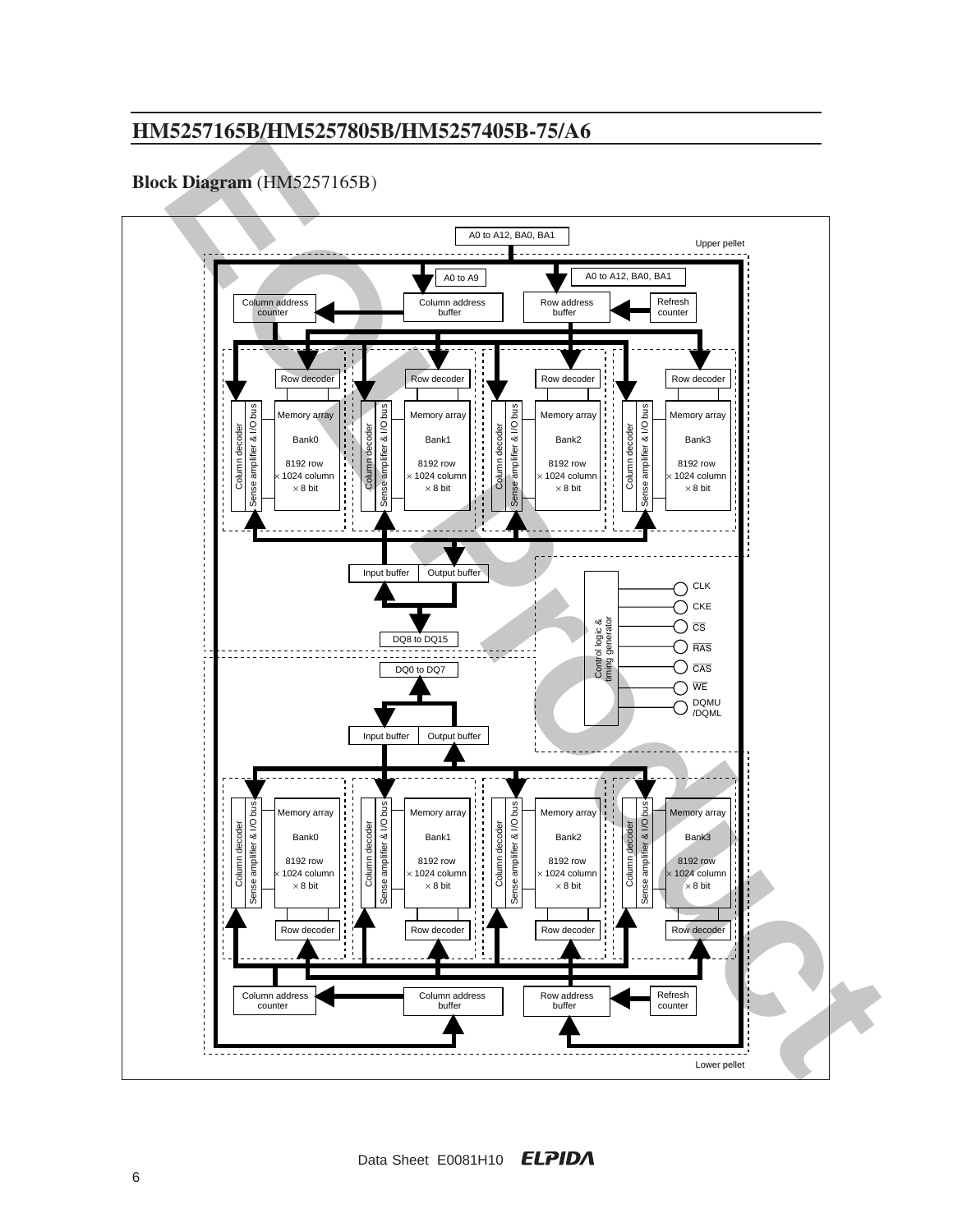## **Block Diagram** (HM5257165B)

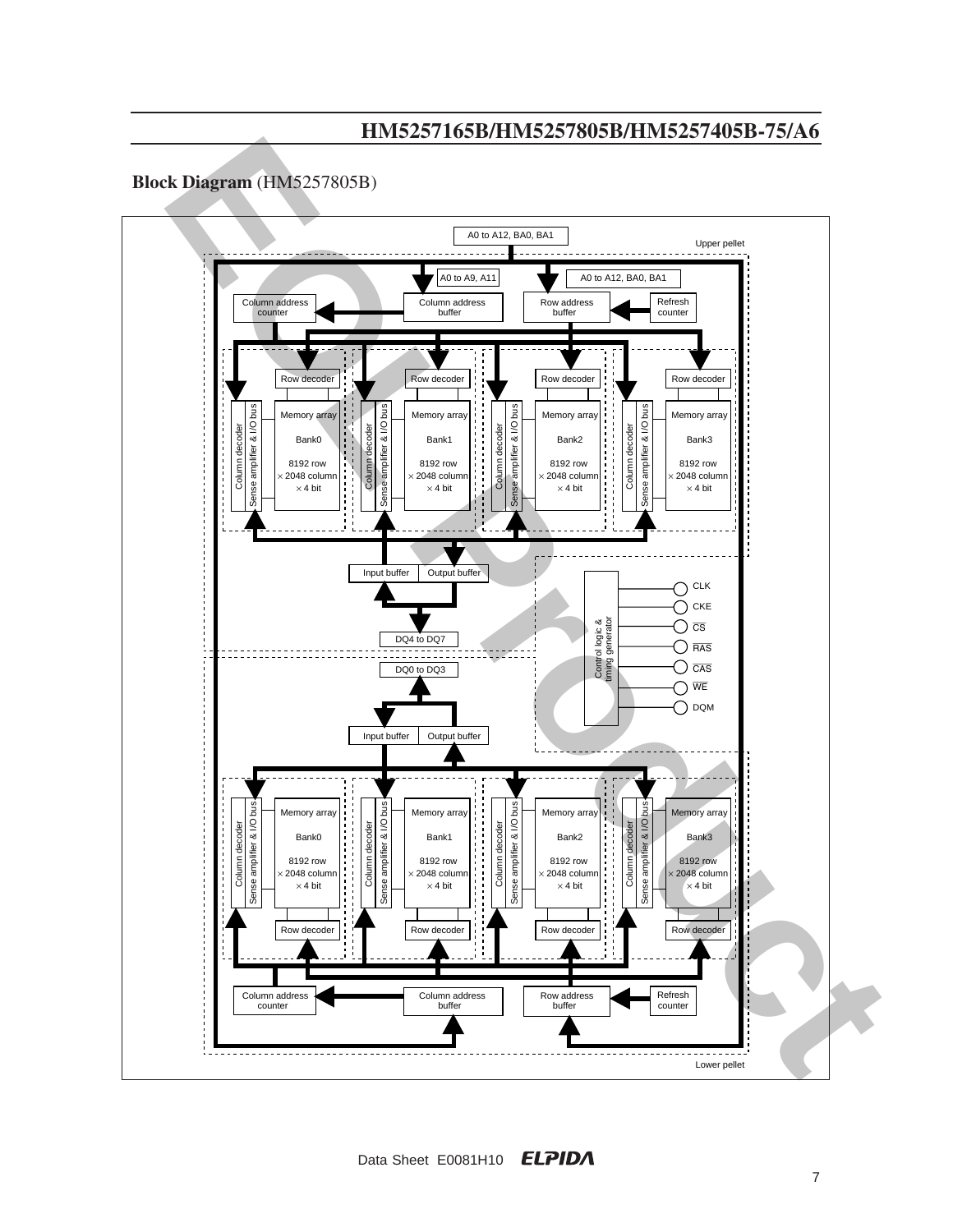### **Block Diagram** (HM5257805B)

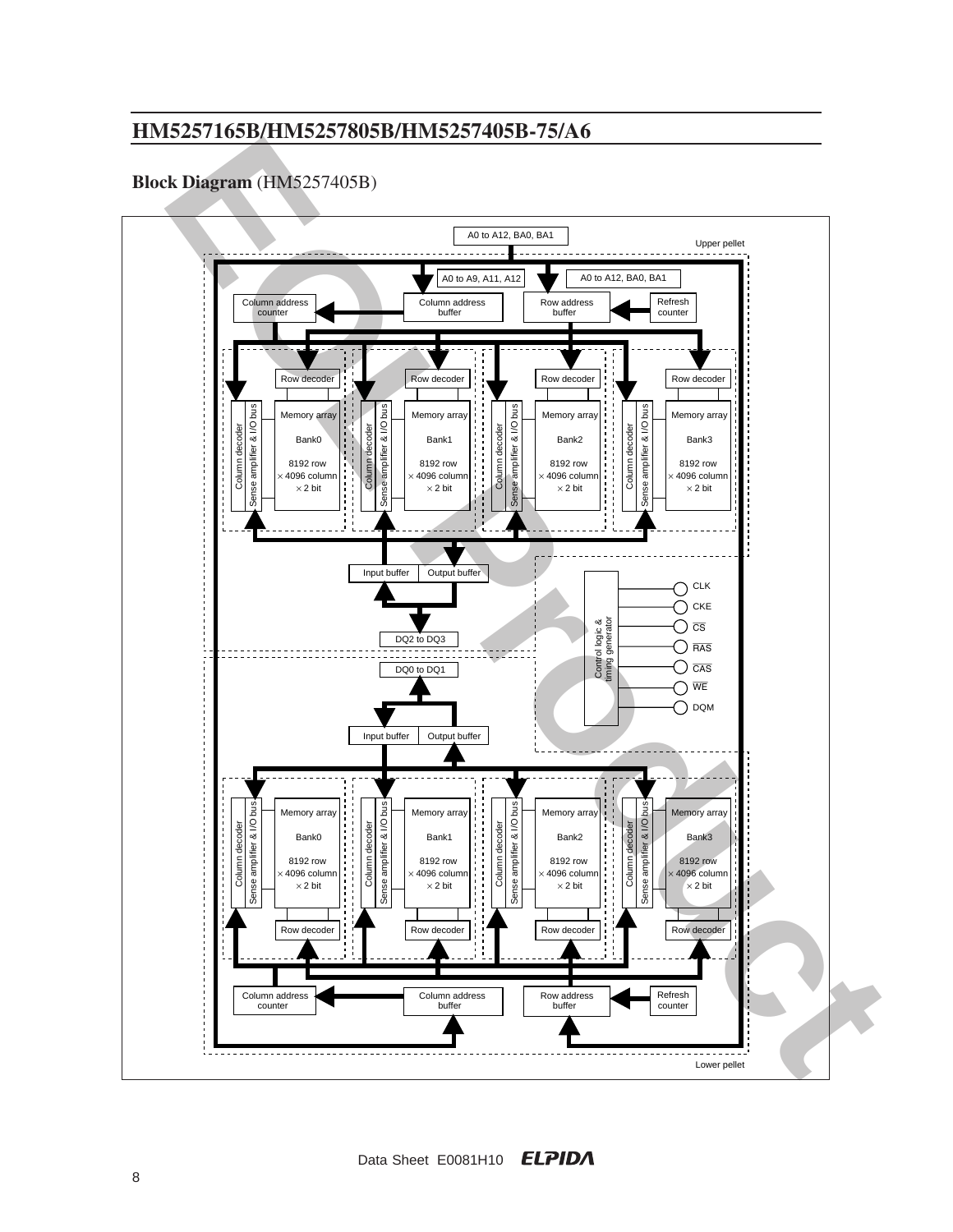## **Block Diagram** (HM5257405B)

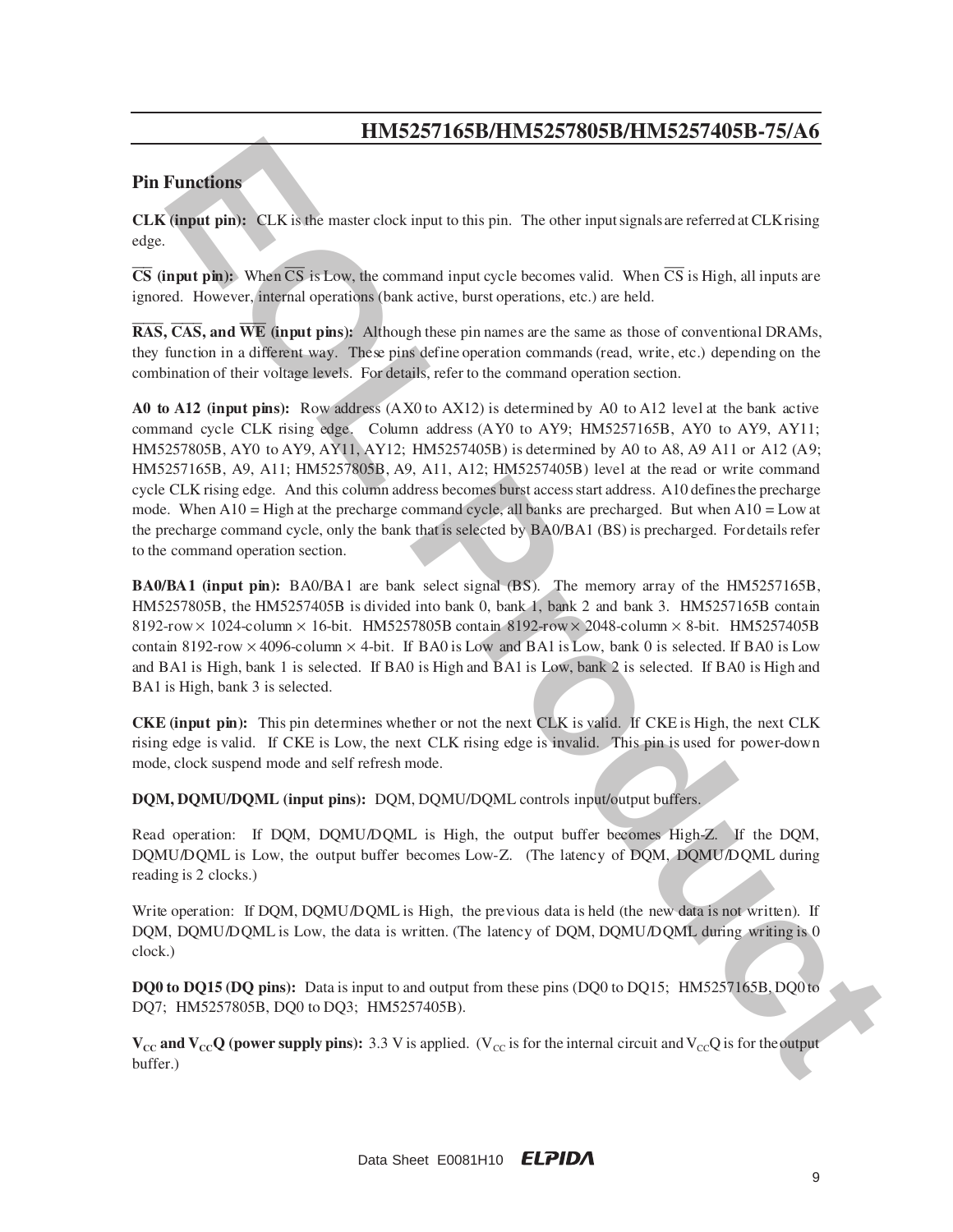### **Pin Functions**

**CLK (input pin):** CLK is the master clock input to this pin. The other input signals are referred at CLK rising edge.

 $\overline{CS}$  **(input pin):** When  $\overline{CS}$  is Low, the command input cycle becomes valid. When  $\overline{CS}$  is High, all inputs are ignored. However, internal operations (bank active, burst operations, etc.) are held.

 $\overline{\text{RAS}}$ ,  $\overline{\text{CAS}}$ , and  $\overline{\text{WE}}$  (input pins): Although these pin names are the same as those of conventional DRAMs, they function in a different way. These pins define operation commands (read, write, etc.) depending on the combination of their voltage levels. For details, refer to the command operation section.

**EXECUTE:**<br> **EXECUTE:**<br> **ENTRE ENETTY AND A CONSUMERATION** (THE OPERATION (THE STATE OF THE STATE OF THE STATE OF THE STATE OF THE STATE OF THE STATE OF THE STATE OF THE STATE OF THE STATE OF THE STATE OF THE STATE OF THE **A0 to A12 (input pins):** Row address  $(AX0 to AX12)$  is determined by A0 to A12 level at the bank active command cycle CLK rising edge. Column address (AY0 to AY9; HM5257165B, AY0 to AY9, AY11; HM 5257805B, AY0 to AY9, AY11, AY12; HM 5257405B) is determined by A0 to A8, A9 A11 or A12 (A9; HM 5257165B, A9, A11; HM 5257805B, A9, A11, A12; HM 5257405B) level at the read or write command cycle CLK rising edge. And this column address becomes burst access start address. A10 defines the precharge mode. When A10 = High at the precharge command cycle, all banks are precharged. But when A10 = Low at the precharge command cycle, only the bank that is selected by BA0/BA1 (BS) is precharged. For details refer to the command operation section.

**BA0/BA1 (input pin):** BA0/BA1 are bank select signal (BS). The memory array of the HM5257165B, HM 5257805B, the HM 5257405B is divided into bank 0, bank 1, bank 2 and bank 3. HM 5257165B contain  $8192$ -row  $\times$  1024-column  $\times$  16-bit. HM5257805B contain 8192-row  $\times$  2048-column  $\times$  8-bit. HM5257405B contain 8192-row  $\times$  4096-column  $\times$  4-bit. If BA0 is Low and BA1 is Low, bank 0 is selected. If BA0 is Low and BA1 is High, bank 1 is selected. If BA0 is High and BA1 is Low, bank 2 is selected. If BA0 is High and BA1 is High, bank 3 is selected.

**CKE (input pin):** This pin determines whe the r or not the next CLK is valid. If CKE is High, the next CLK rising edge is valid. If CKE is Low, the next CLK rising edge is invalid. This pin is used for power-down mode, clock suspend mode and self refresh mode.

**DQM, DQMU/DQML (input pins):** DQM, DQMU/DQML controls input/output buffers.

Read operation: If DQM, DQMU/DQML is High, the output buffer becomes High-Z. If the DQM, DQMU/DQML is Low, the output buffer becomes Low-Z. (The latency of DQM, DQMU/DQML during reading is 2 clocks.)

Write operation: If DOM, DOMU/DOML is High, the previous data is held (the new data is not written). If DQM, DQMU/DQML is Low, the data is written. (The latency of DQM, DQMU/DQML during writing is 0 clock.)

**DQ0 to DQ15 (DQ pins):** Data is input to and output from these pins (DQ0 to DQ15; HM5257165B, DQ0 to DQ7; HM5257805B, DQ0 to DQ3; HM5257405B).

 $V_{\text{cc}}$  and  $V_{\text{cc}}$  (power supply pins): 3.3 V is applied. (V<sub>cC</sub> is for the internal circuit and V<sub>cC</sub>Q is for the output buffer.)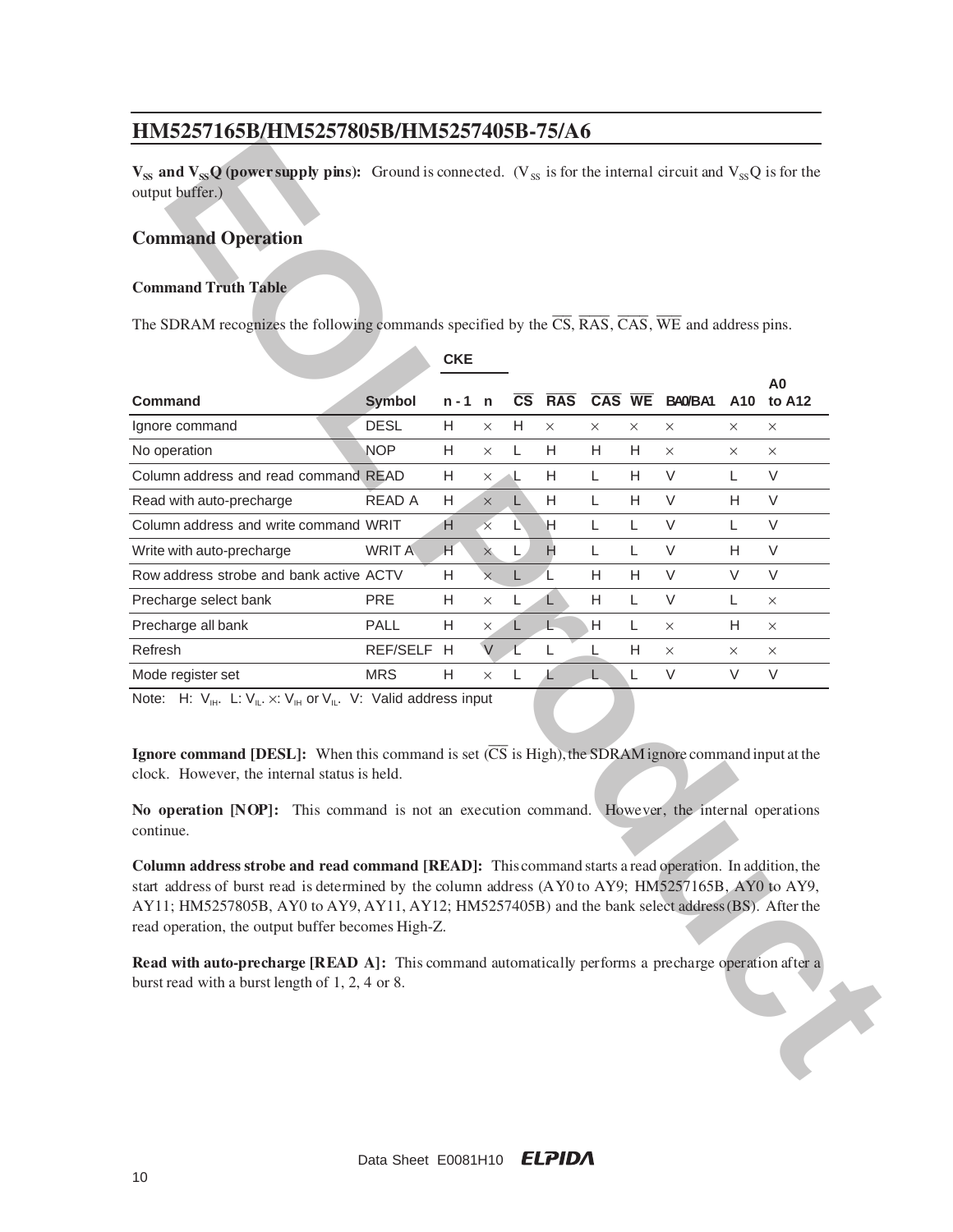### **Command Operation**

#### **Command Truth Table**

| $V_{SS}$ and $V_{SS}Q$ (power supply pins): Ground is connected. (V <sub>SS</sub> is for the internal circuit and V <sub>SS</sub> Q is for the<br>output buffer.)                                                                                                                                                                                                       |               |            |          |    |                            |          |          |               |          |                |
|-------------------------------------------------------------------------------------------------------------------------------------------------------------------------------------------------------------------------------------------------------------------------------------------------------------------------------------------------------------------------|---------------|------------|----------|----|----------------------------|----------|----------|---------------|----------|----------------|
| <b>Command Operation</b>                                                                                                                                                                                                                                                                                                                                                |               |            |          |    |                            |          |          |               |          |                |
|                                                                                                                                                                                                                                                                                                                                                                         |               |            |          |    |                            |          |          |               |          |                |
| <b>Command Truth Table</b>                                                                                                                                                                                                                                                                                                                                              |               |            |          |    |                            |          |          |               |          |                |
| The SDRAM recognizes the following commands specified by the $\overline{CS}$ , $\overline{RAS}$ , $\overline{CAS}$ , $\overline{WE}$ and address pins.                                                                                                                                                                                                                  |               |            |          |    |                            |          |          |               |          |                |
|                                                                                                                                                                                                                                                                                                                                                                         |               |            |          |    |                            |          |          |               |          |                |
|                                                                                                                                                                                                                                                                                                                                                                         |               | <b>CKE</b> |          |    |                            |          |          |               |          | A <sub>0</sub> |
| <b>Command</b>                                                                                                                                                                                                                                                                                                                                                          | <b>Symbol</b> | $n - 1$ n  |          |    | $\overline{\text{CS}}$ RAS |          |          | CAS WE BANBA1 |          | A10 to A12     |
| Ignore command                                                                                                                                                                                                                                                                                                                                                          | <b>DESL</b>   | H.         | $\times$ | H  | $\times$                   | $\times$ | $\times$ | $\times$      | $\times$ | $\times$       |
| No operation                                                                                                                                                                                                                                                                                                                                                            | <b>NOP</b>    | Н          | $\times$ | L  | Н.                         | H.       | H        | $\times$      | ×        | ×              |
| Column address and read command READ                                                                                                                                                                                                                                                                                                                                    |               | Н          | ×        |    | H                          | L        | H        | V             | Г        | V              |
| Read with auto-precharge                                                                                                                                                                                                                                                                                                                                                | READ A        | Н          | $\times$ | L. | H                          | L        | н        | V             | н        | V              |
| Column address and write command WRIT                                                                                                                                                                                                                                                                                                                                   |               | н          | $\times$ | L  | н                          | L        | L        | V             | L        | V              |
| Write with auto-precharge                                                                                                                                                                                                                                                                                                                                               | <b>WRIT A</b> | H          | $\times$ | L  | H                          | L        | L        | V             | н        | V              |
| Row address strobe and bank active ACTV                                                                                                                                                                                                                                                                                                                                 |               | Н          | $\times$ | L  |                            | H        | н        | V             | V        | V              |
| Precharge select bank                                                                                                                                                                                                                                                                                                                                                   | PRE           | Н          | X        | L  | L                          | H        | L        | V             | L        | X              |
| Precharge all bank                                                                                                                                                                                                                                                                                                                                                      | PALL          | H          | ×        | L. | Ł                          | H        | L        | $\times$      | н        | $\times$       |
| Refresh                                                                                                                                                                                                                                                                                                                                                                 | REF/SELF      | H          | $\vee$   | L  | L                          | L        | H        | $\times$      | $\times$ | $\times$       |
| Mode register set                                                                                                                                                                                                                                                                                                                                                       | <b>MRS</b>    | Н          | $\times$ | L  | Ł                          |          | L        | V             | V        | V              |
| <b>Ignore command [DESL]:</b> When this command is set $(\overline{CS}$ is High), the SDRAM ignore command input at the<br>clock. However, the internal status is held.                                                                                                                                                                                                 |               |            |          |    |                            |          |          |               |          |                |
| No operation [NOP]: This command is not an execution command. However, the internal operations<br>continue.                                                                                                                                                                                                                                                             |               |            |          |    |                            |          |          |               |          |                |
| Column address strobe and read command [READ]: This command starts a read operation. In addition, the<br>start address of burst read is determined by the column address (AY0 to AY9; HM5257165B, AY0 to AY9,<br>AY11; HM5257805B, AY0 to AY9, AY11, AY12; HM5257405B) and the bank select address (BS). After the<br>read operation, the output buffer becomes High-Z. |               |            |          |    |                            |          |          |               |          |                |
| <b>Read with auto-precharge [READ A]:</b> This command automatically performs a precharge operation after a<br>burst read with a burst length of 1, 2, 4 or 8.                                                                                                                                                                                                          |               |            |          |    |                            |          |          |               |          |                |
|                                                                                                                                                                                                                                                                                                                                                                         |               |            |          |    |                            |          |          |               |          |                |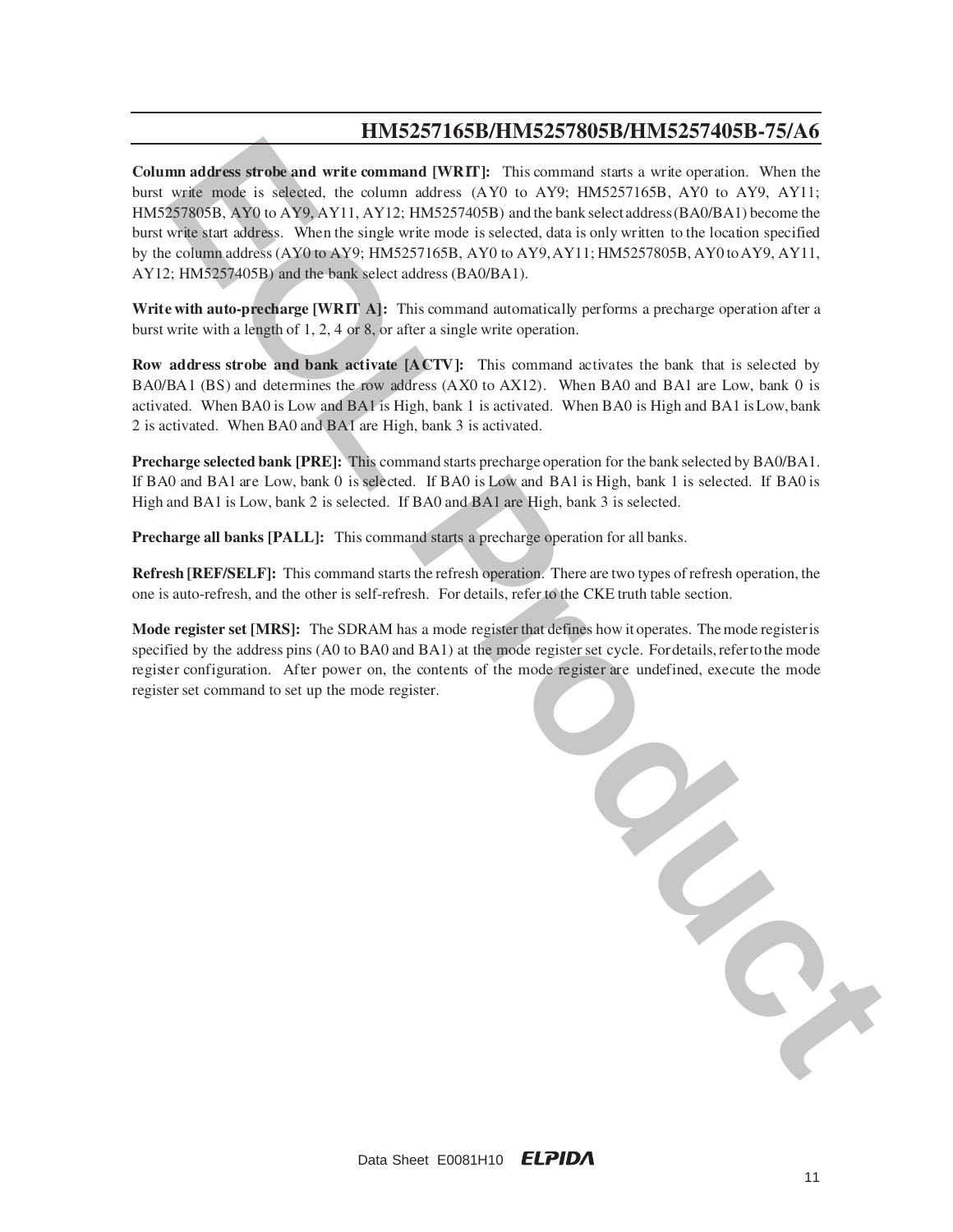**Column address strobe and write command [WRIT]:** This command starts a write operation. When the burst write mode is selected, the column address (AY0 to AY9; HM5257165B, AY0 to AY9, AY11; HM5257805B, AY0 to AY9, AY11, AY12; HM5257405B) and the bank select address (BA0/BA1) become the burst write start address. When the single write mode is selected, data is only written to the location specified by the column address (AY0 to AY9; HM5257165B, AY0 to AY9, AY11; HM5257805B, AY0 to AY9, AY11, AY12; HM5257405B) and the bank select address (BA0/BA1).

**Write with auto-precharge [WRIT A]:** This command automatically performs a precharge operation after a burst write with a length of 1, 2, 4 or 8, or after a single write operation.

**Row address strobe and bank activate [ACTV]:** This command activates the bank that is selected by B A0/BA1 (BS) and determines the row address (AX0 to AX12). When BA0 and BA1 are Low, bank 0 is activated. When BA0 is Low and BA1 is High, bank 1 is activated. When BA0 is High and BA1 is Low, bank 2 is activated. When BA0 and BA1 are High, bank 3 is activated.

**Precharge selected bank [PRE]:** This command starts precharge operation for the bank selected by BA0/BA1. If BA0 and BA1 are Low, bank 0 is selected. If BA0 is Low and BA1 is High, bank 1 is selected. If BA0 is High and BA1 is Low, bank 2 is selected. If BA0 and BA1 are High, bank 3 is selected.

**Precharge all banks [PALL]:** This command starts a precharge operation for all banks.

**Refresh [REF/SELF]:** This command starts the refresh operation. There are two types of refresh operation, the one is auto-refresh, and the other is self-refresh. For details, refer to the CKE truth table section.

**Mode register set [MRS]:** The SDRAM has a mode register that defines how it operates. The mode register is specified by the address pins (A0 to BA0 and BA1) at the mode register set cycle. For details, refer to the mode register configuration. After power on, the contents of the mode register are undefined, execute the mode register set command to set up the mode register.

**EVALUATION CONTRACTS** This community were selected. The contracts of the contracts of the system of the system of the system of the system of the system of the system of the system of the system of the system of the syste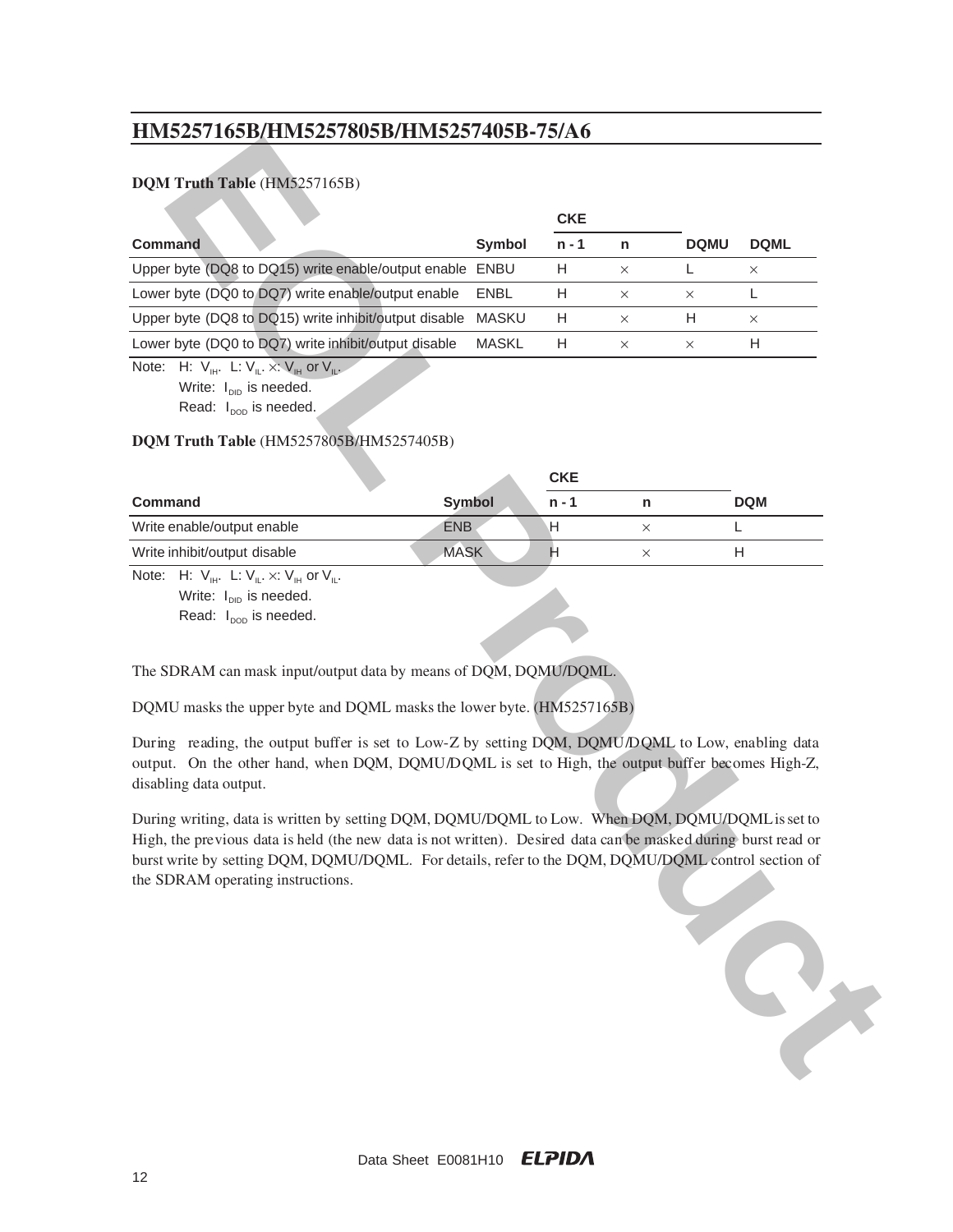### **DQM Truth Table** (HM5257165B)

|                                                                                                                                                                                                                                                                                                                                                                              |               | <b>CKE</b>     |          |             |             |
|------------------------------------------------------------------------------------------------------------------------------------------------------------------------------------------------------------------------------------------------------------------------------------------------------------------------------------------------------------------------------|---------------|----------------|----------|-------------|-------------|
| <b>Command</b>                                                                                                                                                                                                                                                                                                                                                               | <b>Symbol</b> | $n - 1$        | n        | <b>DQMU</b> | <b>DQML</b> |
| Upper byte (DQ8 to DQ15) write enable/output enable                                                                                                                                                                                                                                                                                                                          | ENBU          | Н              | X        | L           | $\times$    |
| Lower byte (DQ0 to DQ7) write enable/output enable                                                                                                                                                                                                                                                                                                                           | <b>ENBL</b>   | Н              | $\times$ | ×           | L           |
| Upper byte (DQ8 to DQ15) write inhibit/output disable                                                                                                                                                                                                                                                                                                                        | <b>MASKU</b>  | Н              | ×        | Н           | $\times$    |
| Lower byte (DQ0 to DQ7) write inhibit/output disable                                                                                                                                                                                                                                                                                                                         | <b>MASKL</b>  | Н              | $\times$ | ×           | H           |
| Note: H: $V_{\text{H}}$ . L: $V_{\text{L}} \times V_{\text{H}}$ or $V_{\text{L}}$ .<br>Write: I <sub>DID</sub> is needed.<br>Read: I <sub>pop</sub> is needed.<br>DQM Truth Table (HM5257805B/HM5257405B)                                                                                                                                                                    |               |                |          |             |             |
|                                                                                                                                                                                                                                                                                                                                                                              |               | <b>CKE</b>     |          |             |             |
| <b>Command</b>                                                                                                                                                                                                                                                                                                                                                               | <b>Symbol</b> | $n - 1$        | n        |             | <b>DQM</b>  |
| Write enable/output enable                                                                                                                                                                                                                                                                                                                                                   | <b>ENB</b>    | н              | $\times$ |             | L           |
| Write inhibit/output disable                                                                                                                                                                                                                                                                                                                                                 | <b>MASK</b>   | $\overline{H}$ | $\times$ |             | н           |
| The SDRAM can mask input/output data by means of DQM, DQMU/DQML.<br>DQMU masks the upper byte and DQML masks the lower byte. (HM5257165B)<br>During reading, the output buffer is set to Low-Z by setting DQM, DQMU/DQML to Low, enabling data<br>output. On the other hand, when DQM, DQMU/DQML is set to High, the output buffer becomes High-Z,<br>disabling data output. |               |                |          |             |             |
| During writing, data is written by setting DQM, DQMU/DQML to Low. When DQM, DQMU/DQML is set to<br>High, the previous data is held (the new data is not written). Desired data can be masked during burst read or<br>burst write by setting DQM, DQMU/DQML. For details, refer to the DQM, DQMU/DQML control section of<br>the SDRAM operating instructions.                 |               |                |          |             |             |

### **DQM Truth Table** (HM5257805B/HM5257405B)

|                                                                 |               | <b>CKE</b> |            |  |
|-----------------------------------------------------------------|---------------|------------|------------|--|
| <b>Command</b>                                                  | <b>Symbol</b> | n - 1      | <b>DQM</b> |  |
| Write enable/output enable                                      | <b>ENB</b>    |            |            |  |
| Write inhibit/output disable                                    | <b>MASK</b>   |            |            |  |
| Note: H: $V_{\mu}$ . L: $V_{\mu} \times V_{\mu}$ or $V_{\mu}$ . |               |            |            |  |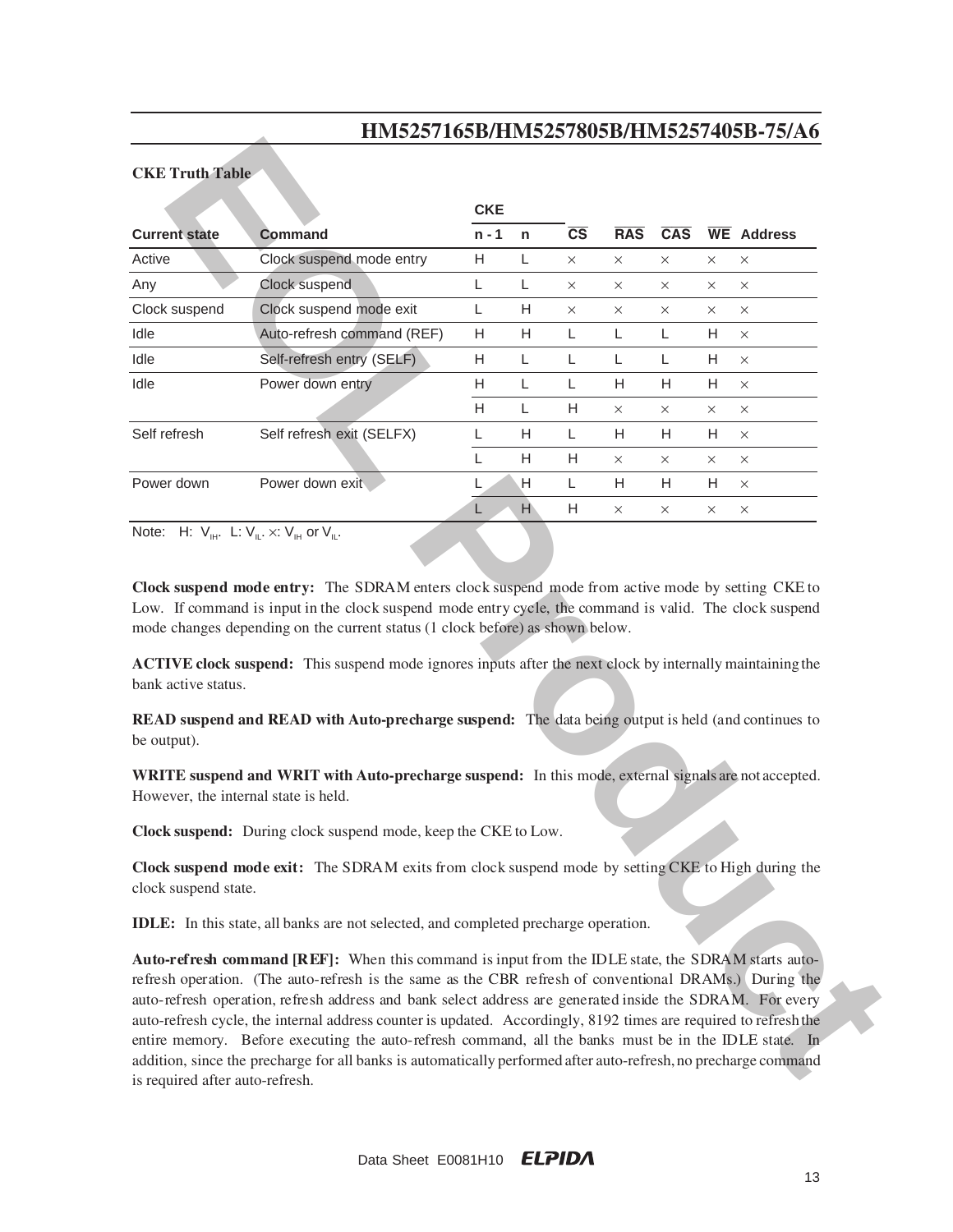#### **CKE Truth Table**

|                                      | Ширер I цори Пиново Гоори Пиново I тори готи о                                                                                                                                                                                                                                                                                                                                                                                                                                                                                                                                                                                                                            |            |   |                        |            |          |          |                   |
|--------------------------------------|---------------------------------------------------------------------------------------------------------------------------------------------------------------------------------------------------------------------------------------------------------------------------------------------------------------------------------------------------------------------------------------------------------------------------------------------------------------------------------------------------------------------------------------------------------------------------------------------------------------------------------------------------------------------------|------------|---|------------------------|------------|----------|----------|-------------------|
| <b>CKE Truth Table</b>               |                                                                                                                                                                                                                                                                                                                                                                                                                                                                                                                                                                                                                                                                           |            |   |                        |            |          |          |                   |
|                                      |                                                                                                                                                                                                                                                                                                                                                                                                                                                                                                                                                                                                                                                                           | <b>CKE</b> |   |                        |            |          |          |                   |
| <b>Current state</b>                 | <b>Command</b>                                                                                                                                                                                                                                                                                                                                                                                                                                                                                                                                                                                                                                                            | $n - 1$    | n | $\overline{\text{cs}}$ | <b>RAS</b> | CAS      |          | <b>WE</b> Address |
| Active                               | Clock suspend mode entry                                                                                                                                                                                                                                                                                                                                                                                                                                                                                                                                                                                                                                                  | H          | L | $\times$               | $\times$   | $\times$ | $\times$ | $\times$          |
| Any                                  | Clock suspend                                                                                                                                                                                                                                                                                                                                                                                                                                                                                                                                                                                                                                                             | L          | L | $\times$               | $\times$   | $\times$ | $\times$ | $\times$          |
| Clock suspend                        | Clock suspend mode exit                                                                                                                                                                                                                                                                                                                                                                                                                                                                                                                                                                                                                                                   | Г          | Н | $\times$               | ×          | $\times$ | $\times$ | $\times$          |
| Idle                                 | Auto-refresh command (REF)                                                                                                                                                                                                                                                                                                                                                                                                                                                                                                                                                                                                                                                | Н          | H | L                      | L          | L        | H        | $\times$          |
| Idle                                 | Self-refresh entry (SELF)                                                                                                                                                                                                                                                                                                                                                                                                                                                                                                                                                                                                                                                 | Н          | L | L                      | L          | L        | Н        | $\times$          |
| Idle                                 | Power down entry                                                                                                                                                                                                                                                                                                                                                                                                                                                                                                                                                                                                                                                          | Н          | L | L                      | H          | H        | H        | X                 |
|                                      |                                                                                                                                                                                                                                                                                                                                                                                                                                                                                                                                                                                                                                                                           | H          | L | Н                      | ×          | X        | ×        | X                 |
| Self refresh                         | Self refresh exit (SELFX)                                                                                                                                                                                                                                                                                                                                                                                                                                                                                                                                                                                                                                                 | L          | H | L                      | Н          | H        | Н        | $\times$          |
|                                      |                                                                                                                                                                                                                                                                                                                                                                                                                                                                                                                                                                                                                                                                           | L          | Н | Н                      | ×          | X        | $\times$ | $\times$          |
| Power down                           | Power down exit                                                                                                                                                                                                                                                                                                                                                                                                                                                                                                                                                                                                                                                           | L          | Н | L                      | H          | Н        | H.       | $\times$          |
|                                      |                                                                                                                                                                                                                                                                                                                                                                                                                                                                                                                                                                                                                                                                           | L          | H | Н                      | X          | $\times$ | X        | $\times$          |
| bank active status.                  | ACTIVE clock suspend: This suspend mode ignores inputs after the next clock by internally maintaining the                                                                                                                                                                                                                                                                                                                                                                                                                                                                                                                                                                 |            |   |                        |            |          |          |                   |
| be output).                          | READ suspend and READ with Auto-precharge suspend: The data being output is held (and continues to                                                                                                                                                                                                                                                                                                                                                                                                                                                                                                                                                                        |            |   |                        |            |          |          |                   |
| However, the internal state is held. | WRITE suspend and WRIT with Auto-precharge suspend: In this mode, external signals are not accepted.                                                                                                                                                                                                                                                                                                                                                                                                                                                                                                                                                                      |            |   |                        |            |          |          |                   |
|                                      | Clock suspend: During clock suspend mode, keep the CKE to Low.                                                                                                                                                                                                                                                                                                                                                                                                                                                                                                                                                                                                            |            |   |                        |            |          |          |                   |
| clock suspend state.                 | Clock suspend mode exit: The SDRAM exits from clock suspend mode by setting CKE to High during the                                                                                                                                                                                                                                                                                                                                                                                                                                                                                                                                                                        |            |   |                        |            |          |          |                   |
|                                      | <b>IDLE:</b> In this state, all banks are not selected, and completed precharge operation.                                                                                                                                                                                                                                                                                                                                                                                                                                                                                                                                                                                |            |   |                        |            |          |          |                   |
| roquired ofter oute refresh          | Auto-refresh command [REF]: When this command is input from the IDLE state, the SDRAM starts auto-<br>refresh operation. (The auto-refresh is the same as the CBR refresh of conventional DRAMs.) During the<br>auto-refresh operation, refresh address and bank select address are generated inside the SDRAM. For every<br>auto-refresh cycle, the internal address counter is updated. Accordingly, 8192 times are required to refresh the<br>entire memory. Before executing the auto-refresh command, all the banks must be in the IDLE state. In<br>addition, since the precharge for all banks is automatically performed after auto-refresh, no precharge command |            |   |                        |            |          |          |                   |

**Auto-refresh command [REF]:** When this command is input from the IDLE state, the SDRAM starts autorefresh operation. (The auto-refresh is the same as the CBR refresh of conventional DRAMs.) During the auto-refresh operation, refresh address and bank select address are generated inside the SDRAM. For every auto-refresh cycle, the internal address counter is updated. Accordingly, 8192 times are required to refresh the entire memory. Before executing the auto-refresh command, all the banks must be in the IDLE state. In addition, since the precharge for all banks is automatically performed after auto-refresh, no precharge command is required after auto-refresh.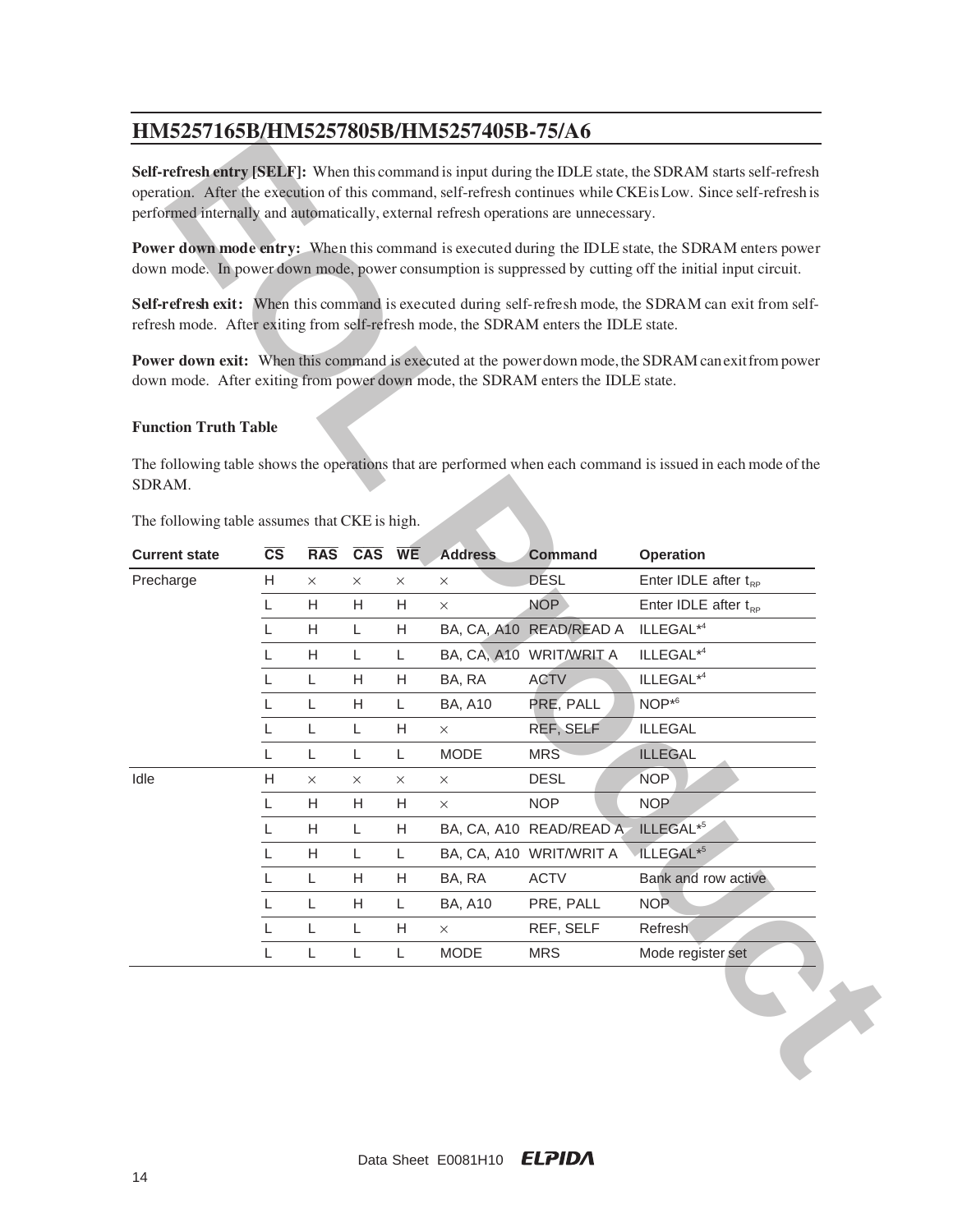#### **Function Truth Table**

| HM5257165B/HM5257805B/HM5257405B-75/A6                                               |                        |               |               |               |                            |                           |                                                                                                                                                                                                                              |
|--------------------------------------------------------------------------------------|------------------------|---------------|---------------|---------------|----------------------------|---------------------------|------------------------------------------------------------------------------------------------------------------------------------------------------------------------------------------------------------------------------|
| performed internally and automatically, external refresh operations are unnecessary. |                        |               |               |               |                            |                           | Self-refresh entry [SELF]: When this command is input during the IDLE state, the SDRAM starts self-refresh<br>operation. After the execution of this command, self-refresh continues while CKE is Low. Since self-refresh is |
|                                                                                      |                        |               |               |               |                            |                           | Power down mode entry: When this command is executed during the IDLE state, the SDRAM enters power<br>down mode. In power down mode, power consumption is suppressed by cutting off the initial input circuit.               |
| refresh mode. After exiting from self-refresh mode, the SDRAM enters the IDLE state. |                        |               |               |               |                            |                           | Self-refresh exit: When this command is executed during self-refresh mode, the SDRAM can exit from self-                                                                                                                     |
| down mode. After exiting from power down mode, the SDRAM enters the IDLE state.      |                        |               |               |               |                            |                           | Power down exit: When this command is executed at the power down mode, the SDRAM can exit from power                                                                                                                         |
| <b>Function Truth Table</b>                                                          |                        |               |               |               |                            |                           |                                                                                                                                                                                                                              |
| SDRAM.<br>The following table assumes that CKE is high.                              |                        |               |               |               |                            |                           | The following table shows the operations that are performed when each command is issued in each mode of the                                                                                                                  |
|                                                                                      |                        |               |               |               |                            |                           |                                                                                                                                                                                                                              |
|                                                                                      |                        |               |               |               |                            |                           |                                                                                                                                                                                                                              |
| <b>Current state</b>                                                                 | $\overline{\text{cs}}$ | <b>RAS</b>    | CAS WE        |               | <b>Address</b><br>$\times$ | <b>Command</b>            | <b>Operation</b>                                                                                                                                                                                                             |
|                                                                                      | H<br>L                 | $\times$<br>H | $\times$<br>H | $\times$<br>Н | ×                          | <b>DESL</b><br><b>NOP</b> | Enter IDLE after $t_{RP}$                                                                                                                                                                                                    |
|                                                                                      | L                      | H             | L             | Н             |                            | BA, CA, A10 READ/READ A   | Enter IDLE after $t_{RP}$<br>ILLEGAL* <sup>4</sup>                                                                                                                                                                           |
|                                                                                      | L                      | H             | L             | L             |                            | BA, CA, A10 WRIT/WRIT A   | ILLEGAL* <sup>4</sup>                                                                                                                                                                                                        |
|                                                                                      | L                      | $\mathsf L$   | H             | Н             | BA, RA                     | <b>ACTV</b>               | ILLEGAL* <sup>4</sup>                                                                                                                                                                                                        |
|                                                                                      | L                      | L             | H             | L             | <b>BA, A10</b>             | PRE, PALL                 | $NOP**6$                                                                                                                                                                                                                     |
|                                                                                      | L                      | $\mathsf L$   | L             | Η             | $\times$                   | REF, SELF                 | <b>ILLEGAL</b>                                                                                                                                                                                                               |
| Precharge                                                                            | L                      | L             | L             | L             | <b>MODE</b>                | <b>MRS</b>                | <b>ILLEGAL</b>                                                                                                                                                                                                               |
| Idle                                                                                 | H                      | X             | $\times$      | ×             | ×                          | <b>DESL</b>               | <b>NOP</b>                                                                                                                                                                                                                   |
|                                                                                      | L                      | H             | Н             | Н             | $\times$                   | <b>NOP</b>                | <b>NOP</b>                                                                                                                                                                                                                   |
|                                                                                      | L                      | H             | L             | Н             |                            | BA, CA, A10 READ/READ A   | ILLEGAL*5                                                                                                                                                                                                                    |
|                                                                                      | L.                     | H             | L             | L             |                            | BA, CA, A10 WRIT/WRIT A   | ILLEGAL <sup>*5</sup>                                                                                                                                                                                                        |
|                                                                                      | L                      | L             | H             | Н             | BA, RA                     | <b>ACTV</b>               | Bank and row active                                                                                                                                                                                                          |
|                                                                                      | L                      | L             | Н             | L             | <b>BA, A10</b>             | PRE, PALL                 | <b>NOP</b>                                                                                                                                                                                                                   |
|                                                                                      | L.                     | L             | L             | Н             | X                          | REF, SELF                 | Refresh                                                                                                                                                                                                                      |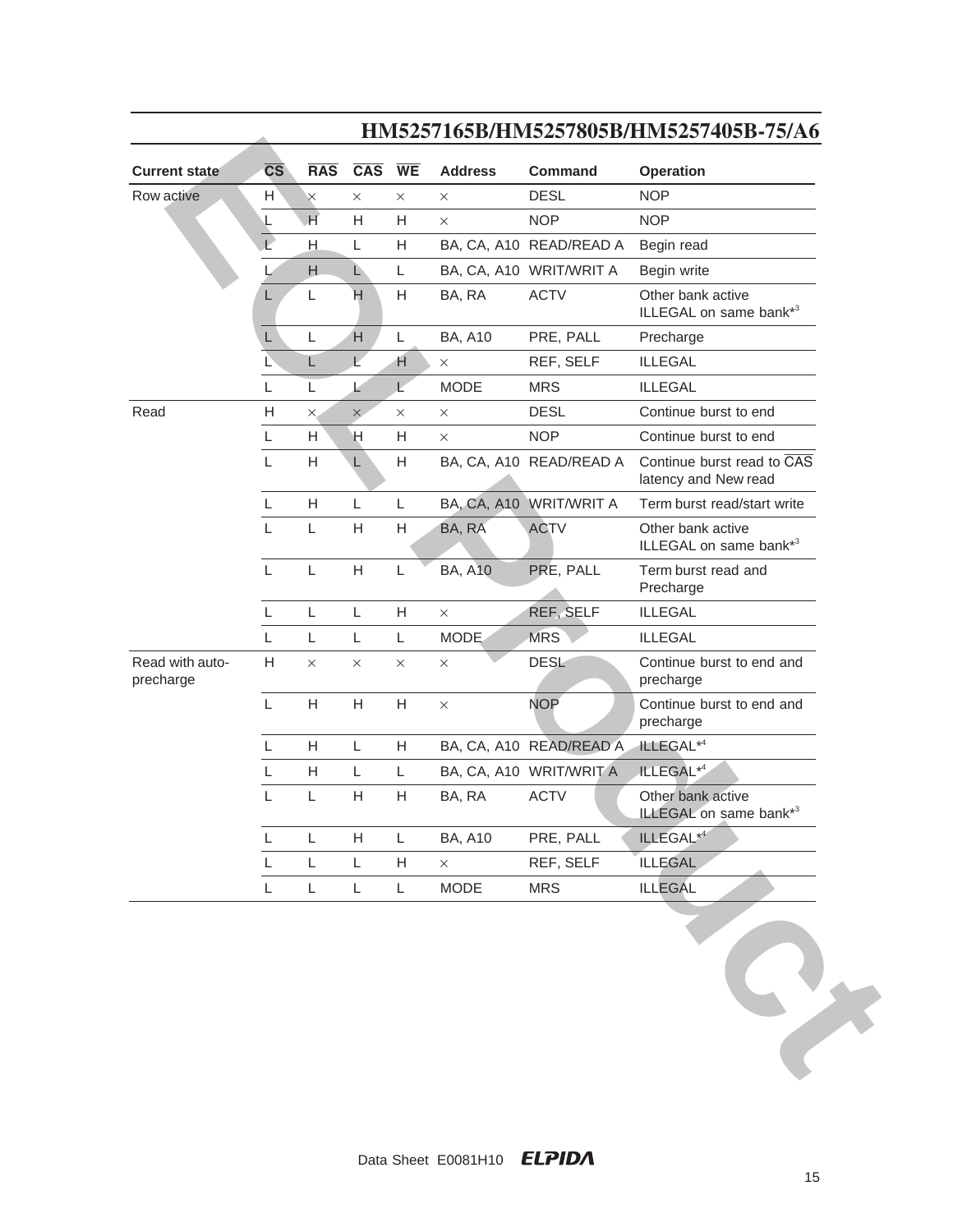| <b>Current state</b>         | $\overline{\text{CS}}$ | <b>RAS</b>                | $CAS$ WE                  |          | <b>Address</b> | <b>Command</b>          | <b>Operation</b>                                   |
|------------------------------|------------------------|---------------------------|---------------------------|----------|----------------|-------------------------|----------------------------------------------------|
| Row active                   | H                      | $\times$                  | $\times$                  | $\times$ | $\times$       | <b>DESL</b>             | <b>NOP</b>                                         |
|                              |                        | H                         | Η                         | Н        | X              | <b>NOP</b>              | <b>NOP</b>                                         |
|                              |                        | Н.                        | L                         | Н        |                | BA, CA, A10 READ/READ A | Begin read                                         |
|                              |                        | H                         | L)                        | L        |                | BA, CA, A10 WRIT/WRIT A | Begin write                                        |
|                              | L                      | L                         | H                         | Н        | BA, RA         | <b>ACTV</b>             | Other bank active<br>ILLEGAL on same bank*3        |
|                              | L                      | L                         | H                         | L        | <b>BA, A10</b> | PRE, PALL               | Precharge                                          |
|                              | L                      | L                         | $\overline{L}$            | H        | $\times$       | REF, SELF               | <b>ILLEGAL</b>                                     |
|                              | L                      | L                         | L                         | L        | <b>MODE</b>    | <b>MRS</b>              | <b>ILLEGAL</b>                                     |
| Read                         | H                      | ×                         | $\times$                  | $\times$ | $\times$       | <b>DESL</b>             | Continue burst to end                              |
|                              | L                      | H                         | Η                         | Н        | $\times$       | <b>NOP</b>              | Continue burst to end                              |
|                              | $\mathsf L$            | $\boldsymbol{\mathsf{H}}$ | L                         | Η        |                | BA, CA, A10 READ/READ A | Continue burst read to CAS<br>latency and New read |
|                              | L                      | H                         | L                         | L        |                | BA, CA, A10 WRIT/WRIT A | Term burst read/start write                        |
|                              | L                      | L                         | H                         | H        | BA, RA         | <b>ACTV</b>             | Other bank active<br>ILLEGAL on same bank*3        |
|                              | L                      | Г                         | H                         | L        | <b>BA, A10</b> | PRE, PALL               | Term burst read and<br>Precharge                   |
|                              | L                      | Г                         | L                         | Н        | $\times$       | REF, SELF               | <b>ILLEGAL</b>                                     |
|                              | L                      | Г                         | L                         | L        | <b>MODE</b>    | <b>MRS</b>              | <b>ILLEGAL</b>                                     |
| Read with auto-<br>precharge | $\mathsf H$            | $\times$                  | $\times$                  | $\times$ | $\times$       | <b>DESL</b>             | Continue burst to end and<br>precharge             |
|                              | L                      | $\boldsymbol{\mathsf{H}}$ | Н                         | Н        | $\times$       | <b>NOP</b>              | Continue burst to end and<br>precharge             |
|                              | L                      | H                         | L                         | Η        |                | BA, CA, A10 READ/READ A | ILLEGAL* <sup>4</sup>                              |
|                              | L                      | H                         | L                         | Г        |                | BA, CA, A10 WRIT/WRIT A | ILLEGAL* <sup>4</sup>                              |
|                              | L                      | Г                         | Н                         | Н        | BA, RA         | <b>ACTV</b>             | Other bank active<br>ILLEGAL on same bank*3        |
|                              | L                      | L                         | $\boldsymbol{\mathsf{H}}$ | L        | <b>BA, A10</b> | PRE, PALL               | ILLEGAL* <sup>4</sup>                              |
|                              |                        | L                         | L                         | Н        | $\times$       | REF, SELF               | <b>ILLEGAL</b>                                     |
|                              | $\mathsf{L}$           |                           |                           |          |                | <b>MRS</b>              | <b>ILLEGAL</b>                                     |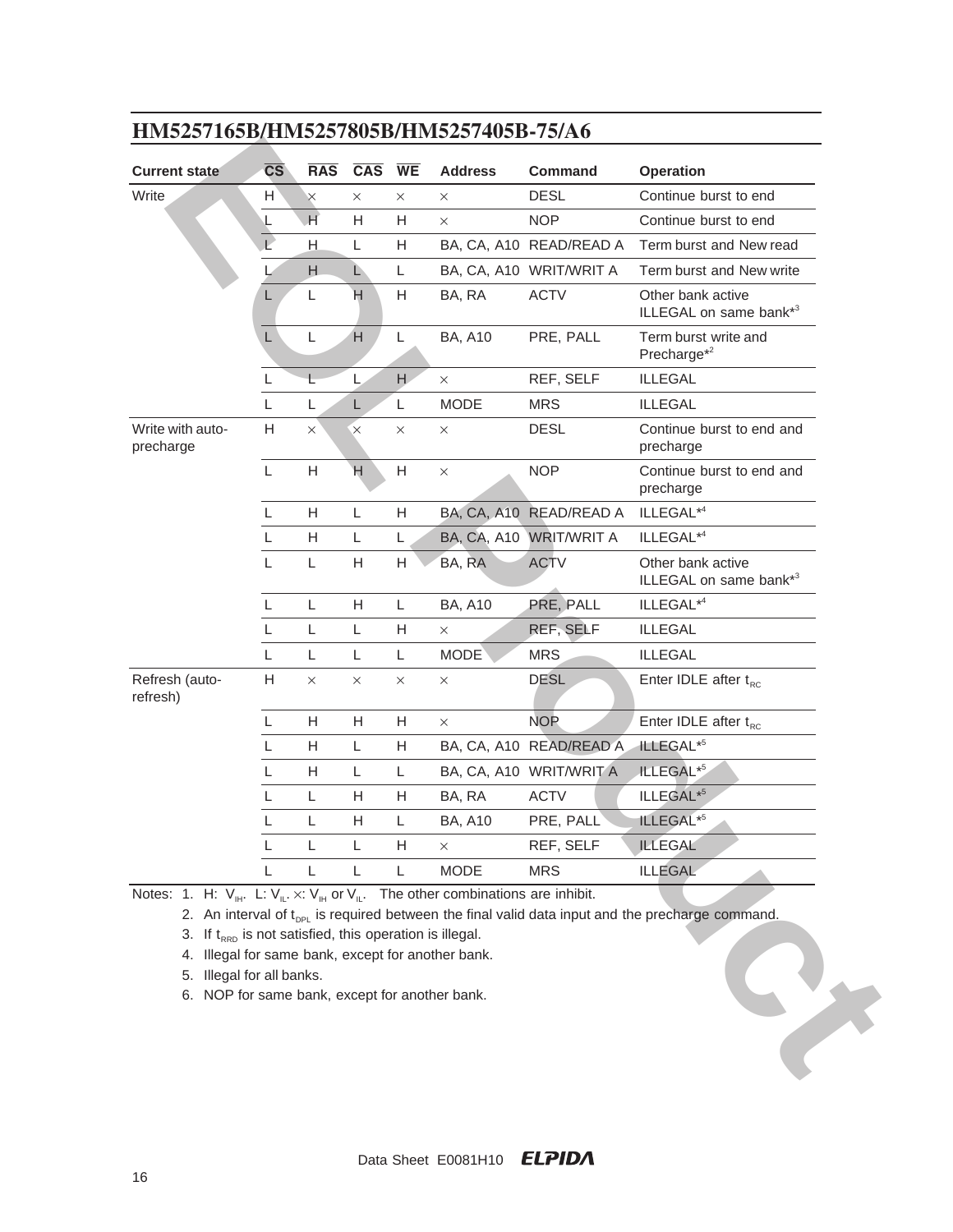| <b>Current state</b>          | $\overline{\text{CS}}$ | <b>RAS</b>                | <b>CAS</b>     | <b>WE</b>                 | <b>Address</b>     | <b>Command</b>          | <b>Operation</b>                                |
|-------------------------------|------------------------|---------------------------|----------------|---------------------------|--------------------|-------------------------|-------------------------------------------------|
| Write                         | H                      | $\times$                  | $\times$       | $\times$                  | ×                  | <b>DESL</b>             | Continue burst to end                           |
|                               | ⊾                      | $\overline{\mathsf{H}}$   | H              | Н                         | $\times$           | <b>NOP</b>              | Continue burst to end                           |
|                               |                        | H                         | L              | Н                         |                    | BA, CA, A10 READ/READ A | Term burst and New read                         |
|                               |                        | H                         | Ĺ              | L                         |                    | BA, CA, A10 WRIT/WRIT A | Term burst and New write                        |
|                               | L.                     | L                         | H              | Н                         | BA, RA             | <b>ACTV</b>             | Other bank active<br>ILLEGAL on same bank*3     |
|                               | $\mathsf L$            | L                         | H              | L                         | <b>BA, A10</b>     | PRE, PALL               | Term burst write and<br>Precharge <sup>*2</sup> |
|                               | L                      | L                         | L              | H                         | X                  | REF, SELF               | <b>ILLEGAL</b>                                  |
|                               | L                      | L                         | L              | L                         | <b>MODE</b>        | <b>MRS</b>              | <b>ILLEGAL</b>                                  |
| Write with auto-<br>precharge | H                      | $\times$                  | $\times$       | $\times$                  | $\times$           | <b>DESL</b>             | Continue burst to end and<br>precharge          |
|                               | L                      | H                         | $\overline{H}$ | $\boldsymbol{\mathsf{H}}$ | $\times$           | <b>NOP</b>              | Continue burst to end and<br>precharge          |
|                               | L                      | $\boldsymbol{\mathsf{H}}$ | L              | Н                         |                    | BA, CA, A10 READ/READ A | ILLEGAL* <sup>4</sup>                           |
|                               | L                      | H                         | L              | L                         | <b>BA, CA, A10</b> | <b>WRIT/WRIT A</b>      | ILLEGAL* <sup>4</sup>                           |
|                               | L                      | L                         | H              | Н                         | BA, RA             | <b>ACTV</b>             | Other bank active<br>ILLEGAL on same bank*3     |
|                               | L                      | L                         | H              | L                         | <b>BA, A10</b>     | PRE, PALL               | ILLEGAL* <sup>4</sup>                           |
|                               | L                      | L                         | L              | Н                         | $\times$           | REF, SELF               | <b>ILLEGAL</b>                                  |
|                               | L                      | L                         | L              | L                         | <b>MODE</b>        | <b>MRS</b>              | <b>ILLEGAL</b>                                  |
| Refresh (auto-<br>refresh)    | H                      | $\times$                  | $\times$       | $\times$                  | $\times$           | <b>DESL</b>             | Enter IDLE after $t_{\text{RC}}$                |
|                               | L                      | H                         | H              | Н                         | $\times$           | <b>NOP</b>              | Enter IDLE after $t_{RC}$                       |
|                               | L                      | H                         | L              | Н                         |                    | BA, CA, A10 READ/READ A | ILLEGAL <sup>*5</sup>                           |
|                               | L                      | H                         | L              | Г                         |                    | BA, CA, A10 WRIT/WRIT A | ILLEGAL <sup>*5</sup>                           |
|                               |                        |                           |                |                           |                    | <b>ACTV</b>             | ILLEGAL <sup>*5</sup>                           |
|                               | L                      | L                         | H              | Н                         | BA, RA             |                         |                                                 |
|                               |                        | $\mathsf L$               | H              | L                         | <b>BA, A10</b>     | PRE, PALL               | ILLEGAL <sup>*5</sup>                           |
|                               | L                      | L                         | L              | Н                         | ×                  | REF, SELF               | <b>ILLEGAL</b>                                  |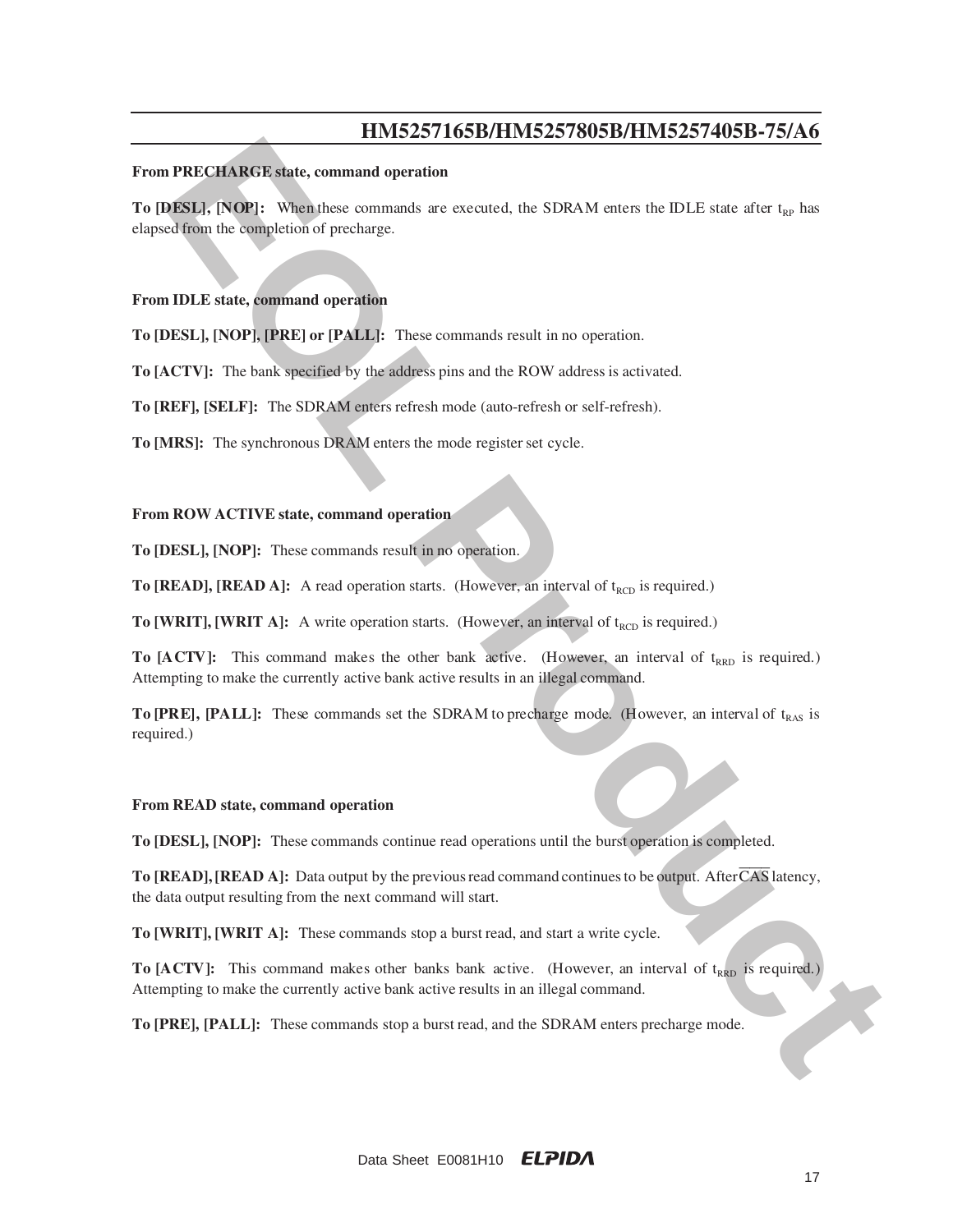#### **From PRECHARGE state, command operation**

**EPRECHARCE sinte, command operation**<br> **EPRECHARCE sinte, command operation**<br> **EOLENCE sinte, command operation**<br> **EOLENCE Production** in example of the state commands are executed, the SDRAM enters the IDLE state efter  $\$ **To [DESL], [NOP]:** When these commands are executed, the SDRAM enters the IDLE state after  $t_{RP}$  has elapsed from the completion of precharge.

#### **From IDLE state, command operation**

**To [DESL], [NOP], [PRE] or [PALL]:** These commands result in no operation.

**To [ACTV]:** The bank specified by the address pins and the ROW address is activated.

**To [REF], [SELF]:** The SDRAM enters refresh mode (auto-refresh or self-refresh).

**To [MRS]:** The synchronous DRAM enters the mode register set cycle.

#### **From ROW ACTIVE state, command operation**

**To [DESL], [NOP]:** These commands result in no operation.

**To [READ], [READ A]:** A read operation starts. (However, an interval of  $t_{\text{RCD}}$  is required.)

**To [WRIT], [WRIT A]:** A write operation starts. (However, an interval of t<sub>RCD</sub> is required.)

**To [ACTV]:** This command makes the other bank active. (However, an interval of t<sub>RRD</sub> is required.) Attempting to make the currently active bank active results in an illegal command.

**To [PRE], [PALL]:** These commands set the SDRAM to precharge mode. (However, an interval of t<sub>ras</sub> is required.)

#### **From READ state, command operation**

**To [DESL], [NOP]:** These commands continue read operations until the burst operation is completed.

**To [READ], [READ A]:** Data output by the previous read command continues to be output. After CAS latency, the data output resulting from the next command will start.

**To [WRIT], [WRIT A]:** These commands stop a burst read, and start a write cycle.

**To [A CTV]:** This command makes other banks bank active. (However, an interval of  $t_{\rm RED}$  is required.) Attempting to make the currently active bank active results in an illegal command.

**To [PRE], [PALL]:** These commands stop a burst read, and the SDRAM enters precharge mode.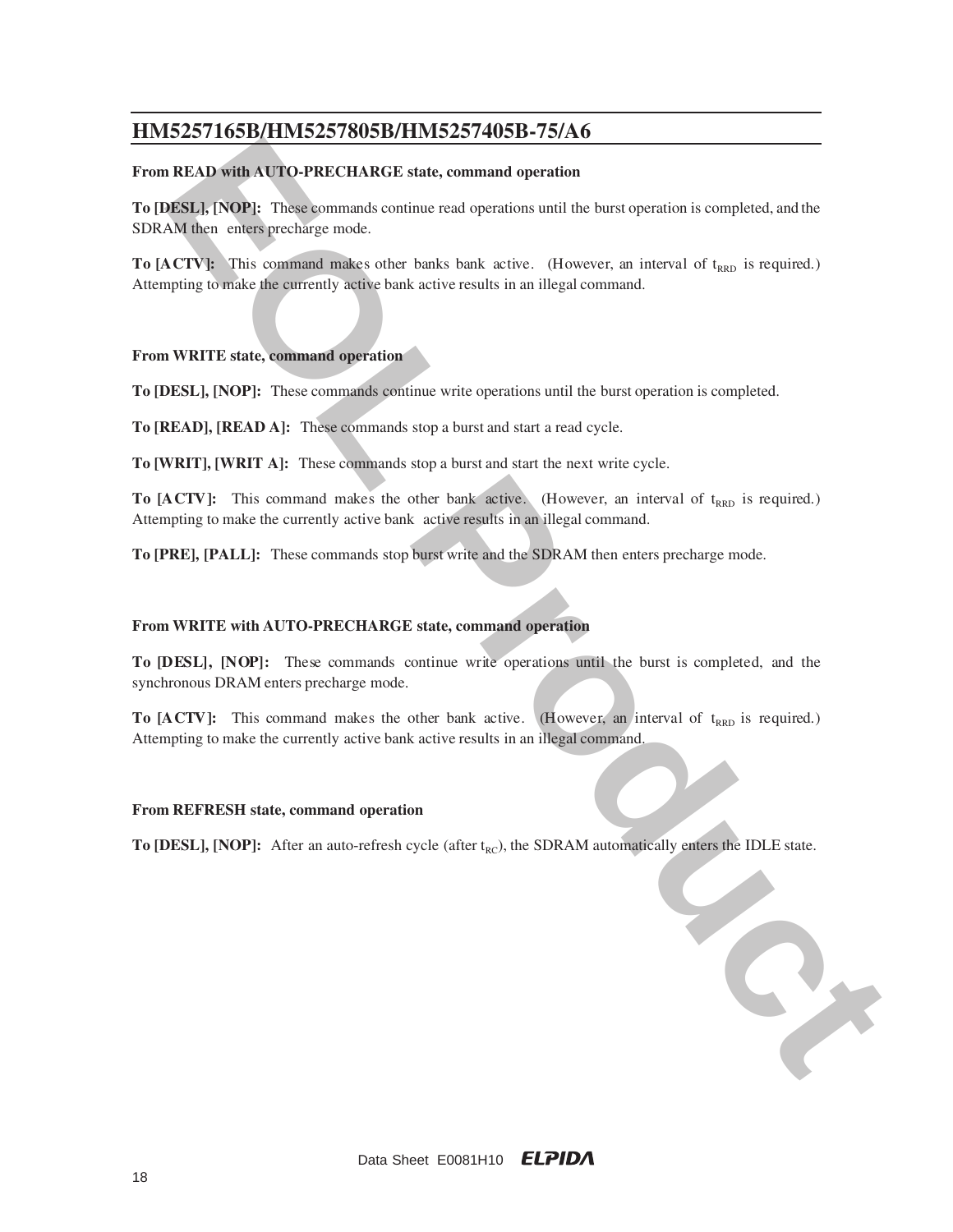#### **From READ with AUTO-PRECHARGE state, command operation**

**EFOR BEADLIFY ANDERS TRIMES AND SET AND SET AND THE CONDUCT OF THE CONDUCT OF THE CONDUCT AND THE CONDUCT CONDUCT CONDUCT THE CONDUCT OF THE CONDUCT CONDUCT CONDUCT CONDUCT CONDUCT CONDUCT CONDUCT CONDUCT CONDUCT CONDUCT To [DESL], [NOP]:** These commands continue read operations until the burst operation is completed, and the SDRAM then enters precharge mode.

**To [A CTV]:** This command makes other banks bank active. (However, an interval of t<sub>RRD</sub> is required.) Attempting to make the currently active bank active results in an illegal command.

### **From WRITE state, command operation**

**To [DESL], [NOP]:** These commands continue write operations until the burst operation is completed.

**To [READ], [READ A]:** These commands stop a burst and start a read cycle.

**To [WRIT], [WRIT A]:** These commands stop a burst and start the next write cycle.

**To [A CTV]:** This command makes the other bank active. (However, an interval of t<sub>RRD</sub> is required.) Attempting to make the currently active bank active results in an illegal command.

**To [PRE], [PALL]:** These commands stop burst write and the SDRAM then enters precharge mode.

#### **From WRITE with AUTO-PRECHARGE state, command operation**

**To [DESL], [NOP]:** These commands continue write operations until the burst is completed, and the synchronous DRAM enters precharge mode.

**To [A CTV]:** This command makes the other bank active. (However, an interval of t<sub>RRD</sub> is required.) Attempting to make the currently active bank active results in an illegal command.

#### **From REFRESH state, command operation**

To [DESL], [NOP]: After an auto-refresh cycle (after t<sub>RC</sub>), the SDRAM automatically enters the IDLE state.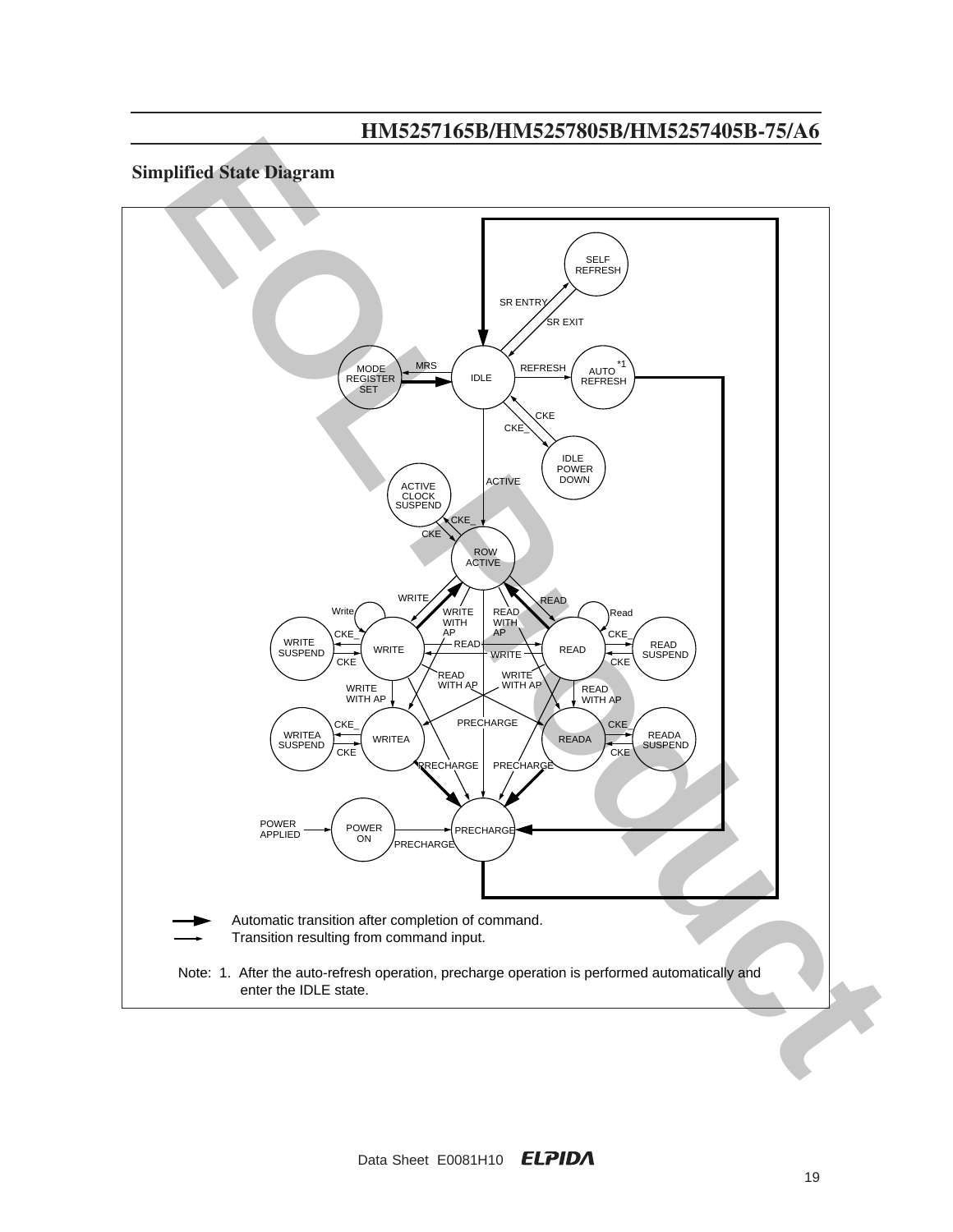## **Simplified State Diagram**

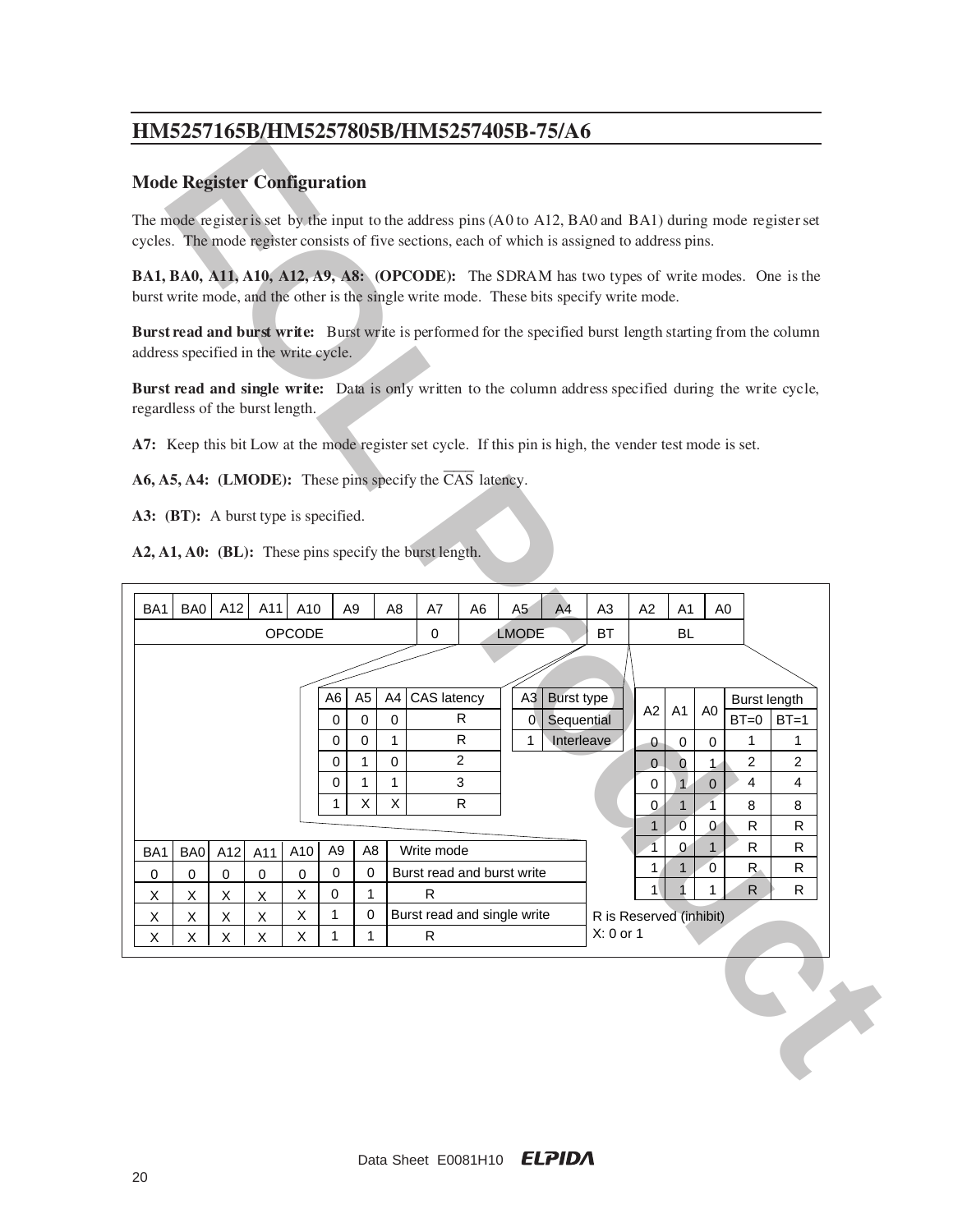### **Mode Register Configuration**

The mode register is set by the input to the address pins  $(A0 \text{ to } A12, BA0 \text{ and } BA1)$  during mode register set cycles. The mode register consists of five sections, each of which is assigned to address pins.

**BA1, BA0, A11, A10, A12, A9, A8: (OPCODE):** The SDRAM has two types of write modes. One is the burst write mode, and the other is the single write mode. These bits specify write mode.

**Burst read and burst write:** Burst write is performed for the specified burst length starting from the column address specified in the write cycle.

**Burst read and single write:** Data is only written to the column address specified during the write cycle, regardless of the burst length.

**A7:** Keep this bit Low at the mode register set cycle. If this pin is high, the vender test mode is set.

**A6, A5, A4: (LMODE):** These pins specify the CAS latency.

**A3: (BT):** A burst type is specified.

**A2, A1, A0: (BL):** These pins specify the burst length.

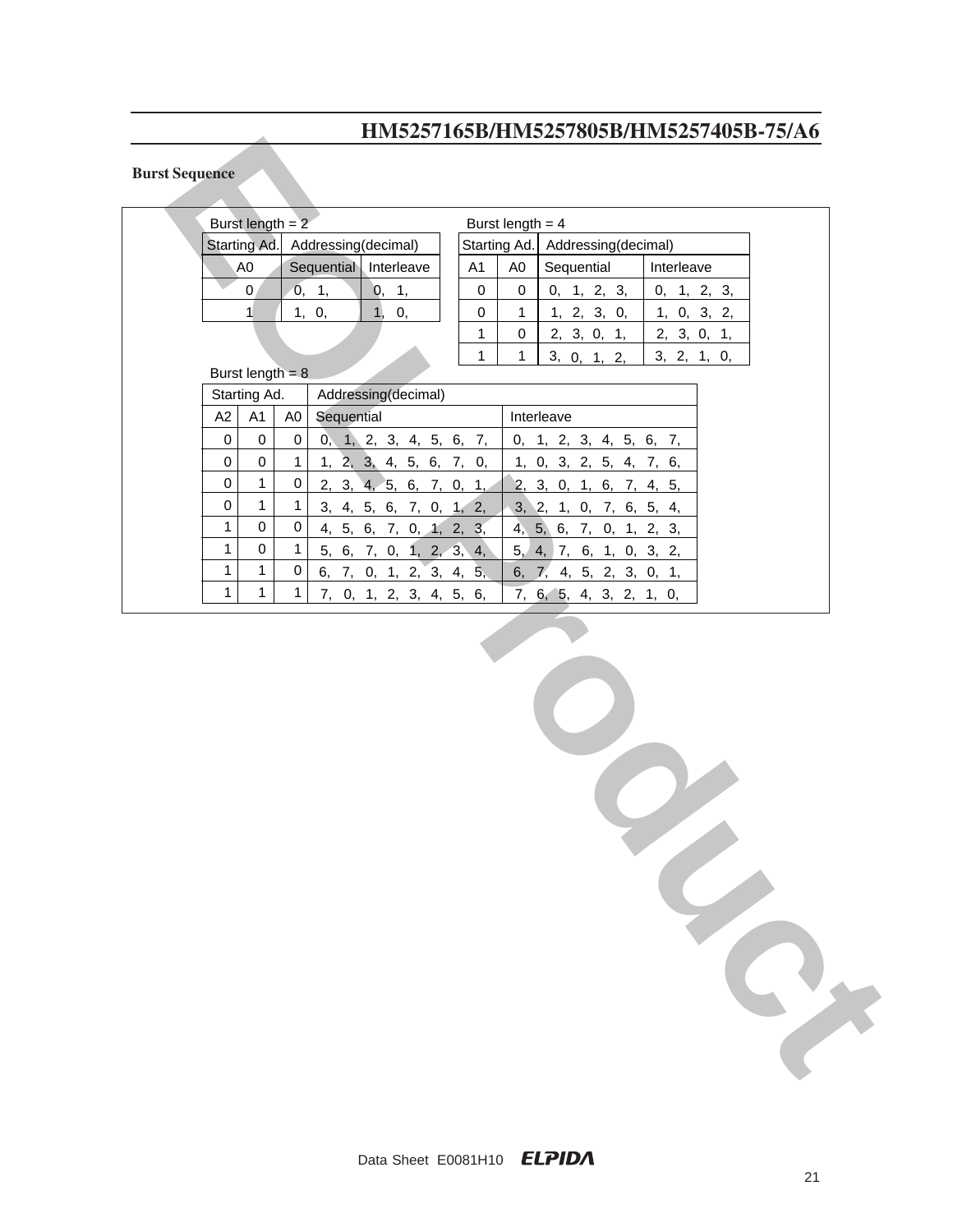### **Burst Sequence**

|                       |                                                                                                                                                                       |                        |                |                     |               |                         |  |              |                    | 111110201100D1111110201000D1111110201700D 101110 |            |             |  |
|-----------------------|-----------------------------------------------------------------------------------------------------------------------------------------------------------------------|------------------------|----------------|---------------------|---------------|-------------------------|--|--------------|--------------------|--------------------------------------------------|------------|-------------|--|
| <b>Burst Sequence</b> |                                                                                                                                                                       |                        |                |                     |               |                         |  |              |                    |                                                  |            |             |  |
|                       | Burst length $= 2$                                                                                                                                                    |                        |                |                     |               |                         |  |              | Burst length $= 4$ |                                                  |            |             |  |
|                       | Starting Ad.                                                                                                                                                          |                        |                | Addressing(decimal) |               |                         |  |              |                    | Starting Ad.   Addressing(decimal)               |            |             |  |
|                       | A <sub>0</sub>                                                                                                                                                        |                        |                | Sequential          |               | Interleave              |  | A1           | A0                 | Sequential                                       | Interleave |             |  |
|                       |                                                                                                                                                                       | $\mathbf{0}$           |                | 0, 1,               | $\mathbf{0},$ | $\mathbf{1},$           |  | $\pmb{0}$    | $\boldsymbol{0}$   | 0, 1, 2, 3,                                      |            | 0, 1, 2, 3, |  |
|                       |                                                                                                                                                                       | 1                      |                | 1, 0,               | 1,            | 0,                      |  | 0            | $\mathbf{1}$       | 1, 2, 3, 0,                                      |            | 1, 0, 3, 2, |  |
|                       |                                                                                                                                                                       |                        |                |                     |               |                         |  | 1            | 0                  | 2, 3, 0, 1,                                      |            | 2, 3, 0, 1, |  |
|                       |                                                                                                                                                                       |                        |                |                     |               |                         |  | $\mathbf{1}$ | $\mathbf{1}$       | 3, 0, 1, 2,                                      |            | 3, 2, 1, 0, |  |
|                       | Burst length = $8$                                                                                                                                                    |                        |                |                     |               |                         |  |              |                    |                                                  |            |             |  |
|                       | Starting Ad.                                                                                                                                                          |                        |                |                     |               | Addressing(decimal)     |  |              |                    |                                                  |            |             |  |
|                       | A2                                                                                                                                                                    | A <sub>1</sub>         | A <sub>0</sub> | Sequential          |               |                         |  |              |                    | Interleave                                       |            |             |  |
|                       | $\pmb{0}$                                                                                                                                                             | $\pmb{0}$              | $\pmb{0}$      |                     |               | 0, 1, 2, 3, 4, 5, 6, 7, |  |              |                    | 0, 1, 2, 3, 4, 5, 6, 7,                          |            |             |  |
|                       | $\pmb{0}$                                                                                                                                                             | $\mathsf 0$            | $\mathbf{1}$   |                     |               | 1, 2, 3, 4, 5, 6, 7, 0, |  |              |                    | 1, 0, 3, 2, 5, 4, 7, 6,                          |            |             |  |
|                       | $\pmb{0}$                                                                                                                                                             | $\mathbf{1}$           | $\pmb{0}$      |                     |               | 2, 3, 4, 5, 6, 7, 0, 1, |  |              |                    | 2, 3, 0, 1, 6, 7, 4, 5,                          |            |             |  |
|                       | $\mathsf 0$<br>$\mathbf{1}$                                                                                                                                           | $\mathbf{1}$           | $\mathbf{1}$   |                     |               | 3, 4, 5, 6, 7, 0, 1, 2, |  |              |                    | 3, 2, 1, 0, 7, 6, 5, 4,                          |            |             |  |
|                       | $\mathbf{1}$                                                                                                                                                          | $\pmb{0}$<br>$\pmb{0}$ | $\pmb{0}$      |                     |               | 4, 5, 6, 7, 0, 1, 2, 3, |  |              |                    | 4, 5, 6, 7, 0, 1, 2, 3,                          |            |             |  |
|                       | $\mathbf{1}$                                                                                                                                                          | $\mathbf{1}$           | $\mathbf{1}$   |                     |               | 5, 6, 7, 0, 1, 2, 3, 4, |  |              |                    | 5, 4, 7, 6, 1, 0, 3, 2,                          |            |             |  |
|                       |                                                                                                                                                                       |                        | $\pmb{0}$      |                     |               |                         |  |              |                    |                                                  |            |             |  |
|                       |                                                                                                                                                                       |                        |                |                     |               |                         |  |              |                    |                                                  |            |             |  |
|                       | 6, 7, 0, 1, 2, 3, 4, 5,<br>6, 7, 4, 5, 2, 3, 0, 1,<br>$\mathbf{1}$<br>$\mathbf{1}$<br>$\mathbf{1}$<br>7, 0, 1, 2, 3, 4, 5, 6,<br>7, 6, 5, 4, 3, 2, 1, 0,<br>$\bullet$ |                        |                |                     |               |                         |  |              |                    |                                                  |            |             |  |
|                       |                                                                                                                                                                       |                        |                |                     |               |                         |  |              |                    |                                                  |            |             |  |
|                       |                                                                                                                                                                       |                        |                |                     |               |                         |  |              |                    |                                                  |            |             |  |
|                       |                                                                                                                                                                       |                        |                |                     |               |                         |  |              |                    |                                                  |            |             |  |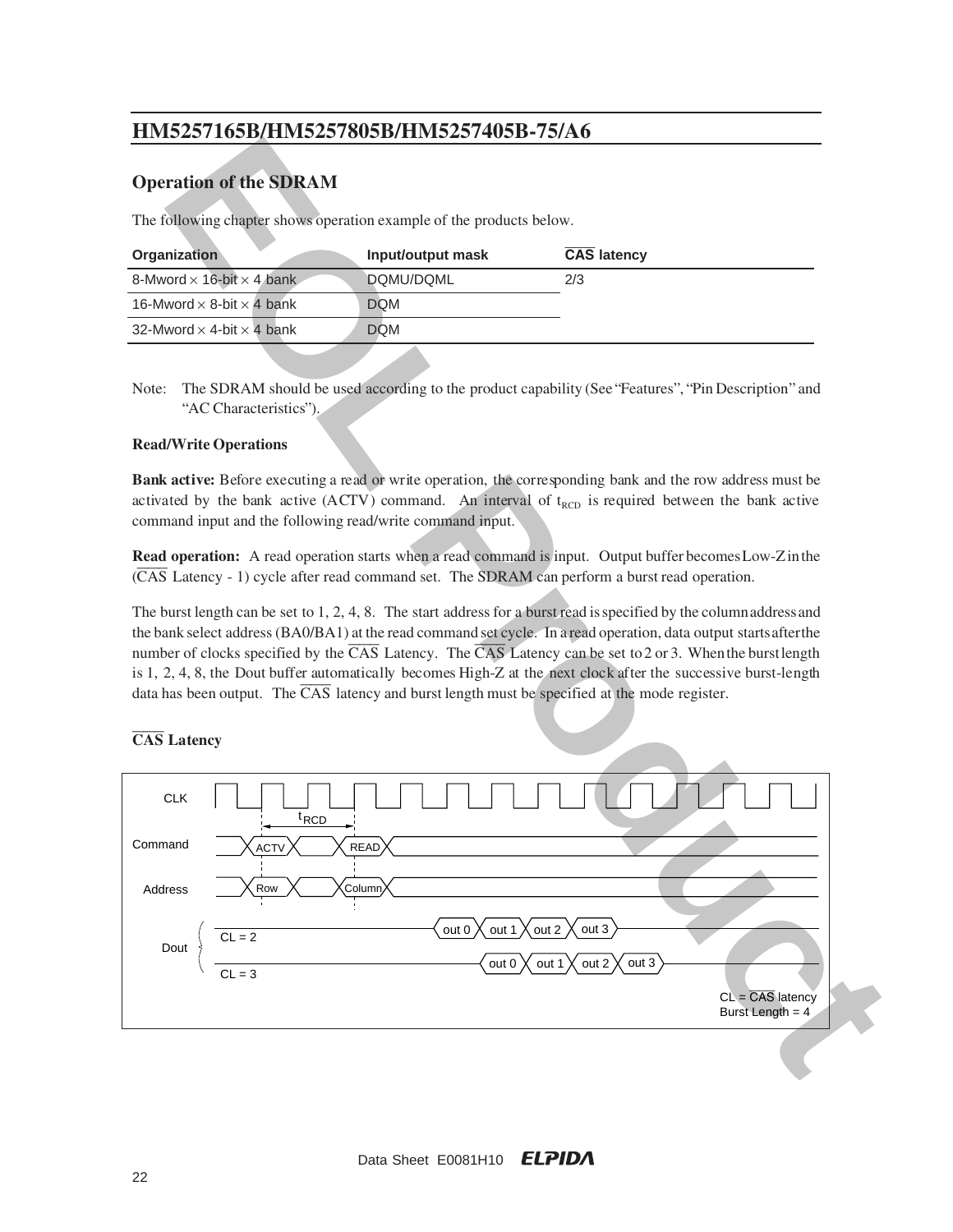## **Operation of the SDRAM**

The following chapter shows operation example of the products below.

| <b>Organization</b>                     | Input/output mask | <b>CAS latency</b> |
|-----------------------------------------|-------------------|--------------------|
| 8-Mword $\times$ 16-bit $\times$ 4 bank | DQMU/DQML         | 2/3                |
| 16-Mword $\times$ 8-bit $\times$ 4 bank | <b>DOM</b>        |                    |
| 32-Mword $\times$ 4-bit $\times$ 4 bank | <b>DQM</b>        |                    |
|                                         |                   |                    |

Note: The SDRAM should be used according to the product capability (See "Features", "Pin Description" and "AC Characteristics").

### **Read/Write Operations**

**Bank active:** Before executing a read or write operation, the corresponding bank and the row address must be activated by the bank active (ACTV) command. An interval of  $t_{\text{RCD}}$  is required between the bank active command input and the following read/write command input.

**Read operation:** A read operation starts when a read command is input. Output buffer becomes Low-Z in the (CAS Latency - 1) cycle after read command set. The SDRAM can perform a burst read operation.

The burst length can be set to 1, 2, 4, 8. The start address for a burst read is specified by the column address and the bank select address (BA0/BA1) at the read command set cycle. In a read operation, data output starts after the number of clocks specified by the  $\overline{CAS}$  Latency. The  $\overline{CAS}$  Latency can be set to 2 or 3. When the burst length is 1, 2, 4, 8, the Dout buffer automatically becomes High-Z at the next clock after the successive burst-length data has been output. The  $\overline{CAS}$  latency and burst length must be specified at the mode register.

### **CAS Latency**

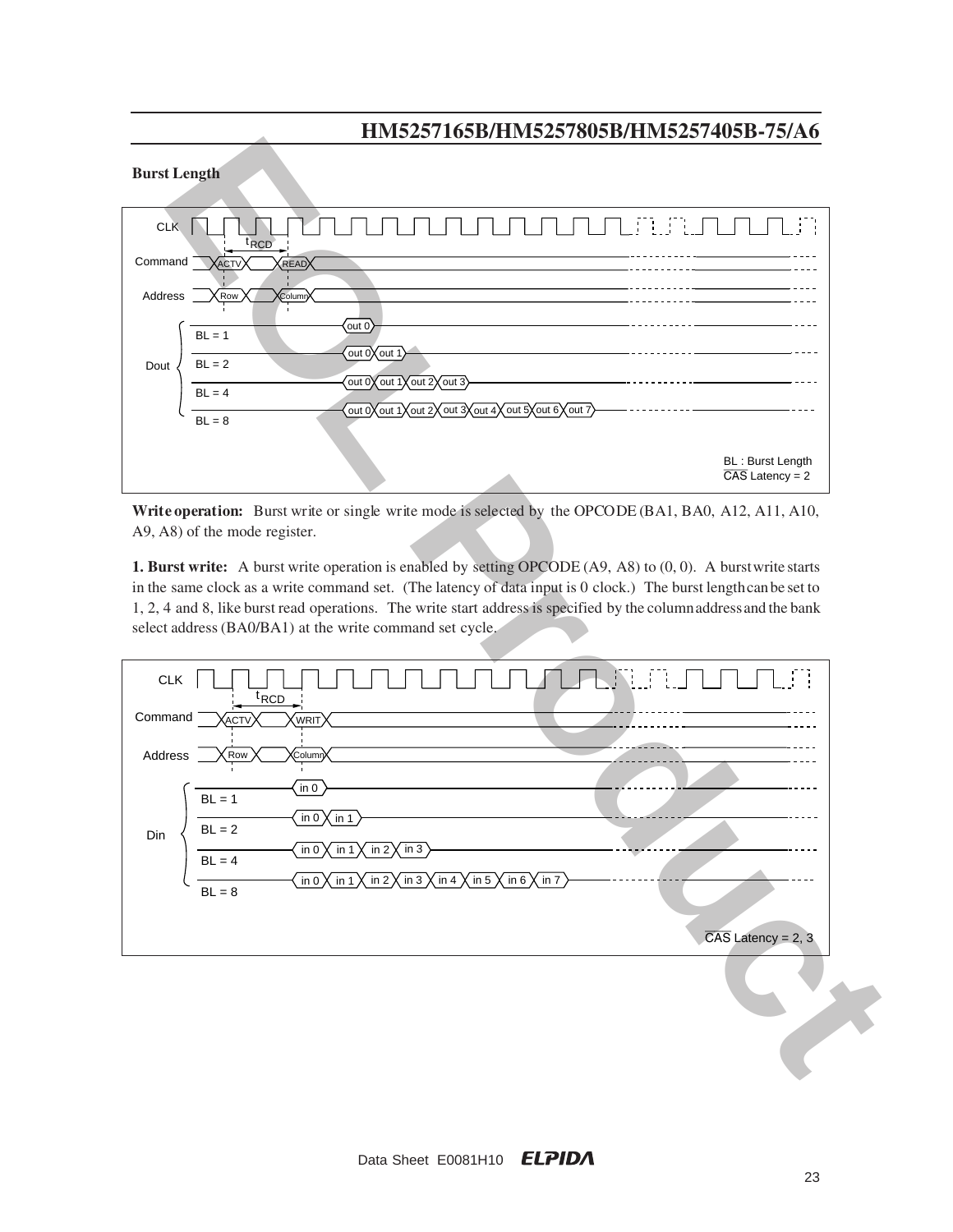

Write operation: Burst write or single write mode is selected by the OPCODE (BA1, BA0, A12, A11, A10, A9, A8) of the mode register.

**1. Burst write:** A burst write operation is enabled by setting OPCODE (A9, A8) to (0, 0). A burst write starts in the same clock as a write command set. (The latency of data input is 0 clock.) The burst length can be set to 1, 2, 4 and 8, like burst read operations. The write start address is specified by the column address and the bank select address (BA0/BA1) at the write command set cycle.

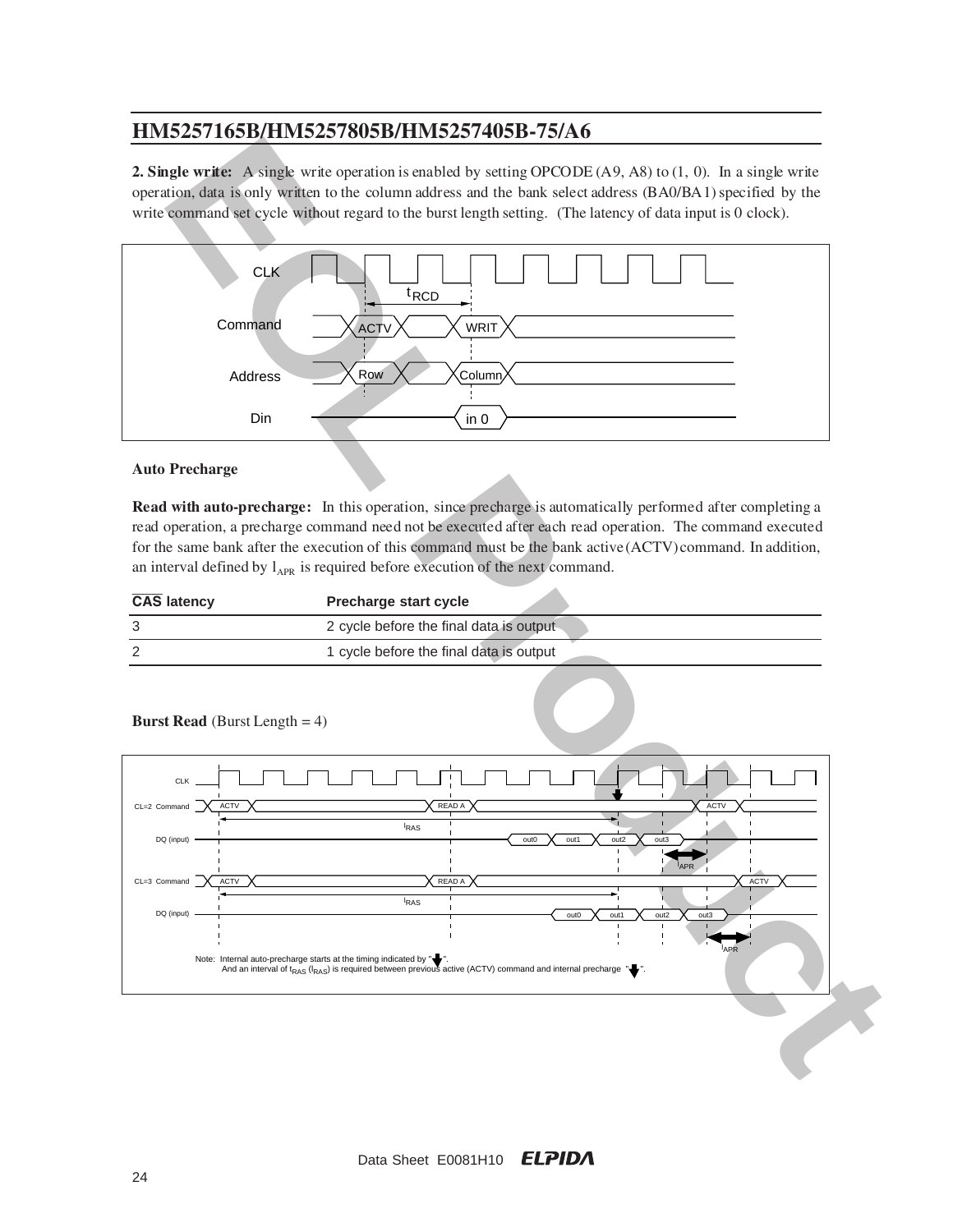**2. Single write:** A single write operation is enabled by setting OPCODE (A9, A8) to (1, 0). In a single write operation, data is only written to the column address and the bank select address (BA0/BA1) specified by the write command set cycle without regard to the burst length setting. (The latency of data input is 0 clock).



#### **Auto Precharge**

**Read with auto-precharge:** In this operation, since precharge is automatically performed after completing a read operation, a precharge command need not be executed after each read operation. The command executed for the same bank after the execution of this command must be the bank active (ACTV) command. In addition, an interval defined by  $l_{APR}$  is required before execution of the next command.

| <b>CAS latency</b> | <b>Precharge start cycle</b>            |
|--------------------|-----------------------------------------|
|                    | 2 cycle before the final data is output |
|                    | 1 cycle before the final data is output |



**Burst Read** (Burst Length = 4)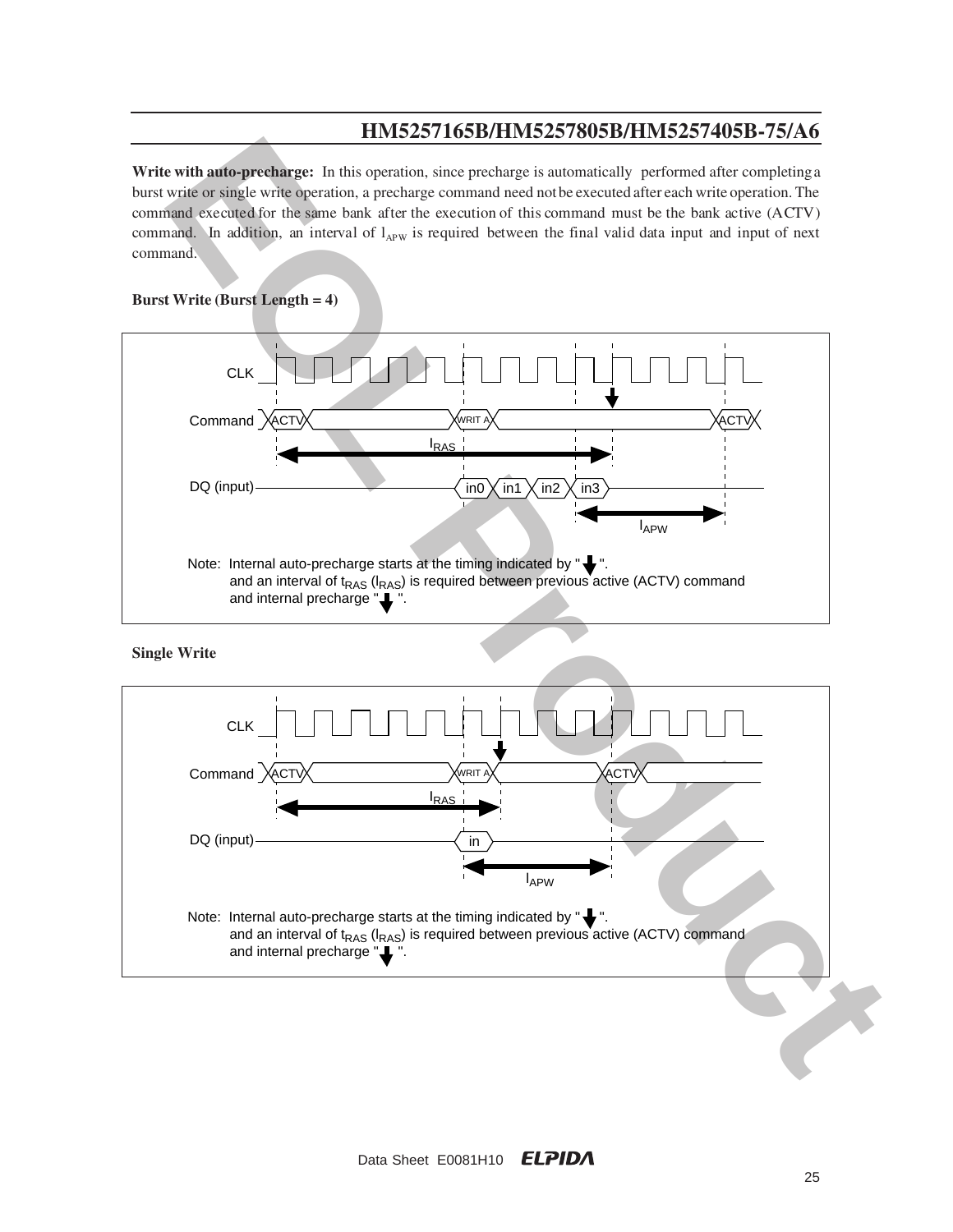**Write with auto-precharge:** In this operation, since precharge is automatically performed after completing a burst write or single write operation, a precharge command need not be executed after each write operation. The command executed for the same bank after the execution of this command must be the bank active (ACTV) command. In addition, an interval of  $l_{APW}$  is required between the final valid data input and input of next command.

### **Burst Write (Burst Length = 4)**



**Single Write**

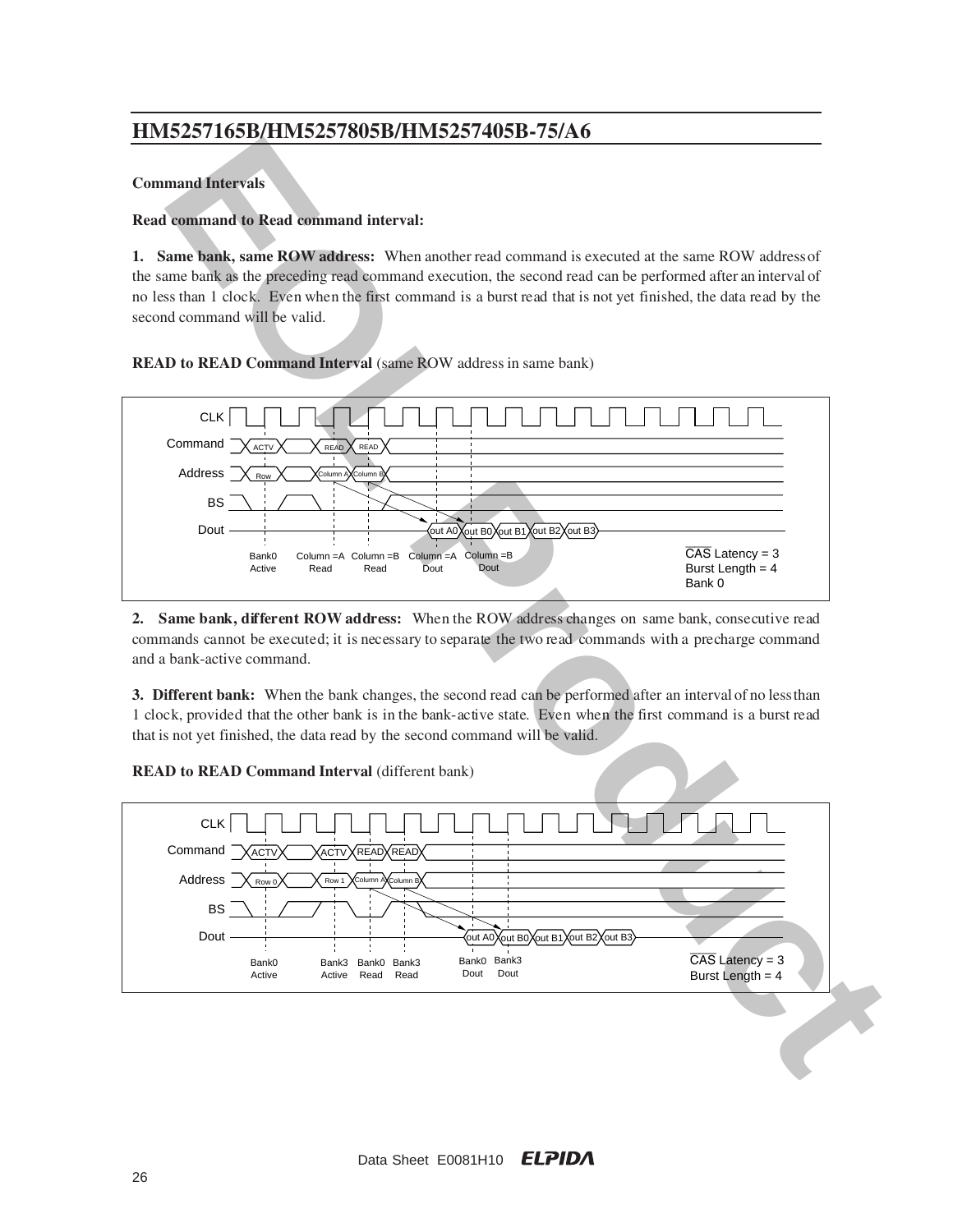#### **Command Intervals**

### **Read command to Read command interval:**

**1. Same bank, same ROW address:** When another read command is executed at the same ROW address of the same bank as the preceding read command execution, the second read can be performed after an interval of no less than 1 clock. Even when the first command is a burst read that is not yet finished, the data read by the second command will be valid.

### **READ to READ Command Interval** (same ROW address in same bank)



**2. Same bank, different ROW address:** When the ROW address changes on same bank, consecutive read commands cannot be executed; it is necessary to separate the two read commands with a precharge command and a bank-active command.

**3. Different bank:** When the bank changes, the second read can be performed after an interval of no less than 1 clock, provided that the other bank is in the bank-active state. Even when the first command is a burst read that is not yet finished, the data read by the second command will be valid.

**READ to READ Command Interval** (different bank)

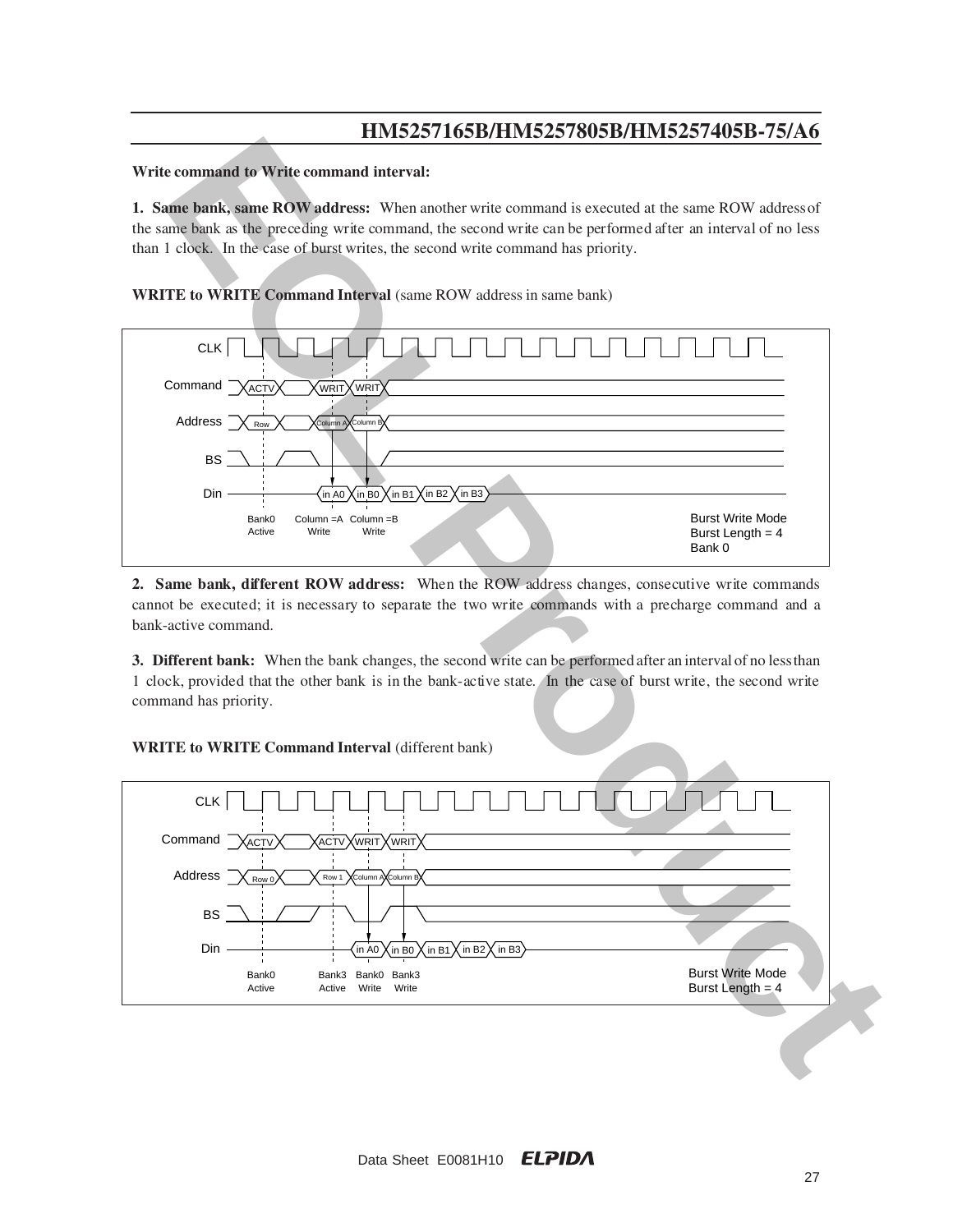#### **Write command to Write command interval:**

**1. Same bank, same ROW address:** When another write command is executed at the same ROW address of the same bank as the preceding write command, the second write can be performed after an interval of no less than 1 clock. In the case of burst writes, the second write command has priority.

**WRITE to WRITE Command Interval** (same ROW address in same bank)



2. Same bank, different ROW address: When the ROW address changes, consecutive write commands cannot be executed; it is necessary to separate the two write commands with a precharge command and a bank-active command.

**3. Different bank:** When the bank changes, the second write can be performed after an interval of no less than 1 clock, provided that the other bank is in the bank-active state. In the case of burst write, the second write command has priority.

**WRITE to WRITE Command Interval (different bank)** 

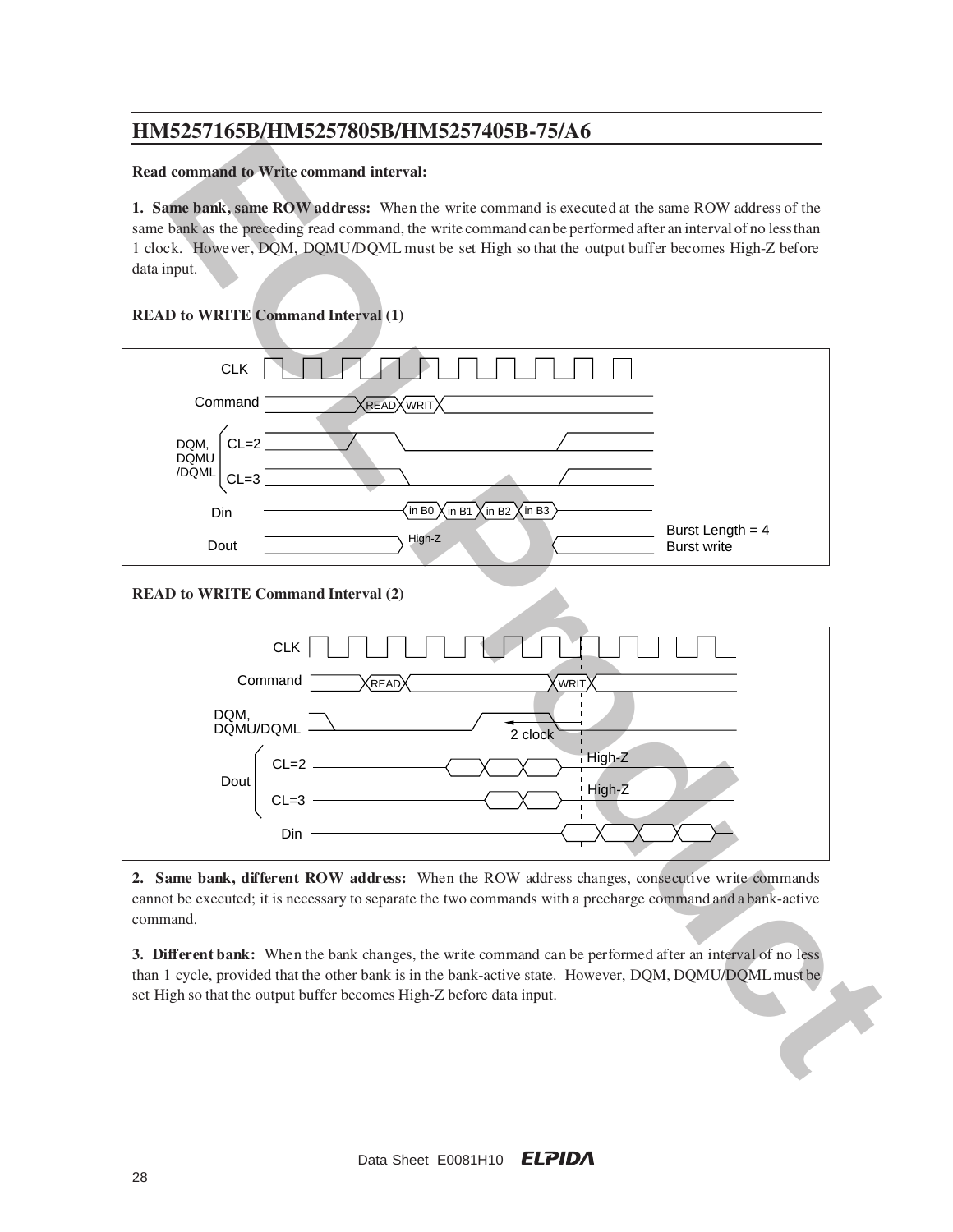### **Read command to Write command interval:**

**1. Same bank, same ROW address:** When the write command is executed at the same ROW address of the same bank as the preceding read command, the write command can be performed after an interval of no less than 1 clock. However, DQM, DQMU/DQML must be set High so that the output buffer becomes High-Z before data input.

# **READ to WRITE Command Interval (1)**



**READ to WRITE Command Interval (2)**



**2. Same bank, different ROW address:** When the ROW address changes, consecutive write commands cannot be executed; it is necessary to separate the two commands with a precharge command and a bank-active command.

**3. Different bank:** When the bank changes, the write command can be performed after an interval of no less than 1 cycle, provided that the other bank is in the bank-active state. However, DQM, DQMU/DQML must be set High so that the output buffer becomes High-Z before data input.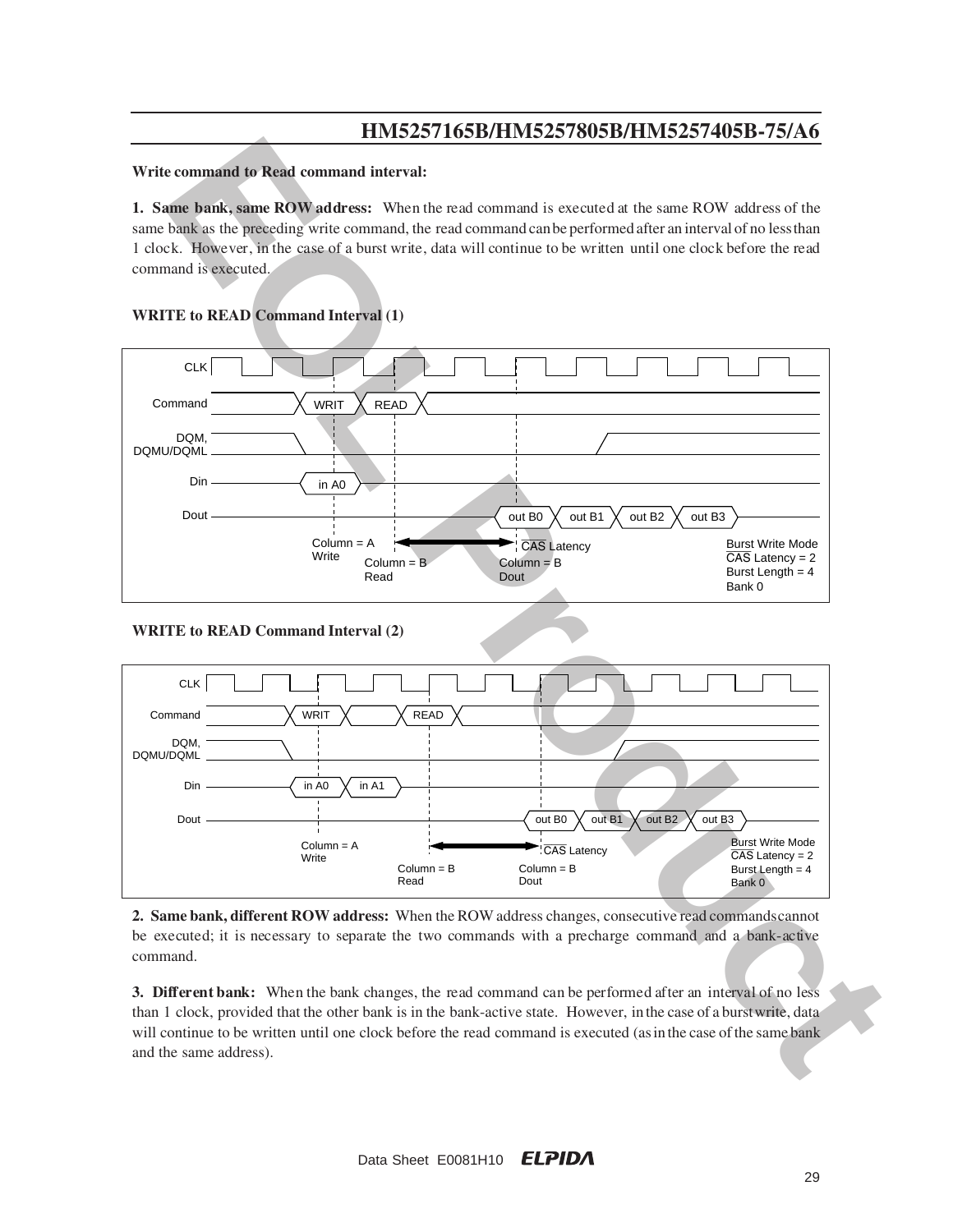#### **Write command to Read command interval:**

**1. Same bank, same ROW address:** When the read command is executed at the same ROW address of the same bank as the preceding write command, the read command can be performed after an interval of no less than 1 clock. Howe ver, in the case of a burst write, data will continue to be written until one clock before the read command is executed.



### **WRITE to READ Command Interval (1)**

**WRITE to READ Command Interval (2)**



**2. Same bank, different ROW address:** When the ROW address changes, consecutive read commands cannot be executed; it is necessary to separate the two commands with a precharge command and a bank-active command.

**3. Different bank:** When the bank changes, the read command can be performed after an interval of no less than 1 clock, provided that the other bank is in the bank-active state. However, in the case of a burst write, data will continue to be written until one clock before the read command is executed (as in the case of the same bank and the same address).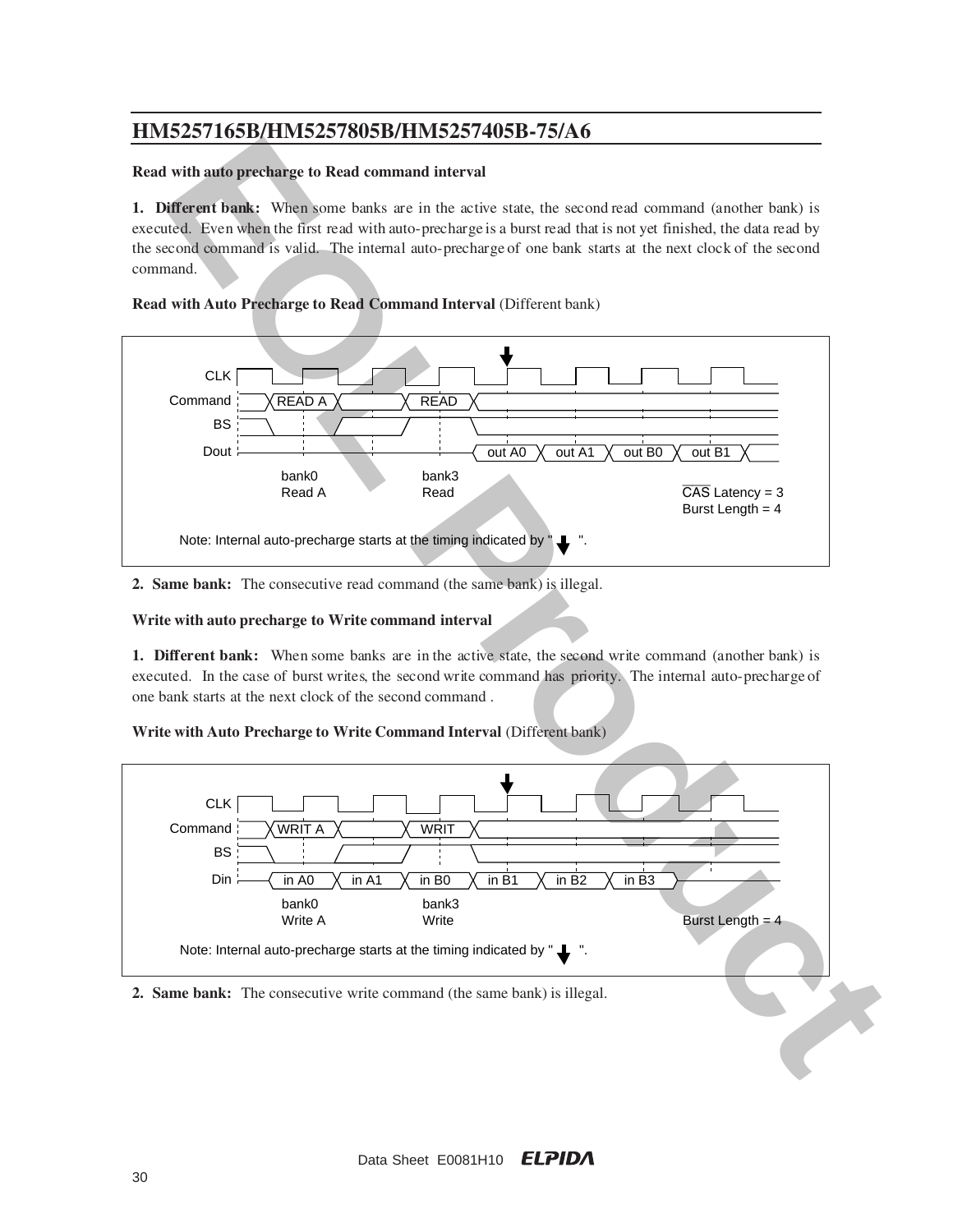#### **Read with auto precharge to Read command interval**

**1. Different bank:** When some banks are in the active state, the second read command (another bank) is executed. Even when the first read with auto-precharge is a burst read that is not yet finished, the data read by the second command is valid. The internal auto-precharge of one bank starts at the next clock of the second command.

### **Read with Auto Precharge to Read Command Interval (Different bank)**



**2. Same bank:** The consecutive read command (the same bank) is illegal.

### **Write with auto precharge to Write command interval**

**1. Different bank:** When some banks are in the active state, the second write command (another bank) is executed. In the case of burst writes, the second write command has priority. The internal auto-precharge of one bank starts at the next clock of the second command .

### **Write with Auto Precharge to Write Command Interval** (Different bank)



#### **2. Same bank:** The consecutive write command (the same bank) is illegal.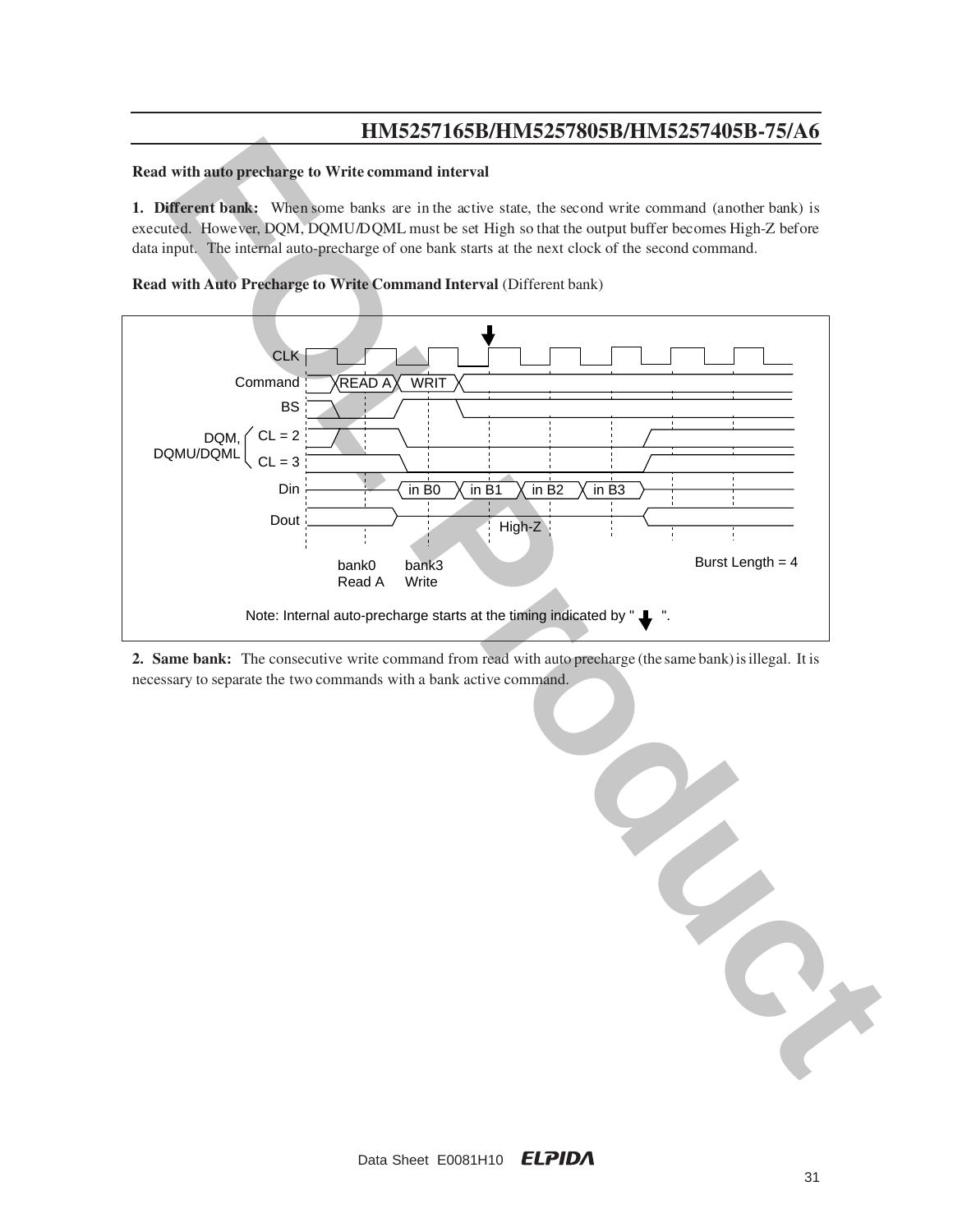#### **Read with auto precharge to Write command interval**

**1. Different bank:** When some banks are in the active state, the second write command (another bank) is executed. However, DQM, DQMU/DQML must be set High so that the output buffer becomes High-Z before data input. The internal auto-precharge of one bank starts at the next clock of the second command.





**2. Same bank:** The consecutive write command from read with auto precharge (the same bank) is illegal. It is necessary to separate the two commands with a bank active command.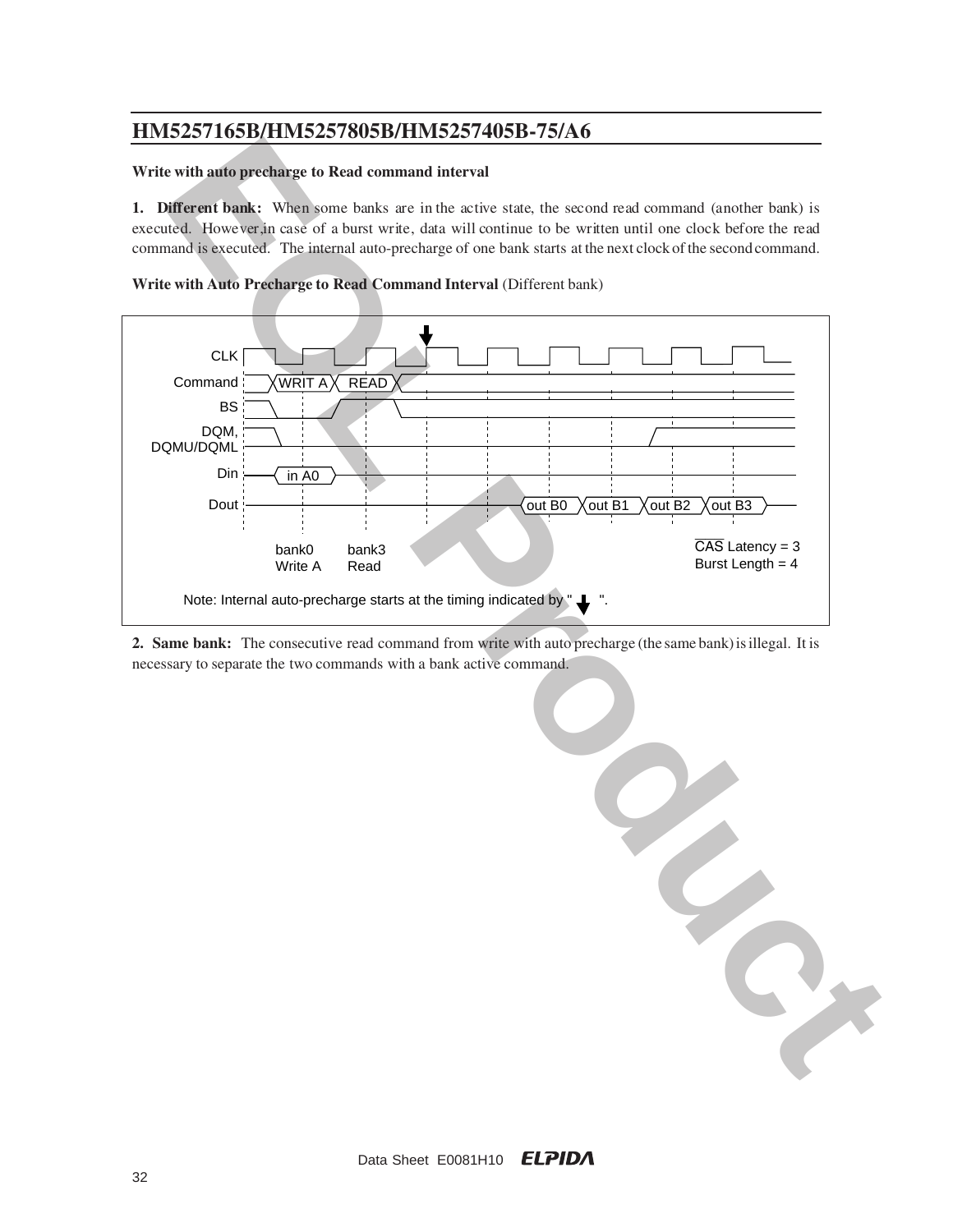### **Write with auto precharge to Read command interval**

**1. Different bank:** When some banks are in the active state, the second read command (another bank) is executed. However, in case of a burst write, data will continue to be written until one clock before the read command is executed. The internal auto-precharge of one bank starts at the next clock of the second command.



**Write with Auto Precharge to Read Command Interval** (Different bank)

**2. Same bank:** The consecutive read command from write with auto precharge (the same bank) is illegal. It is necessary to separate the two commands with a bank active command.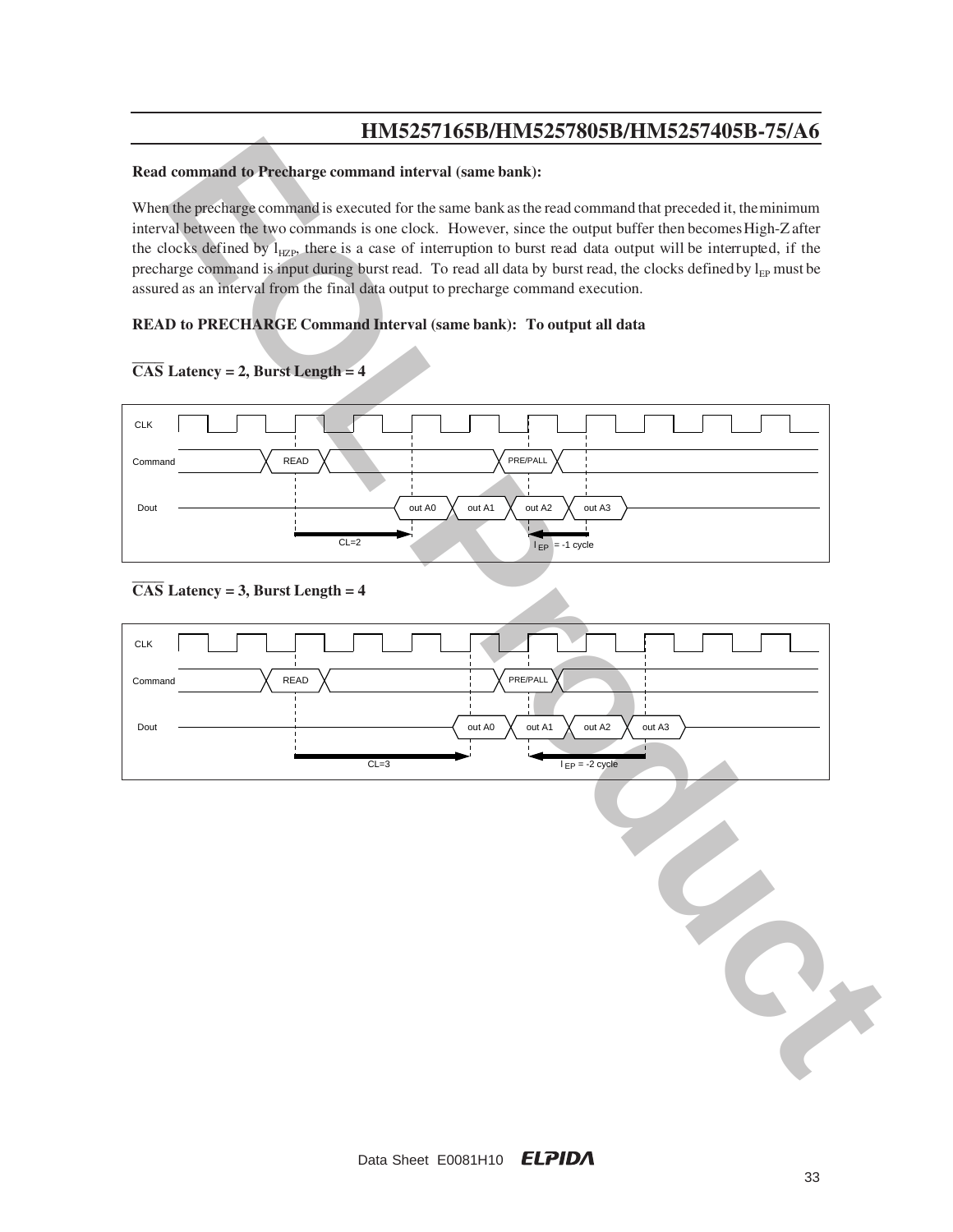#### **Read command to Precharge command interval (same bank):**

When the precharge command is executed for the same bank as the read command that preceded it, the minimum interval between the two commands is one clock. However, since the output buffer then becomes High-Z after the clocks defined by  $l_{HZP}$ , there is a case of interruption to burst read data output will be interrupted, if the precharge command is input during burst read. To read all data by burst read, the clocks defined by l<sub>EP</sub> must be assured as an interval from the final data output to precharge command execution.

### **READ to PRECHARGE Command Interval (same bank): To output all data**



### $\overline{CAS}$  Latency = 2, Burst Length = 4

### **CAS Latency = 3, Burst Length = 4**

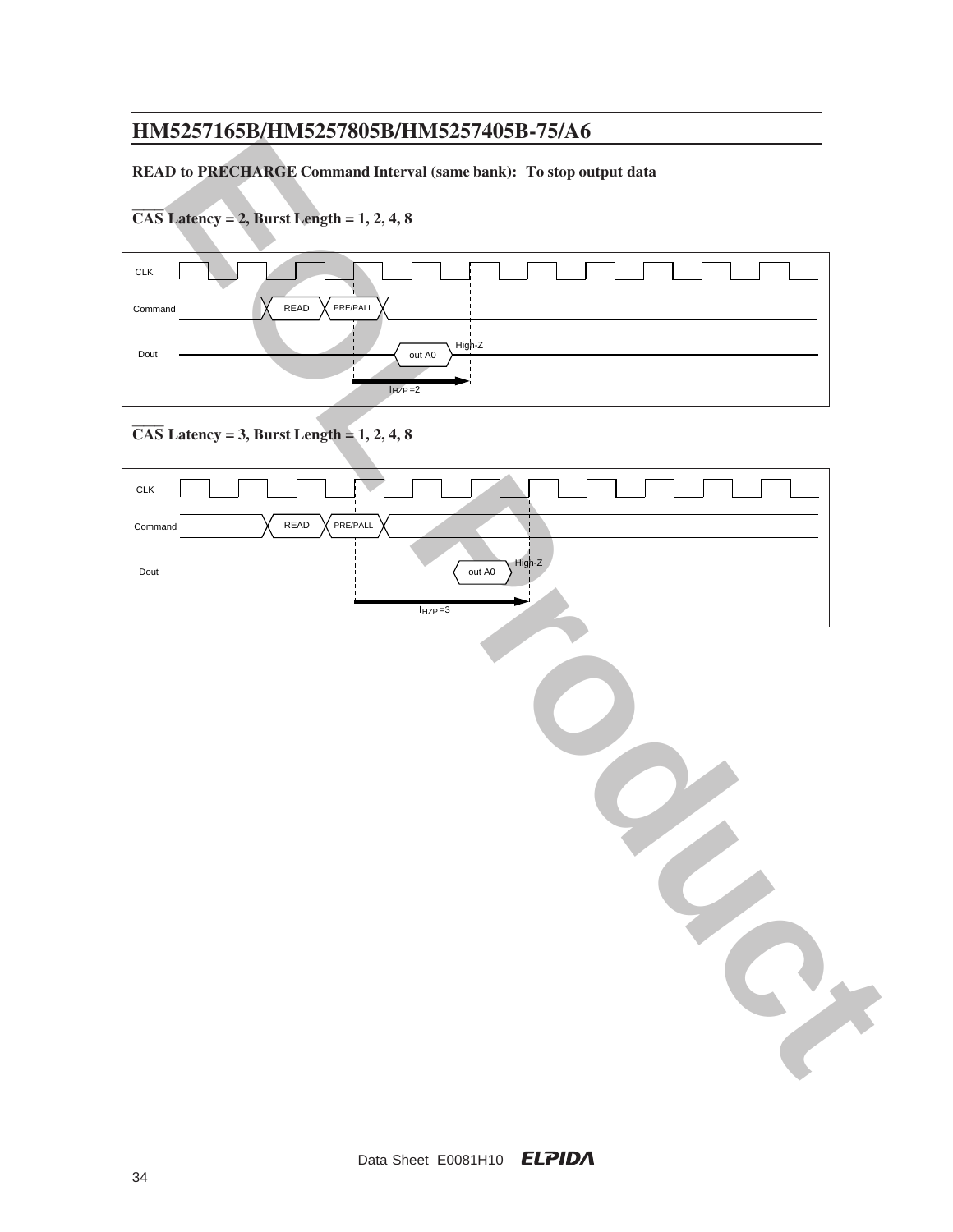### **READ to PRECHARGE Command Interval (same bank): To stop output data**

**CAS Latency = 2, Burst Length = 1, 2, 4, 8**



### **CAS Latency = 3, Burst Length = 1, 2, 4, 8**

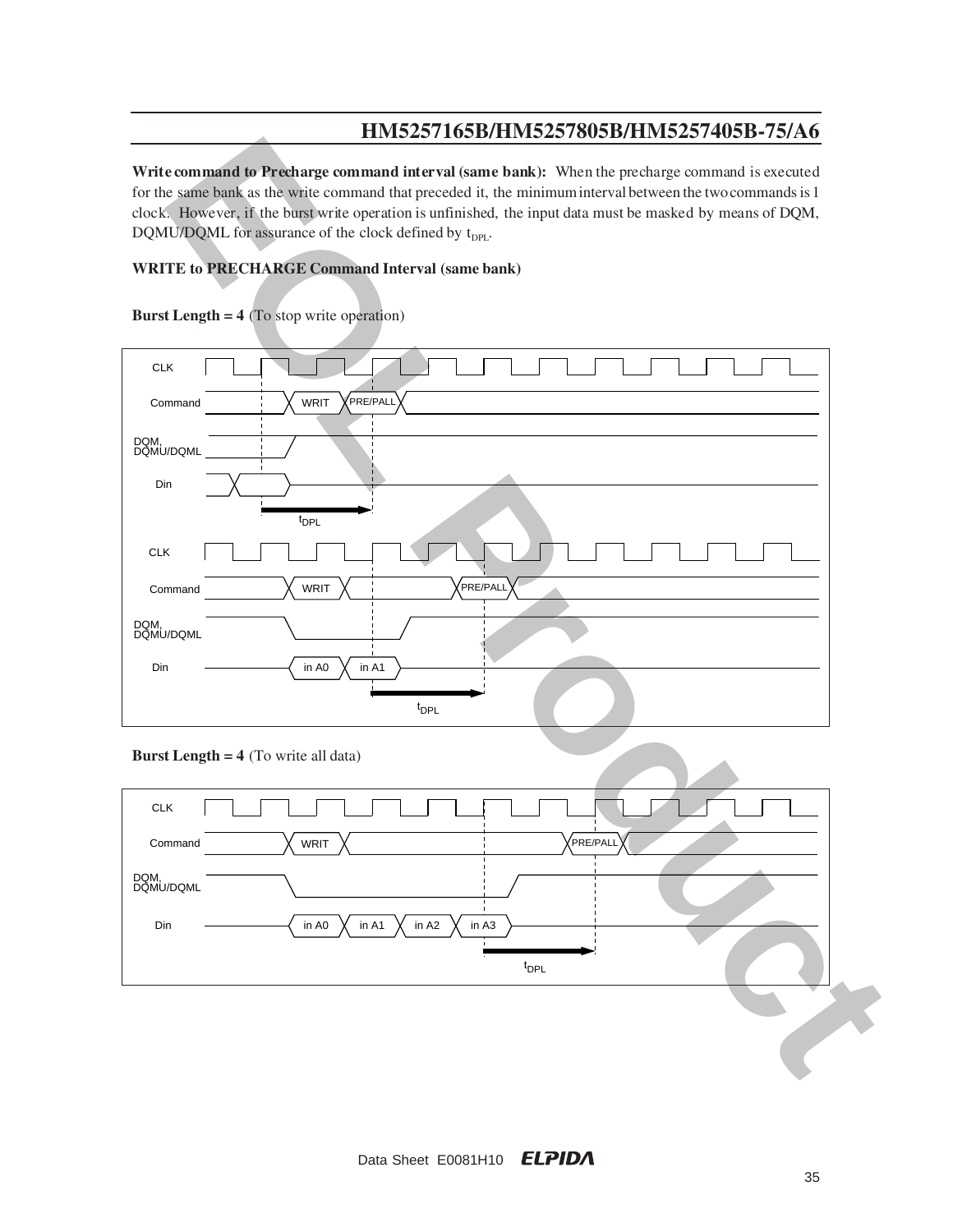**Write command to Precharge command interval (same bank):** When the precharge command is executed for the same bank as the write command that preceded it, the minimum interval between the two commands is 1 clock. However, if the burst write operation is unfinished, the input data must be masked by means of DQM, DQMU/DQML for assurance of the clock defined by  $t_{DPL}$ .

### **WRITE to PRECHARGE Command Interval (same bank)**



**Burst Length = 4** (To stop write operation)

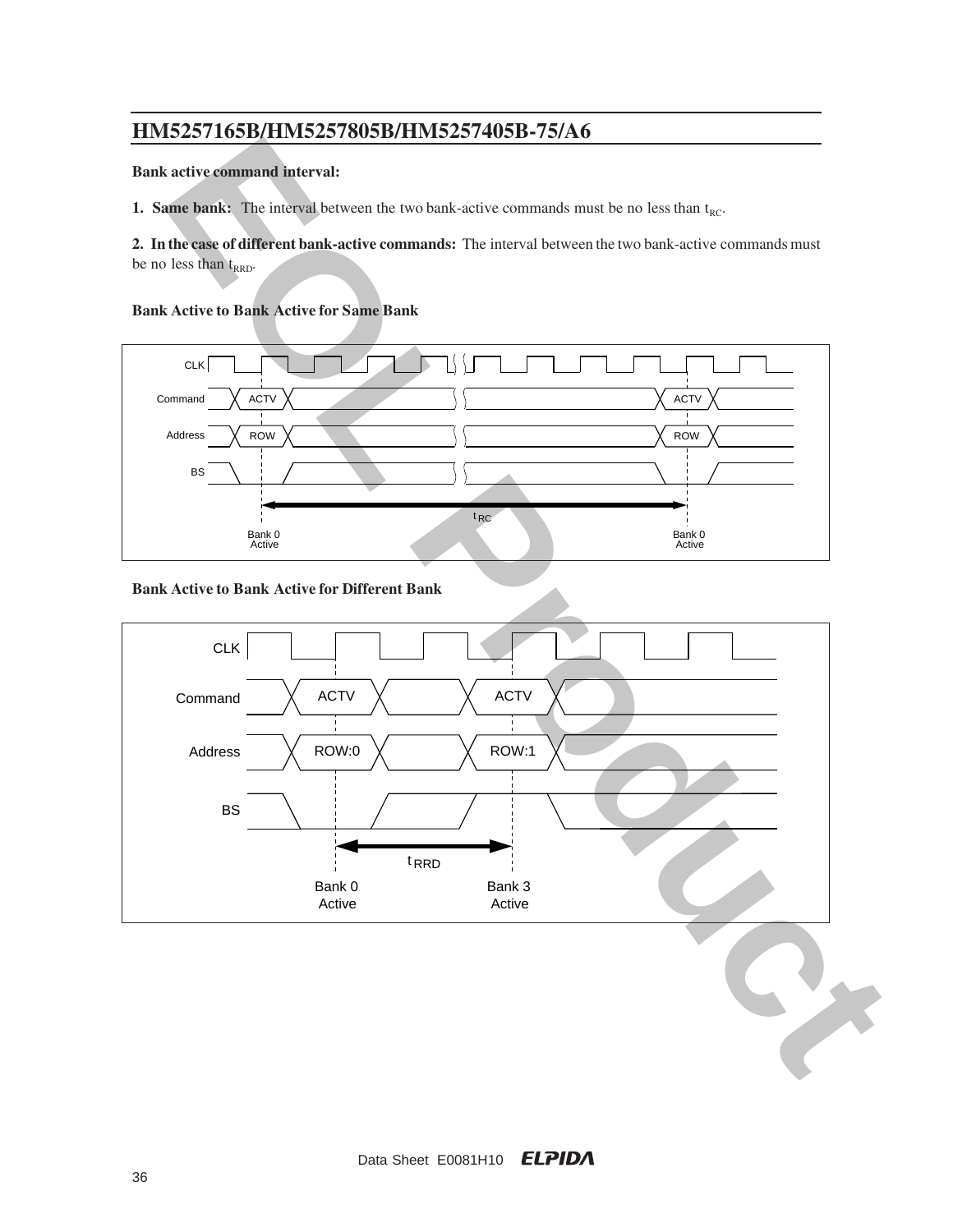### **Bank active command interval:**

**1. Same bank:** The interval between the two bank-active commands must be no less than  $t_{RC}$ .

**2. In the case of different bank-active commands:** The interval between the two bank-active commands must be no less than  $t_{RRD}$ .

#### **Bank Active to Bank Active for Same Bank**



#### **Bank Active to Bank Active for Different Bank**

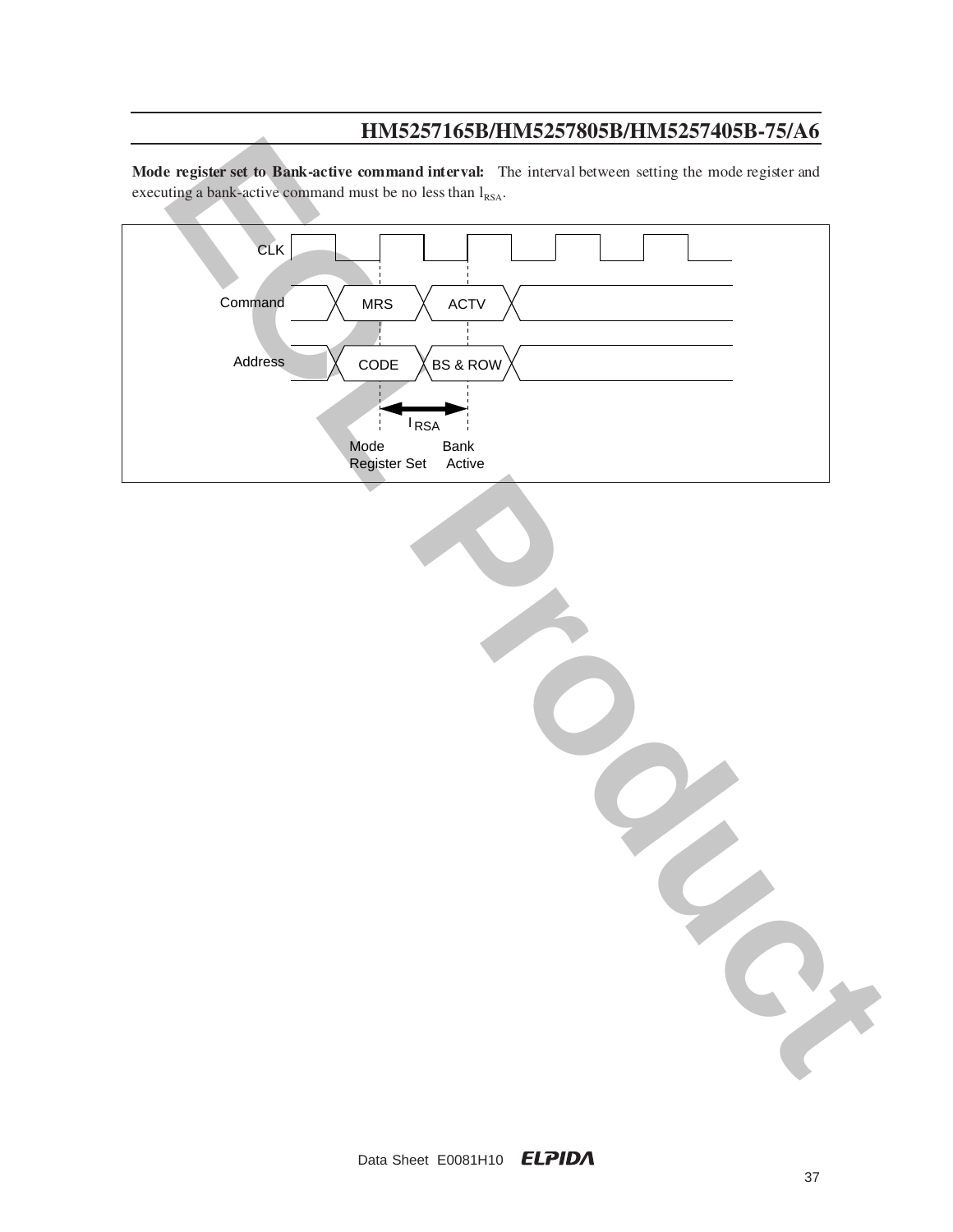Mode register set to Bank-active command interval: The interval between setting the mode register and executing a bank-active command must be no less than  $l_{\text{RSA}}$ .

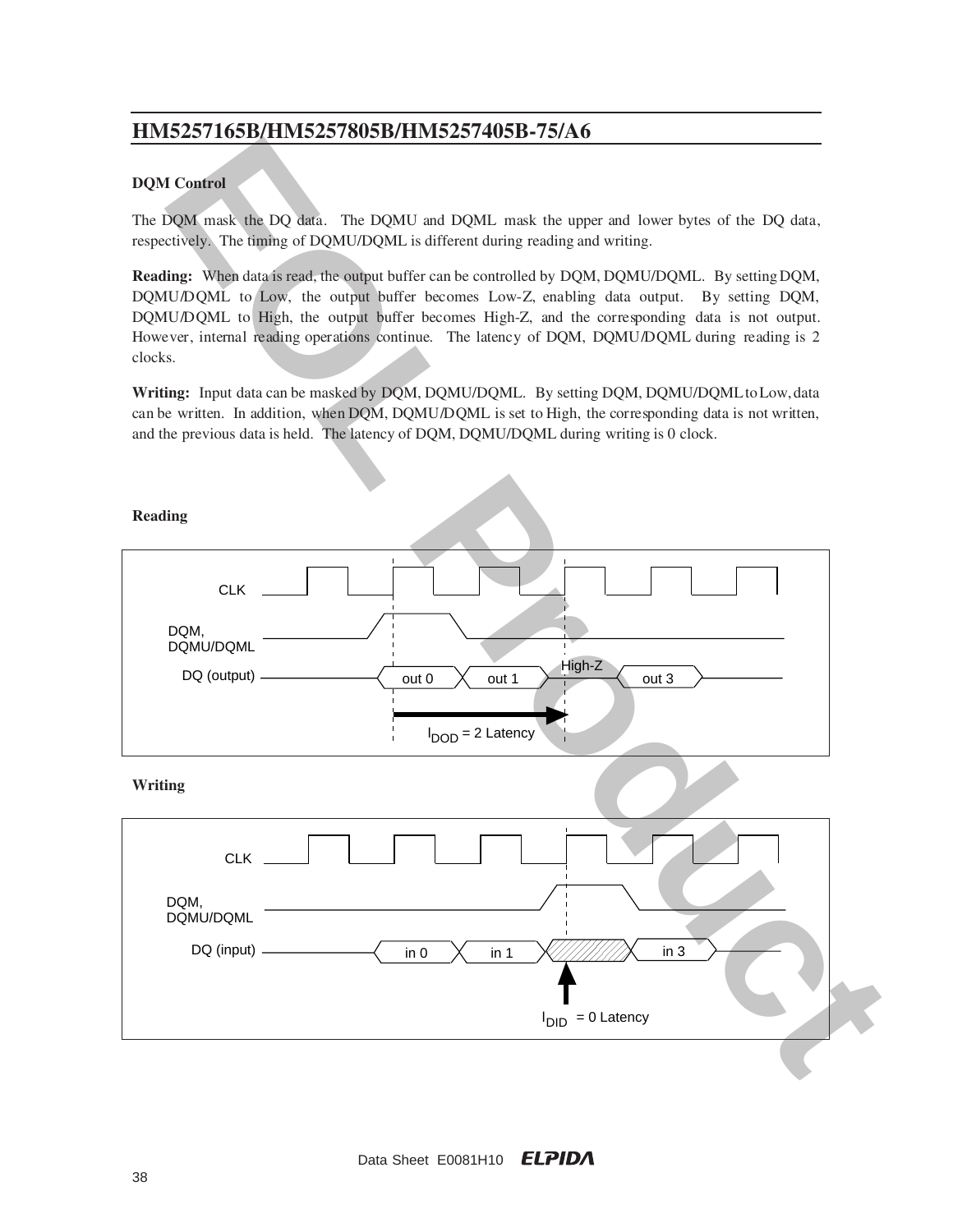### **DQM Control**

The DQM mask the DQ data. The DQMU and DQML mask the upper and lower bytes of the DQ data, respectively. The timing of DQMU/DQML is different during reading and writing.

**Reading:** When data is read, the output buffer can be controlled by DQM, DQMU/DQML. By setting DQM, DQMU/DQML to Low, the output buffer becomes Low-Z, enabling data output. By setting DQM, DQMU/DQML to High, the output buffer becomes High-Z, and the corresponding data is not output. Howe ver, internal reading operations continue. The latency of DQM, DQMU/DQML during reading is 2 clocks.

**Writing:** Input data can be masked by DQM, DQMU/DQML. By setting DQM, DQMU/DQML to Low, data can be written. In addition, when DQM, DQMU/DQML is set to High, the corresponding data is not written, and the previous data is held. The latency of DQM, DQMU/DQML during writing is 0 clock.

#### **Reading**

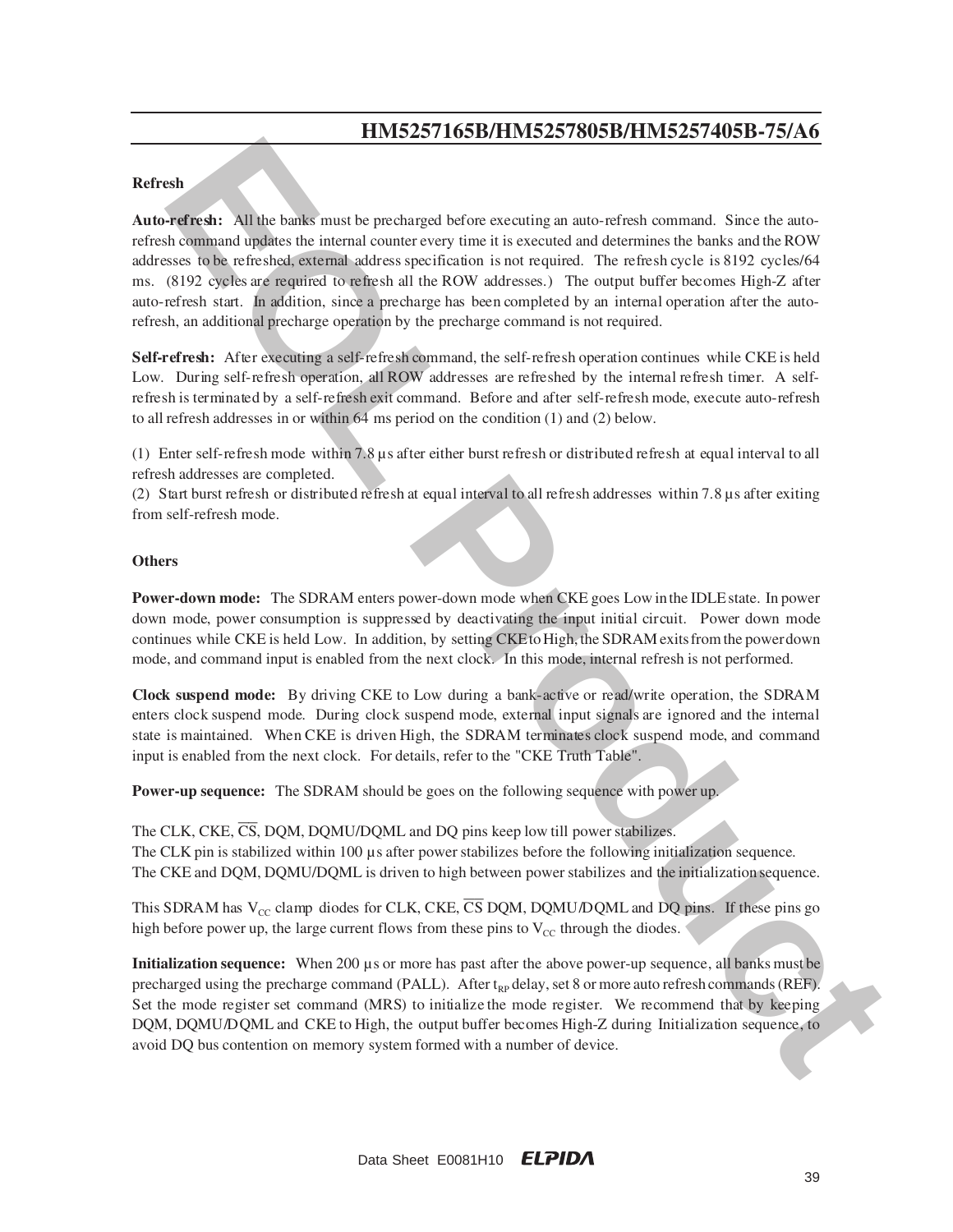#### **Refresh**

**EVALUATION**<br> **EVALUATION**<br> **EVALUATION**<br> **EVALUATION**<br> **EVALUATION**<br> **EVALUATION**<br> **EVALUATION**<br> **EVALUATION**<br> **EVALUATION**<br> **EVALUATION**<br> **EVALUATION**<br> **EVALUATION**<br> **EVALUATION**<br> **EVALUATION**<br> **EVALUATION**<br> **EVALUATION Auto-refresh:** All the banks must be precharged before executing an auto-refresh command. Since the autorefresh command updates the internal counter every time it is executed and determines the banks and the ROW addresses to be refreshed, external address specification is not required. The refresh cycle is 8192 cycles/64 ms. (8192 cycles are required to refresh all the ROW addresses.) The output buffer becomes High-Z after auto-refresh start. In addition, since a precharge has been completed by an internal operation after the autorefresh, an additional precharge operation by the precharge command is not required.

**Self-refresh:** After executing a self-refresh command, the self-refresh operation continues while CKE is held Low. During self-refresh operation, all ROW addresses are refreshed by the internal refresh timer. A selfre fre sh is terminated by a self-refresh exit command. Before and after self-refresh mode, execute auto-refresh to all refresh addresses in or within 64 ms period on the condition (1) and (2) below.

(1) Enter self-refresh mode within  $7.8 \mu s$  after either burst refresh or distributed refresh at equal interval to all refresh addresses are completed.

(2) Start burst refresh or distributed refresh at equal interval to all refresh addresses within  $7.8 \mu s$  after exiting from self-refresh mode.

#### **Others**

**Power-down mode:** The SDRAM enters power-down mode when CKE goes Low in the IDLE state. In power down mode, power consumption is suppressed by deactivating the input initial circuit. Power down mode continues while CKE is held Low. In addition, by setting CKE to High, the SDRAM exits from the power down mode, and command input is enabled from the next clock. In this mode, internal refresh is not performed.

**Clock suspend mode:** By driving CKE to Low during a bank-active or read/write operation, the SDRAM enters clock suspend mode. During clock suspend mode, external input signals are ignored and the internal state is maintained. When CKE is driven High, the SDRAM terminates clock suspend mode, and command input is enabled from the next clock. For details, refer to the "CKE Truth Table".

**Power-up sequence:** The SDRAM should be goes on the following sequence with power up.

The CLK, CKE,  $\overline{\text{CS}}$ , DOM, DOMU/DOML and DO pins keep low till power stabilizes. The CLK pin is stabilized within 100 µs after power stabilizes before the following initialization sequence. The CKE and DQM, DQMU/DQML is driven to high between power stabilizes and the initialization sequence.

This SDRAM has  $V_{CC}$  clamp diodes for CLK, CKE, CS DQM, DQMU/DQML and DQ pins. If these pins go high before power up, the large current flows from these pins to  $V_{\text{CC}}$  through the diodes.

**Initialization sequence:** When 200 µs or more has past after the above power-up sequence, all banks must be precharged using the precharge command (PALL). After  $t_{RP}$  delay, set 8 or more auto refresh commands (REF). Set the mode register set command (MRS) to initialize the mode register. We recommend that by keeping DQM, DQMU/DQML and CKE to High, the output buffer becomes High-Z during Initialization sequence, to avoid DQ bus contention on memory system formed with a number of device.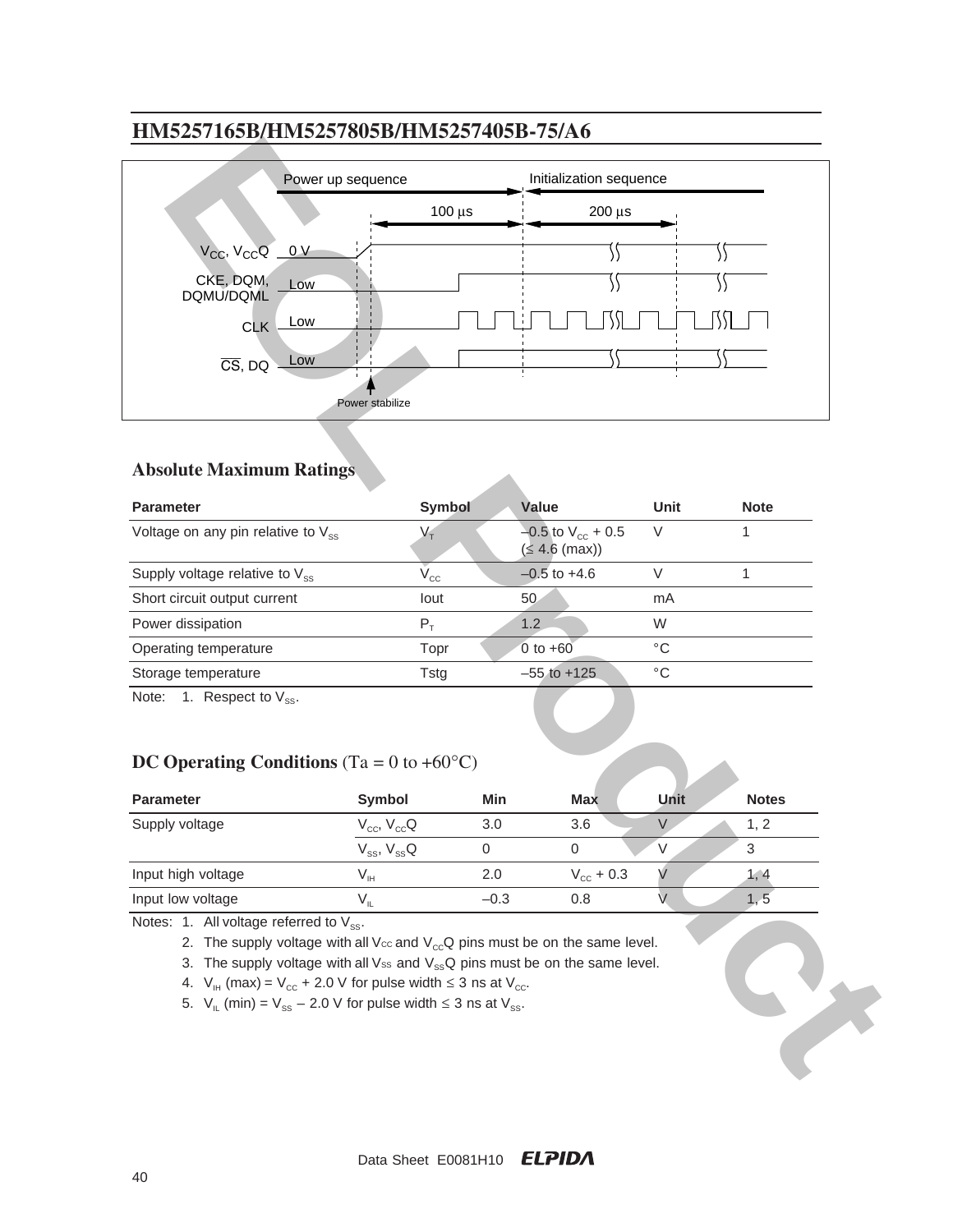

### **Absolute Maximum Ratings**

| <b>Parameter</b>                        | Symbol       | Value                                       | Unit | <b>Note</b> |
|-----------------------------------------|--------------|---------------------------------------------|------|-------------|
| Voltage on any pin relative to $V_{ss}$ |              | $-0.5$ to $V_{cc}$ + 0.5<br>$(≤ 4.6$ (max)) | V    |             |
| Supply voltage relative to $V_{ss}$     | $V_{\rm CC}$ | $-0.5$ to $+4.6$                            |      |             |
| Short circuit output current            | lout         | 50 <sub>1</sub>                             | mA   |             |
| Power dissipation                       | $P_{\tau}$   | 1.2                                         | W    |             |
| Operating temperature                   | Topr         | 0 to $+60$                                  | °C   |             |
| Storage temperature                     | Tstg         | $-55$ to $+125$                             | °C   |             |
|                                         |              |                                             |      |             |

Note: 1. Respect to  $V_{ss}$ .

### **DC Operating Conditions** (Ta = 0 to +60°C)

| <b>Parameter</b>   | Symbol               | Min    | <b>Max</b>            | Unit | <b>Notes</b> |
|--------------------|----------------------|--------|-----------------------|------|--------------|
| Supply voltage     | $V_{cc}$ , $V_{cc}Q$ | 3.0    | 3.6                   |      | 1, 2         |
|                    | $V_{ss}$ , $V_{ss}Q$ |        |                       |      | 3            |
| Input high voltage | V <sub>IH</sub>      | 2.0    | $V_{\text{cc}} + 0.3$ |      | 1, 4         |
| Input low voltage  |                      | $-0.3$ | 0.8                   |      | 1.5          |

Notes: 1. All voltage referred to  $V_{ss}$ .

- 2. The supply voltage with all V $cc$  and V $_{cc}Q$  pins must be on the same level.
- 3. The supply voltage with all Vss and  $V_{ss}Q$  pins must be on the same level.
- 4.  $V_{\text{IH}}$  (max) =  $V_{\text{cc}}$  + 2.0 V for pulse width  $\leq$  3 ns at  $V_{\text{cc}}$ .
- 5.  $V_{IL}$  (min) =  $V_{SS}$  2.0 V for pulse width  $\leq$  3 ns at  $V_{SS}$ .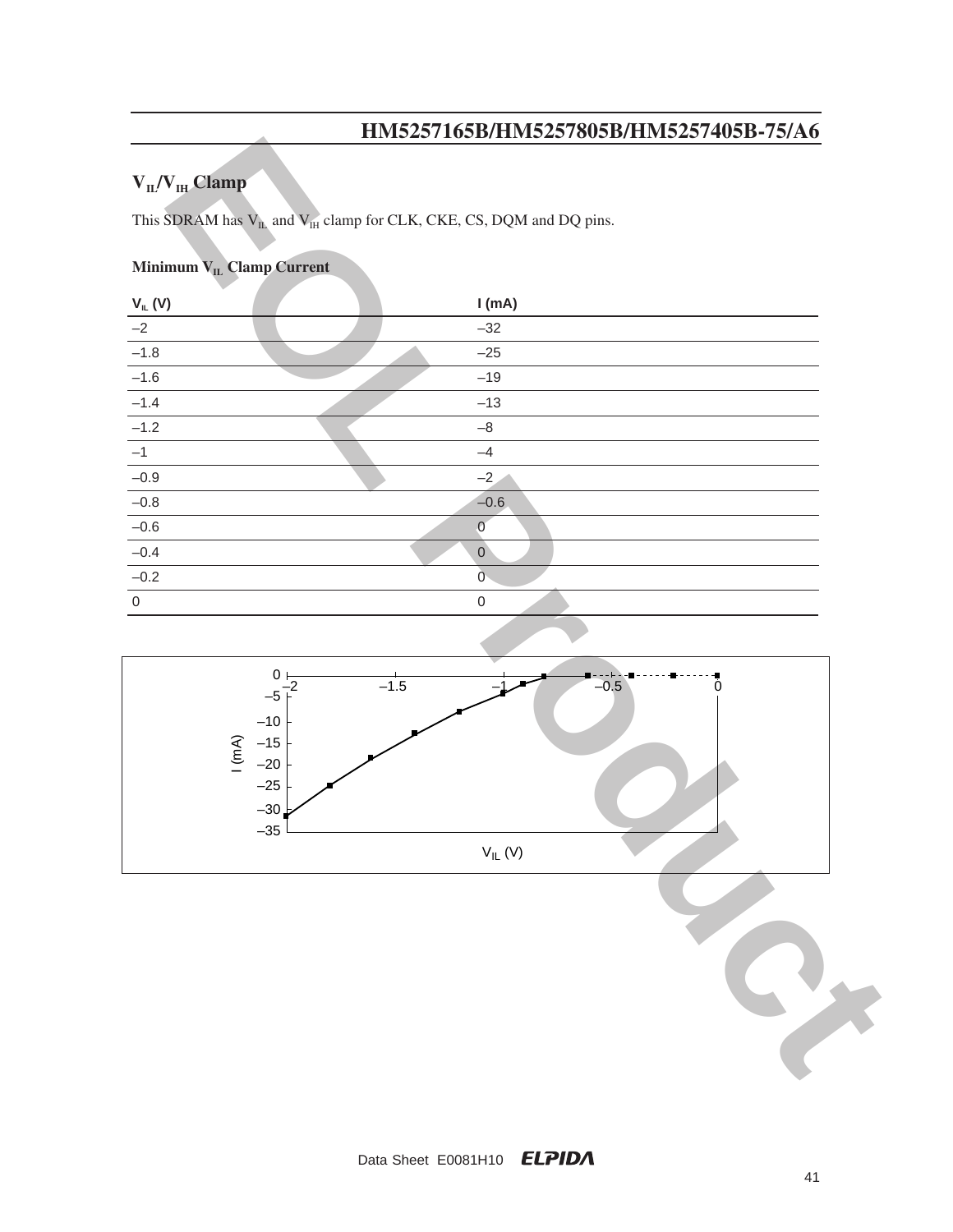# $V_{IL}/V_{IH}$  Clamp

## **Minimum V<sub>IL</sub> Clamp Current**

|                                                                                       | $1.10000$ $1.0000$ $1.00000$ $1.0000$ $1.0000$                                |
|---------------------------------------------------------------------------------------|-------------------------------------------------------------------------------|
| $V_{II}/V_{IH}$ Clamp                                                                 |                                                                               |
|                                                                                       | This SDRAM has $V_{IL}$ and $V_{IH}$ clamp for CLK, CKE, CS, DQM and DQ pins. |
|                                                                                       |                                                                               |
| Minimum VLL Clamp Current                                                             |                                                                               |
| $V_{IL} (V)$                                                                          | I(mA)                                                                         |
| $-2$                                                                                  | $-32$                                                                         |
| $-1.8$                                                                                | $-25$                                                                         |
| $-1.6$                                                                                | $-19$                                                                         |
| $-1.4$                                                                                | $-13$                                                                         |
| $-1.2$                                                                                | $-\bf 8$                                                                      |
| $-1$                                                                                  | $-4$                                                                          |
| $-0.9$                                                                                | $-2$                                                                          |
| $-0.8$                                                                                | $-0.6$                                                                        |
| $-0.6$                                                                                | $\overline{0}$                                                                |
| $-0.4$                                                                                | $\mathsf{O}$                                                                  |
| $-0.2$                                                                                | $\mathbf 0$                                                                   |
| $\mathbf 0$                                                                           | $\mathsf{O}\xspace$                                                           |
|                                                                                       |                                                                               |
| $0\frac{1}{2}$<br>$-5$<br>$-10$<br>1(mA)<br>$-15$<br>$-20$<br>$-25$<br>$-30$<br>$-35$ | $-1.5$<br>$-0.5$<br>0<br>$\mathsf{V}_{\mathsf{IL}}\left(\mathsf{V}\right)$    |
|                                                                                       |                                                                               |

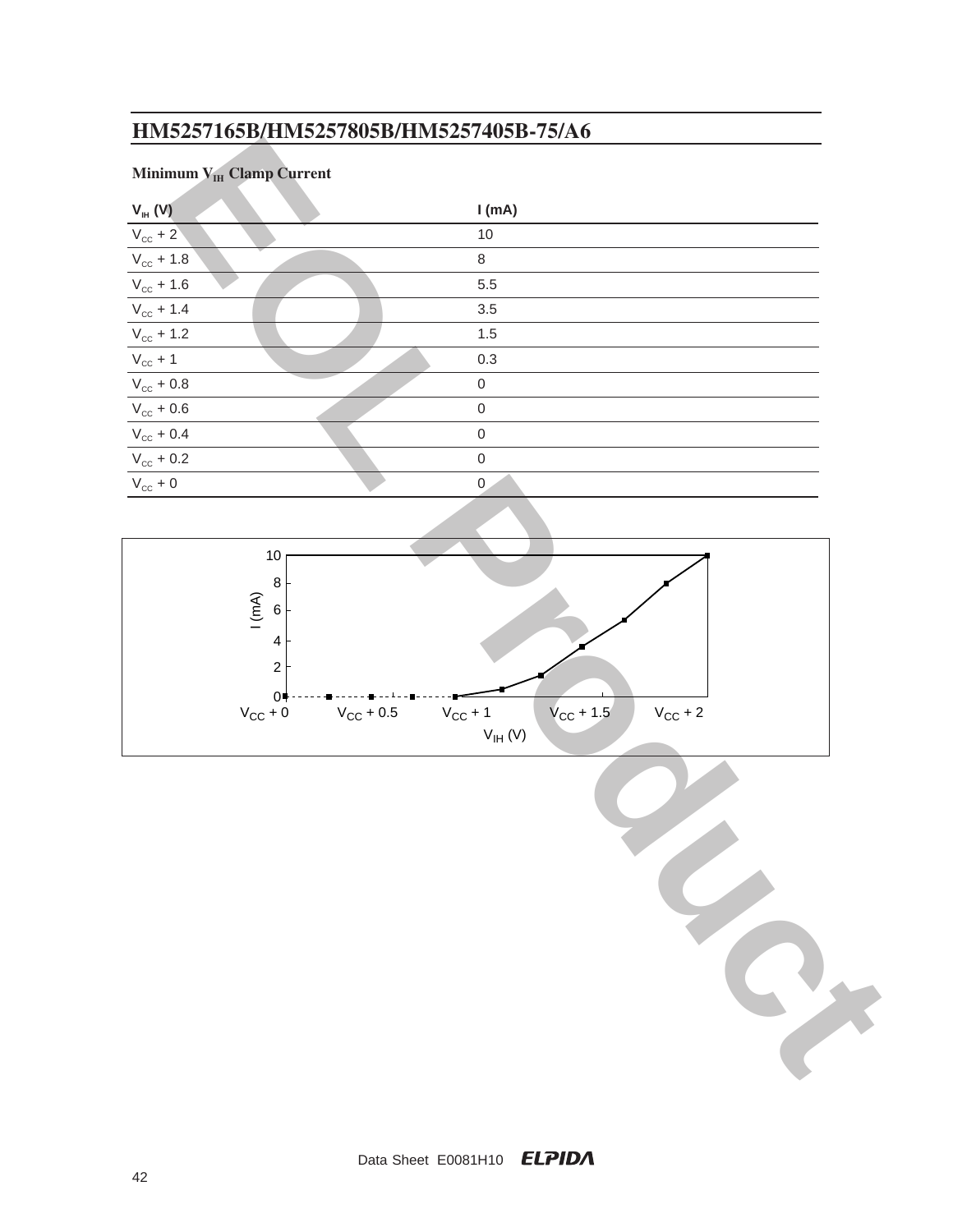# **Minimum V<sub>IH</sub> Clamp Current**

| Minimum VIH Clamp Current |                                                                                 |
|---------------------------|---------------------------------------------------------------------------------|
| $V_{H}$ (V)               | I(mA)                                                                           |
| $V_{cc}$ + 2              | $10$                                                                            |
| $\rm V_{\rm cc}$ + 1.8    | $\,8\,$                                                                         |
| $V_{\rm cc}$ + 1.6        | 5.5                                                                             |
| $V_{\rm cc}$ + 1.4        | 3.5                                                                             |
| $V_{\rm cc}$ + 1.2        | $1.5$                                                                           |
| $V_{cc}$ + 1              | $0.3\,$                                                                         |
| $\rm V_{\rm CC}+0.8$      | $\mathbf 0$                                                                     |
| $\rm V_{\rm cc}$ + 0.6    | $\mathbf 0$                                                                     |
| $\rm V_{\rm CC}$ + 0.4    | $\mathbf 0$                                                                     |
| $\rm V_{\rm cc}$ + 0.2    | $\mathbf 0$                                                                     |
| $\rm V_{cc}$ + 0          | $\mathbf 0$                                                                     |
|                           |                                                                                 |
|                           |                                                                                 |
| $10$                      |                                                                                 |
| $\bf 8$                   |                                                                                 |
| 1(mA)<br>$\,6\,$          |                                                                                 |
| $\overline{\mathbf{4}}$   |                                                                                 |
| $\sqrt{2}$                |                                                                                 |
| $0+$                      |                                                                                 |
| $V_{CC}$ + 0              | $V_{\rm CC}$ + 0.5<br>$V_{\text{CC}}$ + 1.5<br>$V_{\rm CC}$ + 2<br>$V_{CC}$ + 1 |
|                           | $\mathsf{V}_{\mathsf{IH}}\left(\mathsf{V}\right)$                               |
|                           |                                                                                 |
|                           |                                                                                 |
|                           |                                                                                 |
|                           |                                                                                 |
|                           |                                                                                 |
|                           |                                                                                 |
|                           |                                                                                 |
|                           |                                                                                 |
|                           |                                                                                 |
|                           |                                                                                 |
|                           |                                                                                 |
|                           |                                                                                 |
|                           |                                                                                 |



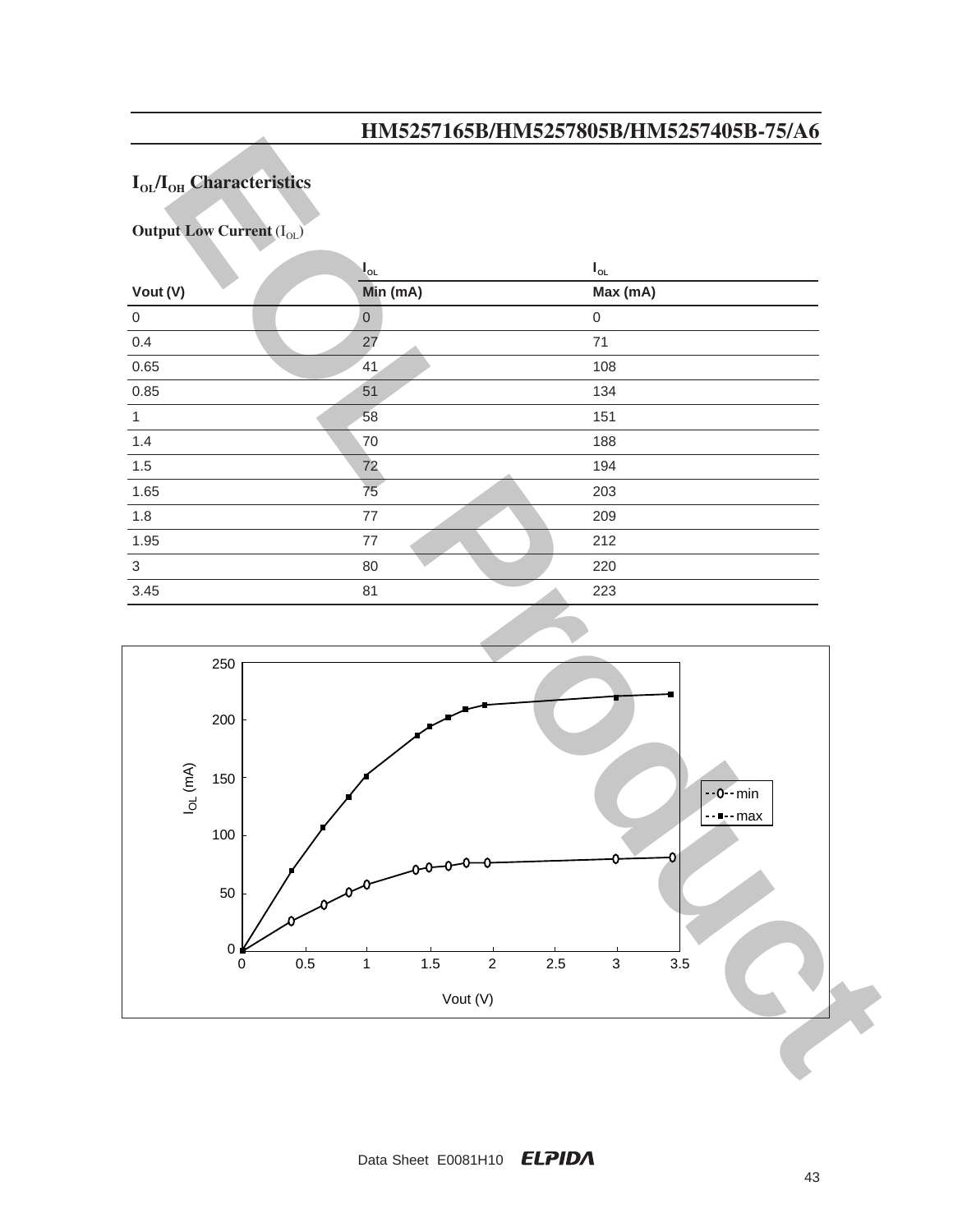# $I<sub>OL</sub>/I<sub>OH</sub>$  Characteristics

**Output Low Current** (I<sub>OL</sub>)

|                | $\mathsf{I}_{\mathsf{ol}}$ | $\boldsymbol{\mathsf{I}}_\mathsf{OL}$ |
|----------------|----------------------------|---------------------------------------|
| Vout (V)       | Min (mA)                   | Max (mA)                              |
| $\overline{0}$ | $\mathbf 0$                | $\mathbf 0$                           |
| 0.4            | 27                         | 71                                    |
| 0.65           | 41                         | 108                                   |
| 0.85           | 51                         | 134                                   |
| $\mathbf{1}$   | 58                         | 151                                   |
| 1.4            | 70                         | 188                                   |
| 1.5            | 72                         | 194                                   |
| 1.65           | 75                         | 203                                   |
| 1.8            | 77                         | 209                                   |
| 1.95           | $77 \,$                    | 212                                   |
| 3              | 80                         | 220                                   |
| 3.45           | 81                         | 223                                   |

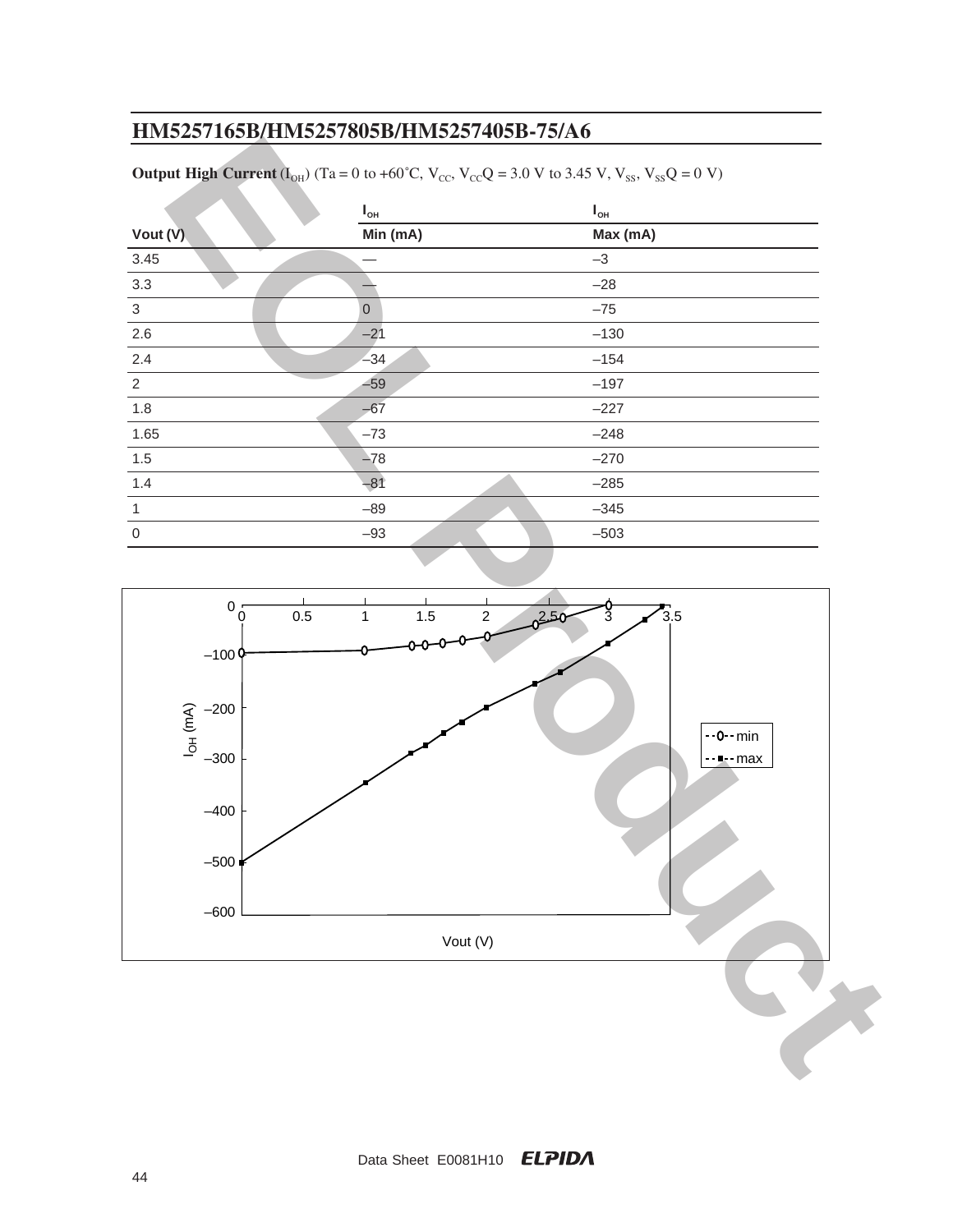|                | $I_{\rm OH}$ | $\mathbf{I}_{\mathsf{OH}}$ |
|----------------|--------------|----------------------------|
| Vout (V)       | Min (mA)     | Max (mA)                   |
| 3.45           |              | $-3$                       |
| 3.3            |              | $-28$                      |
| $\mathbf{3}$   | $\mathbf{0}$ | $-75$                      |
| 2.6            | $-21$        | $-130$                     |
| 2.4            | $-34$        | $-154$                     |
| 2              | $-59$        | $-197$                     |
| 1.8            | $-67$        | $-227$                     |
| 1.65           | $-73$        | $-248$                     |
| 1.5            | $-78$        | $-270$                     |
| 1.4            | $-81$        | $-285$                     |
| $\overline{1}$ | $-89$        | $-345$                     |
| $\mathbf 0$    | $-93$        | $-503$                     |
|                |              |                            |

**Output High Current** ( $I_{OH}$ ) (Ta = 0 to +60<sup>°</sup>C, V<sub>CC</sub>, V<sub>CC</sub>Q = 3.0 V to 3.45 V, V<sub>SS</sub>, V<sub>SS</sub>Q = 0 V)

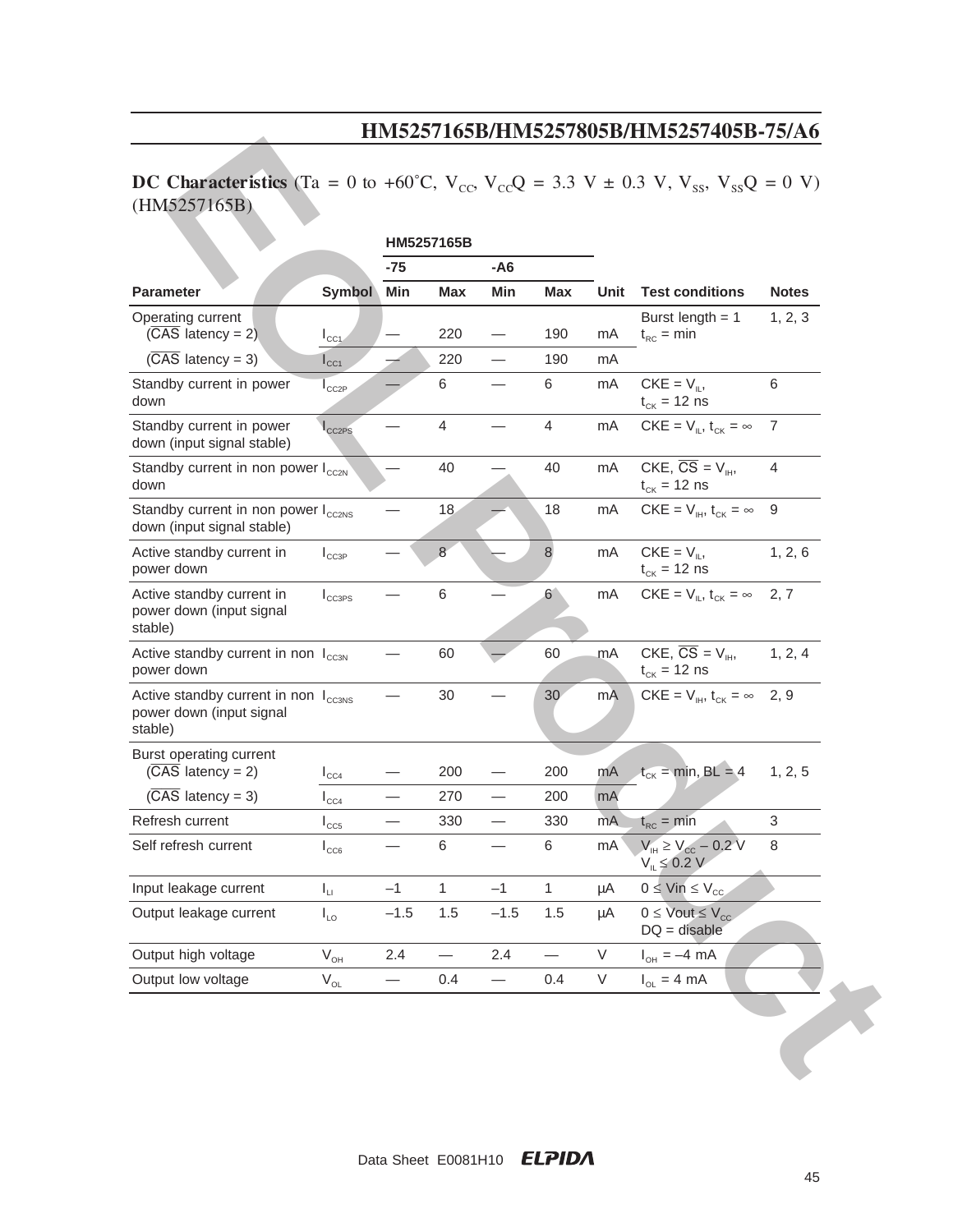# **DC Characteristics** (Ta = 0 to +60°C,  $V_{\text{cc}}$ ,  $V_{\text{cc}}$ ) = 3.3 V ± 0.3 V,  $V_{\text{ss}}$ ,  $V_{\text{ss}}$ ) = 0 V) (HM5257165B)

|                                                                                         |                            | HM5257165B               |                |                          |                          |      |                                                                                 |                |
|-----------------------------------------------------------------------------------------|----------------------------|--------------------------|----------------|--------------------------|--------------------------|------|---------------------------------------------------------------------------------|----------------|
|                                                                                         |                            | $- A6$<br>-75            |                |                          |                          |      |                                                                                 |                |
| <b>Parameter</b>                                                                        | <b>Symbol</b>              | Min                      | <b>Max</b>     | Min                      | <b>Max</b>               | Unit | <b>Test conditions</b>                                                          | <b>Notes</b>   |
| Operating current<br>$(\overline{CAS}$ latency = 2)                                     | $I_{\text{CC1}}$           |                          | 220            |                          | 190                      | mA   | Burst length $= 1$<br>$t_{RC}$ = min                                            | 1, 2, 3        |
| $(\overline{CAS}$ latency = 3)                                                          | $I_{\text{CC1}}$           |                          | 220            |                          | 190                      | mA   |                                                                                 |                |
| Standby current in power<br>down                                                        | $I_{CC2P}$                 |                          | 6              |                          | 6                        | mA   | $CKE = V_{\parallel}$<br>$t_{CK}$ = 12 ns                                       | $\,6$          |
| Standby current in power<br>down (input signal stable)                                  | $I_{CC2PS}$                |                          | $\overline{4}$ |                          | 4                        | mA   | $CKE = V_{\parallel}$ , $t_{CK} = \infty$                                       | 7              |
| Standby current in non power $I_{cc2N}$<br>down                                         |                            |                          | 40             |                          | 40                       | mA   | CKE, $\overline{CS} = V_{\mu\nu}$<br>$t_{CK}$ = 12 ns                           | $\overline{4}$ |
| Standby current in non power I <sub>cc2NS</sub><br>down (input signal stable)           |                            |                          | 18             |                          | 18                       | mA   | $CKE = V_{\text{H}}$ , $t_{CK} = \infty$                                        | 9              |
| Active standby current in<br>power down                                                 | $I_{CC3P}$                 |                          | 8              |                          | 8                        | mA   | $CKE = V_{\parallel}$<br>$t_{CK}$ = 12 ns                                       | 1, 2, 6        |
| Active standby current in<br>power down (input signal<br>stable)                        | $I_{CC3PS}$                |                          | $\,6$          |                          | 6 <sup>1</sup>           | mA   | $CKE = V_{\parallel}$ , $t_{CK} = \infty$                                       | 2, 7           |
| Active standby current in non I <sub>CC3N</sub><br>power down                           |                            |                          | 60             |                          | 60                       | mA   | CKE, $\overline{CS} = V_{\text{H}}$<br>$t_{CK}$ = 12 ns                         | 1, 2, 4        |
| Active standby current in non I <sub>cc3NS</sub><br>power down (input signal<br>stable) |                            |                          | 30             |                          | 30                       | mA   | $CKE = V_{\text{IH}}$ , $t_{CK} = \infty$ 2, 9                                  |                |
| Burst operating current<br>$(\overline{CAS}$ latency = 2)                               | $I_{CC4}$                  |                          | 200            |                          | 200                      | mA   | $t_{CK}$ = min, BL = 4                                                          | 1, 2, 5        |
| $(\overline{CAS}$ latency = 3)                                                          | $I_{CC4}$                  |                          | 270            |                          | 200                      | mA   |                                                                                 |                |
| Refresh current                                                                         | $I_{CC5}$                  |                          | 330            |                          | 330                      | mA   | $t_{RC} = min$                                                                  | 3              |
| Self refresh current                                                                    | $I_{CC6}$                  |                          | 6              |                          | 6                        | mA   | $V_{\text{IH}} \ge V_{\text{CC}} - 0.2 \text{ V}$<br>$V_{\parallel} \leq 0.2 V$ | $\,8\,$        |
| Input leakage current                                                                   | $\mathsf{I}_{\sqcup}$      | $-1$                     | $\mathbf{1}$   | $-1$                     | $\mathbf{1}$             | μA   | $0 \leq$ Vin $\leq$ V <sub>cc</sub>                                             |                |
| Output leakage current                                                                  | $I_{LO}$                   | $-1.5$                   | 1.5            | $-1.5$                   | 1.5                      | μA   | $0 \leq$ Vout $\leq$ V <sub>cc</sub> .<br>$DQ =$ disable                        |                |
| Output high voltage                                                                     | $\mathsf{V}_{\mathsf{OH}}$ | 2.4                      |                | 2.4                      | $\overline{\phantom{0}}$ | V    | $I_{OH} = -4 \text{ mA}$                                                        |                |
| Output low voltage                                                                      | $V_{OL}$                   | $\overline{\phantom{0}}$ | 0.4            | $\overline{\phantom{0}}$ | 0.4                      | V    | $I_{OL} = 4 mA$                                                                 |                |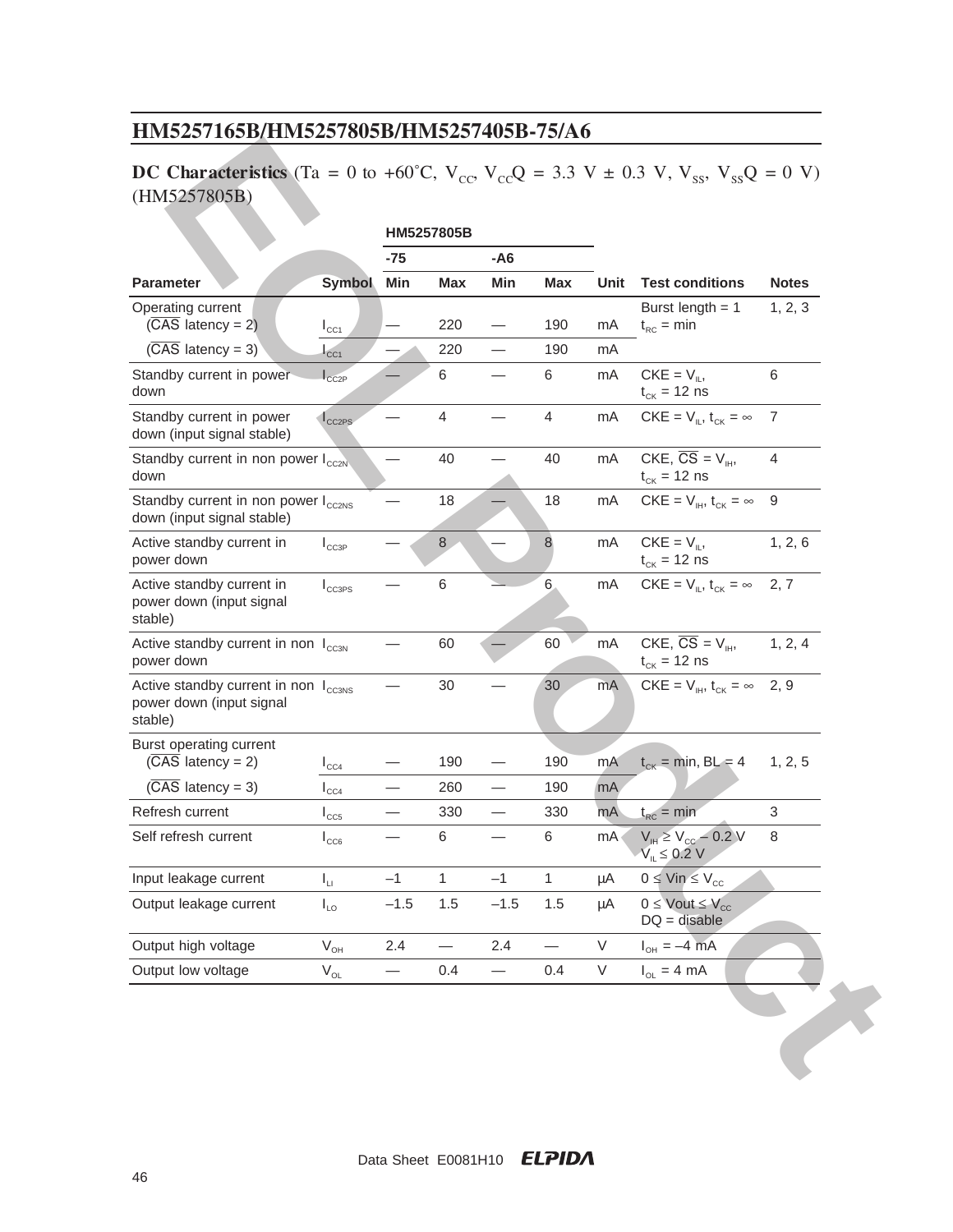# **DC Characteristics** (Ta = 0 to +60°C,  $V_{\text{cc}}$ ,  $V_{\text{cc}}$ ) = 3.3 V ± 0.3 V,  $V_{\text{ss}}$ ,  $V_{\text{ss}}$ ) = 0 V) (HM5257805B)

| (HM5257805B)                                                                            |                              | HM5257805B      |              |                          |              |        |                                                                          |              |
|-----------------------------------------------------------------------------------------|------------------------------|-----------------|--------------|--------------------------|--------------|--------|--------------------------------------------------------------------------|--------------|
|                                                                                         |                              | $-75$<br>$- A6$ |              |                          |              |        |                                                                          |              |
| <b>Parameter</b>                                                                        | <b>Symbol</b>                | Min             | <b>Max</b>   | Min                      | <b>Max</b>   | Unit   | <b>Test conditions</b>                                                   | <b>Notes</b> |
| Operating current<br>$(\overline{CAS}$ latency = 2)                                     | $I_{\text{CC1}}$             |                 | 220          |                          | 190          | mA     | Burst length $= 1$<br>$t_{RC}$ = min                                     | 1, 2, 3      |
| $(\overline{CAS}$ latency = 3)                                                          | C <sub>C1</sub>              |                 | 220          |                          | 190          | mA     |                                                                          |              |
| Standby current in power-<br>down                                                       | $\mathsf{I}_{\texttt{CC2P}}$ |                 | 6            |                          | 6            | mA     | $CKE = V_{\parallel}$<br>$t_{CK}$ = 12 ns                                | 6            |
| Standby current in power<br>down (input signal stable)                                  | $I_{CC2PS}$                  |                 | 4            |                          | 4            | mA     | $CKE = V_{\parallel}$ , $t_{CK} = \infty$                                | 7            |
| Standby current in non power $I_{cc2N}$<br>down                                         |                              |                 | 40           |                          | 40           | mA     | CKE, $\overline{CS} = V_{\text{H}}$<br>$t_{CK}$ = 12 ns                  | 4            |
| Standby current in non power I <sub>cc2NS</sub><br>down (input signal stable)           |                              |                 | 18           |                          | 18           | mA     | $CKE = V_{\text{IH}}$ , $t_{CK} = \infty$                                | 9            |
| Active standby current in<br>power down                                                 | $I_{CC3P}$                   |                 | $\,8\,$      |                          | 8            | mA     | $CKE = V_{\parallel}$<br>$t_{CK}$ = 12 ns                                | 1, 2, 6      |
| Active standby current in<br>power down (input signal<br>stable)                        | $I_{CC3PS}$                  |                 | 6            |                          | $6 -$        | mA     | $CKE = V_{\parallel}$ , $t_{CK} = \infty$                                | 2, 7         |
| Active standby current in non I <sub>cc3N</sub><br>power down                           |                              |                 | 60           |                          | 60           | mA     | CKE, $\overline{CS} = V_{\text{H}}$<br>$t_{CK}$ = 12 ns                  | 1, 2, 4      |
| Active standby current in non I <sub>cc3NS</sub><br>power down (input signal<br>stable) |                              |                 | 30           |                          | 30           | mA     | $CKE = V_{\text{H}}$ , $t_{\text{CK}} = \infty$                          | 2, 9         |
| Burst operating current<br>$(\overline{CAS}$ latency = 2)                               | $I_{CC4}$                    |                 | 190          |                          | 190          | mA     | $t_{CK}$ = min, BL = 4                                                   | 1, 2, 5      |
| $(\overline{CAS}$ latency = 3)                                                          | $\mathsf{I}_{\texttt{CC4}}$  |                 | 260          |                          | 190          | mA     |                                                                          |              |
| Refresh current                                                                         | $I_{CC5}$                    |                 | 330          |                          | 330          | mA     | $t_{RC}$ = min                                                           | 3            |
| Self refresh current                                                                    | $I_{CC6}$                    |                 | $\,6$        |                          | 6            | mA     | $V_{\text{IH}} \geq V_{\text{CC}} - 0.2 V$<br>$V_{\parallel} \leq 0.2$ V | $\,8\,$      |
| Input leakage current                                                                   | $I_{\rm H}$                  | $-1$            | $\mathbf{1}$ | $-1$                     | $\mathbf{1}$ | μA     | $0 \leq$ Vin $\leq$ V <sub>cc</sub>                                      |              |
| Output leakage current                                                                  | $I_{LO}$                     | $-1.5$          | 1.5          | $-1.5$                   | 1.5          | μA     | $0 \le$ Vout $\le$ V <sub>cc</sub><br>$DQ = \overline{d}$ isable         |              |
| Output high voltage                                                                     | $\mathsf{V}_{\mathsf{OH}}$   | 2.4             |              | 2.4                      |              | V      | $I_{OH} = -4 \text{ mA}$                                                 |              |
| Output low voltage                                                                      | $\mathsf{V}_{\mathsf{OL}}$   |                 | 0.4          | $\overline{\phantom{0}}$ | 0.4          | $\vee$ | $I_{OL} = 4 mA$                                                          |              |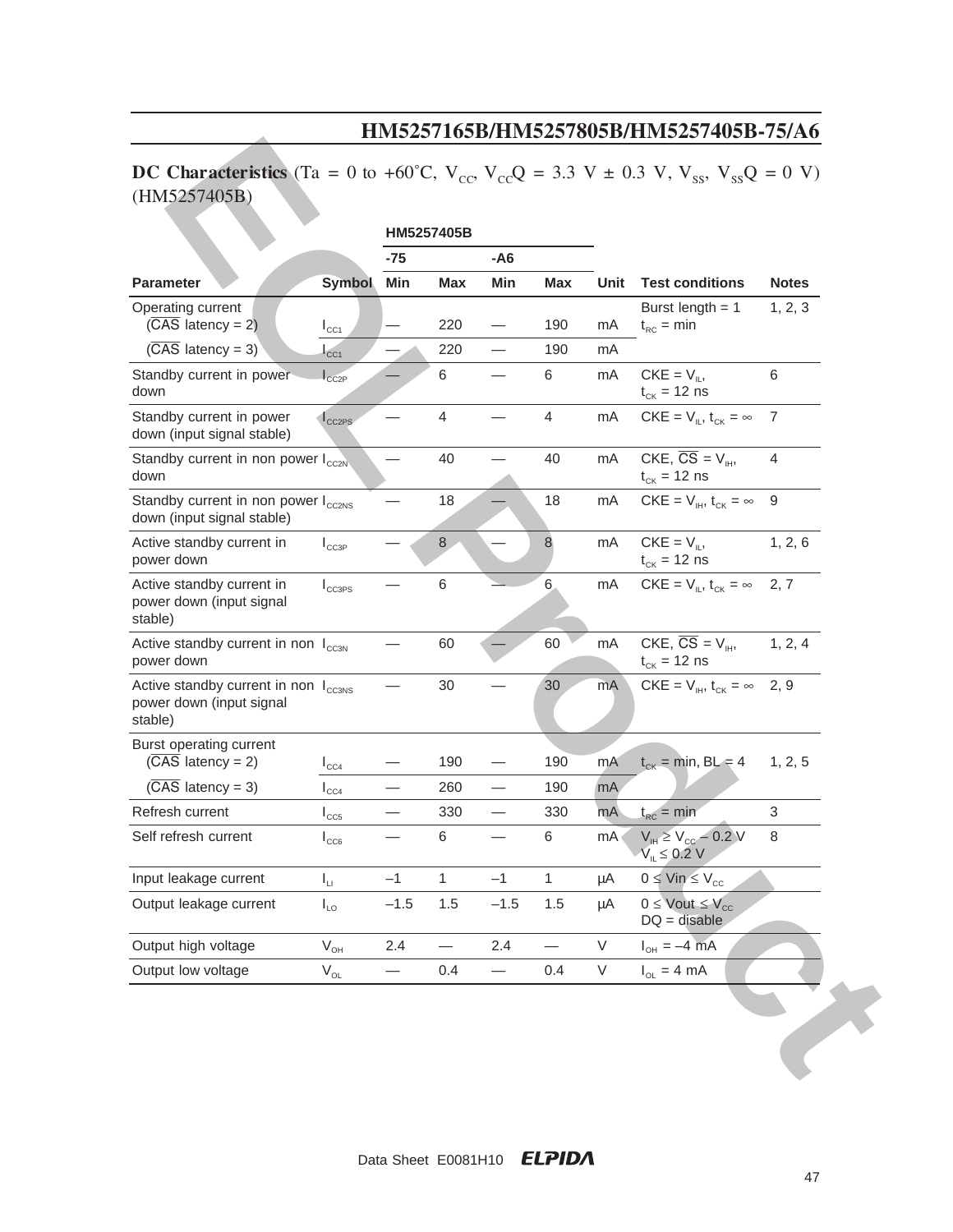# **DC Characteristics** (Ta = 0 to +60°C,  $V_{\text{cc}}$ ,  $V_{\text{cc}}$ ) = 3.3 V ± 0.3 V,  $V_{\text{ss}}$ ,  $V_{\text{ss}}$ ) = 0 V) (HM5257405B)

| DC Characteristics (Ta = 0 to +60°C, $V_{cc}$ , $V_{cc}$ ) = 3.3 V ± 0.3 V, $V_{ss}$ , $V_{ss}$ ) = 0 V)<br>(HM5257405B) |                              |                 |                |                          |              |      |                                                                        |                |
|--------------------------------------------------------------------------------------------------------------------------|------------------------------|-----------------|----------------|--------------------------|--------------|------|------------------------------------------------------------------------|----------------|
|                                                                                                                          |                              | HM5257405B      |                |                          |              |      |                                                                        |                |
|                                                                                                                          |                              | $-75$<br>$- A6$ |                |                          |              |      |                                                                        |                |
| <b>Parameter</b>                                                                                                         | <b>Symbol</b>                | Min             | <b>Max</b>     | Min                      | <b>Max</b>   | Unit | <b>Test conditions</b>                                                 | <b>Notes</b>   |
| Operating current<br>$(\overline{CAS}$ latency = 2)                                                                      | $I_{\text{CC1}}$             |                 | 220            |                          | 190          | mA   | Burst length $= 1$<br>$t_{RC}$ = min                                   | 1, 2, 3        |
| $(\overline{CAS}$ latency = 3)                                                                                           | CC <sub>1</sub>              |                 | 220            |                          | 190          | mA   |                                                                        |                |
| Standby current in power<br>down                                                                                         | $\mathsf{I}_{\texttt{CC2P}}$ |                 | 6              |                          | 6            | mA   | $CKE = V_{\parallel}$<br>$t_{CK}$ = 12 ns                              | 6              |
| Standby current in power<br>down (input signal stable)                                                                   | $1_{CC2PS}$                  |                 | $\overline{4}$ |                          | 4            | mA   | $CKE = V_{\parallel}$ , $t_{CK} = \infty$                              | 7              |
| Standby current in non power I <sub>cc2N</sub><br>down                                                                   |                              |                 | 40             |                          | 40           | mA   | CKE, $\overline{CS} = V_{\text{H}}$<br>$t_{CK}$ = 12 ns                | $\overline{4}$ |
| Standby current in non power I <sub>cc2NS</sub><br>down (input signal stable)                                            |                              |                 | 18             |                          | 18           | mA   | $CKE = V_{\text{IH}}$ , $t_{CK} = \infty$                              | 9              |
| Active standby current in<br>power down                                                                                  | $I_{CC3P}$                   |                 | $\,8\,$        |                          | $\,8\,$      | mA   | $CKE = V_{\parallel}$<br>$t_{CK}$ = 12 ns                              | 1, 2, 6        |
| Active standby current in<br>power down (input signal<br>stable)                                                         | $I_{CC3PS}$                  |                 | $\,6$          |                          | 6            | mA   | $CKE = V_{\text{II}}$ , $t_{CK} = \infty$ 2, 7                         |                |
| Active standby current in non I <sub>CC3N</sub><br>power down                                                            |                              |                 | 60             |                          | 60           | mA   | CKE, $\overline{CS} = V_{\text{H}}$<br>$t_{CK}$ = 12 ns                | 1, 2, 4        |
| Active standby current in non I <sub>cc3NS</sub><br>power down (input signal<br>stable)                                  |                              |                 | 30             |                          | 30           | mA   | $CKE = V_{\text{IH}}$ , $t_{CK} = \infty$ 2, 9                         |                |
| Burst operating current                                                                                                  |                              |                 |                |                          |              |      |                                                                        |                |
| $(\overline{CAS}$ latency = 2)                                                                                           | $I_{CC4}$                    |                 | 190            |                          | 190          | mA   | $t_{CK}$ = min, BL = 4                                                 | 1, 2, 5        |
| $(\overline{CAS}$ latency = 3)                                                                                           | $\mathsf{I}_{\texttt{CC4}}$  |                 | 260            |                          | 190          | mA   |                                                                        |                |
| Refresh current                                                                                                          | $I_{CC5}$                    |                 | 330            |                          | 330          | mA   | $t_{RC}$ = min                                                         | 3              |
| Self refresh current                                                                                                     | $I_{CC6}$                    |                 | $\,6$          |                          | 6            | mA   | $V_{\text{H}} \ge V_{\text{cc}} - 0.2 V$<br>$V_{\parallel} \leq 0.2$ V | 8              |
| Input leakage current                                                                                                    | $I_{\rm LI}$                 | $-1$            | $\mathbf{1}$   | $-1$                     | $\mathbf{1}$ | μA   | $0 \leq$ Vin $\leq$ V <sub>cc</sub>                                    |                |
| Output leakage current                                                                                                   | $I_{LO}$                     | $-1.5$          | 1.5            | $-1.5$                   | 1.5          | μA   | $0 \le$ Vout $\le$ V <sub>cc</sub><br>$DQ = disable$                   |                |
| Output high voltage                                                                                                      | $\mathsf{V}_{\mathsf{OH}}$   | 2.4             |                | 2.4                      |              | V    | $I_{OH} = -4 \text{ mA}$                                               |                |
| Output low voltage                                                                                                       | $V_{OL}$                     |                 | 0.4            | $\overline{\phantom{0}}$ | 0.4          | V    | $I_{OL} = 4 mA$                                                        |                |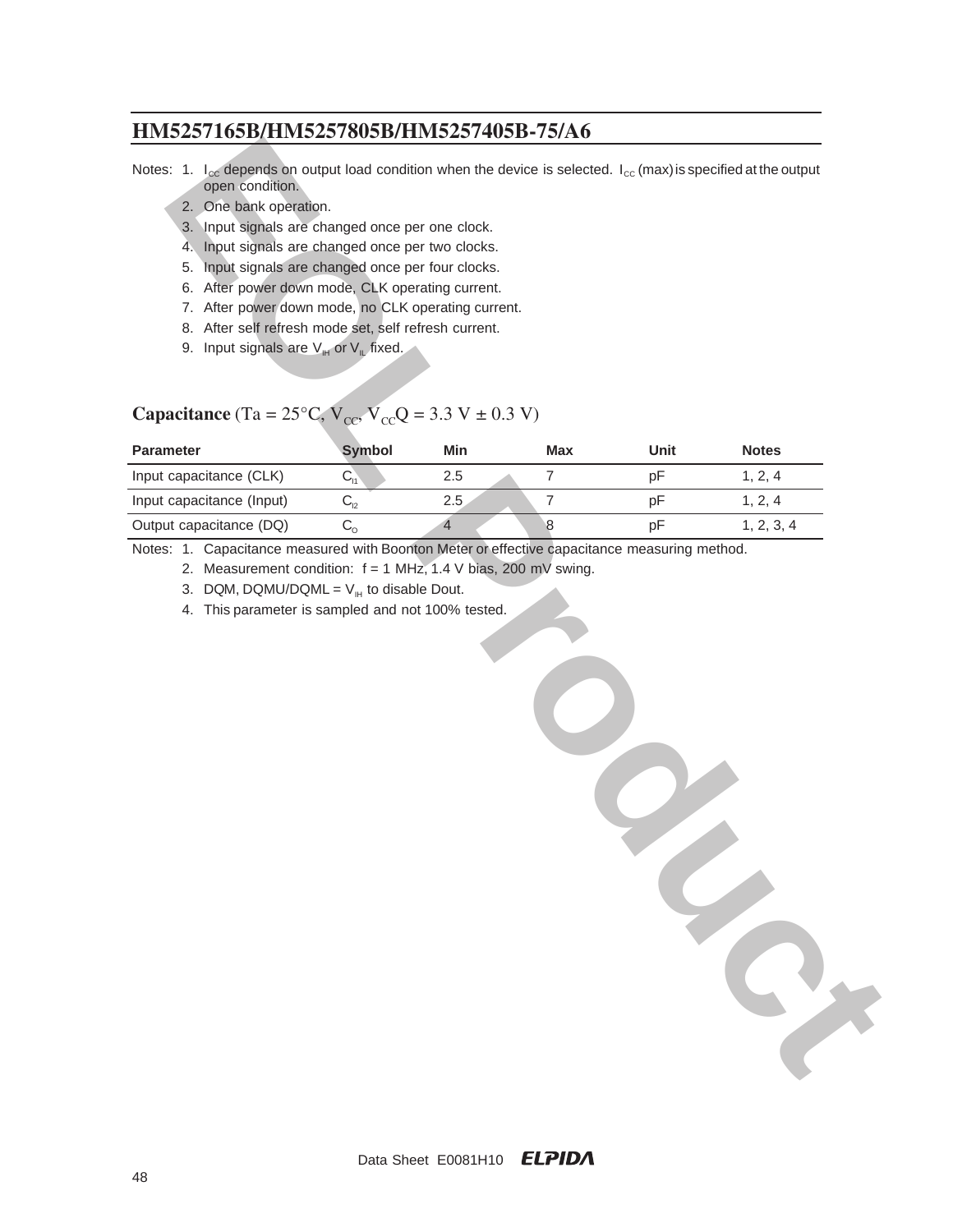- 2. One bank operation.
- 3. Input signals are changed once per one clock.
- 4. Input signals are changed once per two clocks.
- 5. Input signals are changed once per four clocks.
- 6. After power down mode, CLK operating current.
- 7. After power down mode, no CLK operating current.
- 8. After self refresh mode set, self refresh current.
- 9. Input signals are  $V_{\text{IH}}$  or  $V_{\text{IL}}$  fixed.

# **Capacitance** (Ta =  $25^{\circ}$ C,  $V_{cc}$ ,  $V_{cc}$ Q = 3.3 V ± 0.3 V)

| open condition.<br>2. One bank operation.<br>3. Input signals are changed once per one clock.<br>Input signals are changed once per two clocks.<br>4.<br>Input signals are changed once per four clocks.<br>5.<br>6. After power down mode, CLK operating current.<br>7. After power down mode, no CLK operating current.<br>8. After self refresh mode set, self refresh current.<br>9. Input signals are $V_{\text{H}}$ or $V_{\text{L}}$ fixed.<br><b>Capacitance</b> (Ta = 25°C, $V_{cc}$ , $\overline{V}_{cc}$ ) = 3.3 V ± 0.3 V) |               |     |                  |      | Notes: 1. $I_{\text{ce}}$ depends on output load condition when the device is selected. $I_{\text{ce}}$ (max) is specified at the output |
|----------------------------------------------------------------------------------------------------------------------------------------------------------------------------------------------------------------------------------------------------------------------------------------------------------------------------------------------------------------------------------------------------------------------------------------------------------------------------------------------------------------------------------------|---------------|-----|------------------|------|------------------------------------------------------------------------------------------------------------------------------------------|
| <b>Parameter</b>                                                                                                                                                                                                                                                                                                                                                                                                                                                                                                                       | <b>Symbol</b> | Min | Max              | Unit | <b>Notes</b>                                                                                                                             |
| Input capacitance (CLK)                                                                                                                                                                                                                                                                                                                                                                                                                                                                                                                | $C_{11}$      | 2.5 | $\overline{7}$   | pF   | 1, 2, 4                                                                                                                                  |
| Input capacitance (Input)                                                                                                                                                                                                                                                                                                                                                                                                                                                                                                              | $C_{12}$      | 2.5 | $\boldsymbol{7}$ | pF   | 1, 2, 4                                                                                                                                  |
| Output capacitance (DQ)                                                                                                                                                                                                                                                                                                                                                                                                                                                                                                                | $C_{\rm o}$   | 4   | 8                | pF   | 1, 2, 3, 4                                                                                                                               |
|                                                                                                                                                                                                                                                                                                                                                                                                                                                                                                                                        |               |     |                  |      |                                                                                                                                          |

Data Sheet E0081H10 ELPIDA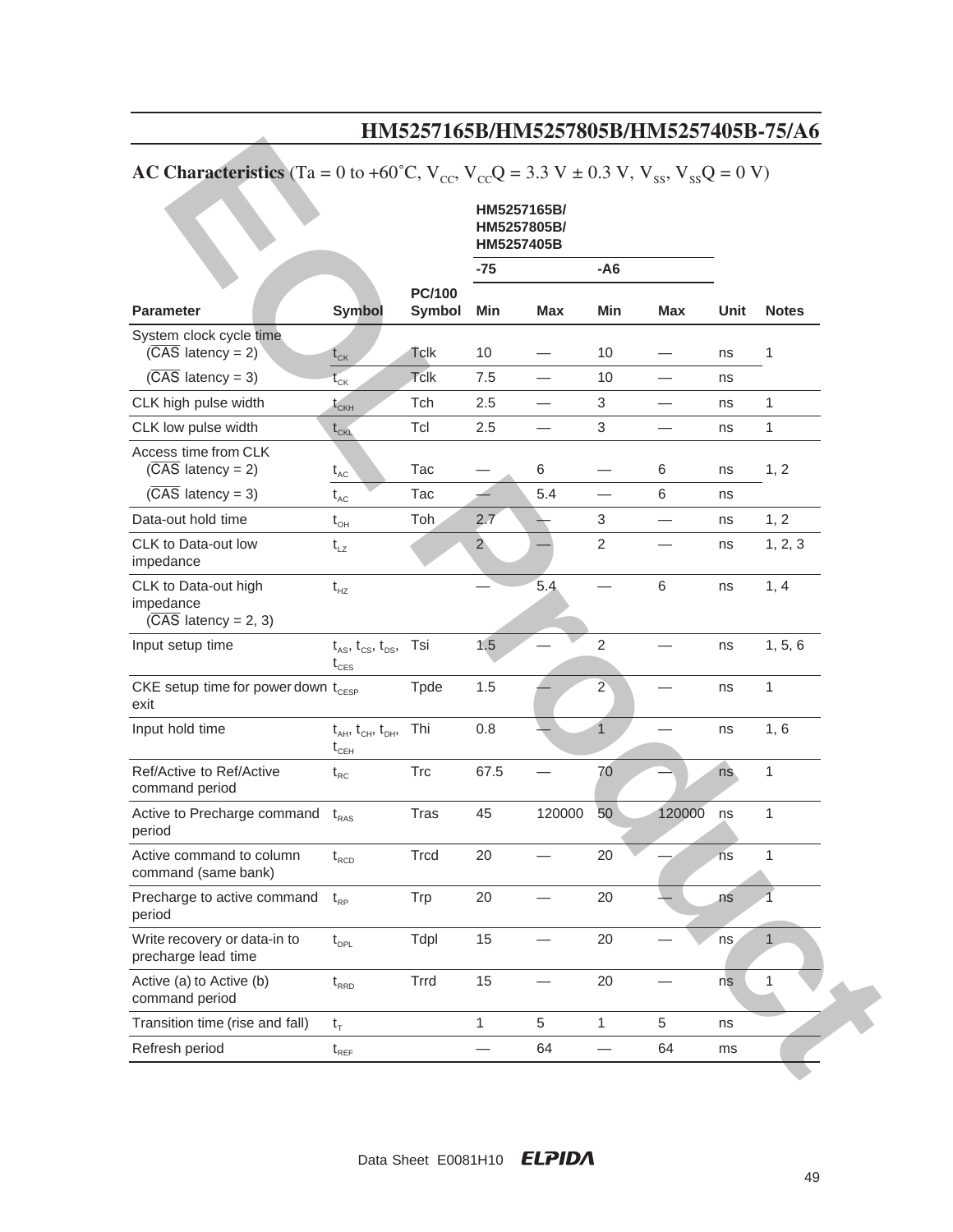|                                                                                                                | 111110201100D11111110201000D1111110201700D 101110    |                                |                                          |            |                |                          |      |              |
|----------------------------------------------------------------------------------------------------------------|------------------------------------------------------|--------------------------------|------------------------------------------|------------|----------------|--------------------------|------|--------------|
| <b>AC Characteristics</b> (Ta = 0 to +60°C, $V_{cc}$ , $V_{cc}$ Q = 3.3 V ± 0.3 V, $V_{ss}$ , $V_{ss}Q$ = 0 V) |                                                      |                                |                                          |            |                |                          |      |              |
|                                                                                                                |                                                      |                                | HM5257165B/<br>HM5257805B/<br>HM5257405B |            |                |                          |      |              |
|                                                                                                                |                                                      |                                | $-75$                                    |            | $- A6$         |                          |      |              |
| <b>Parameter</b>                                                                                               | <b>Symbol</b>                                        | <b>PC/100</b><br><b>Symbol</b> | Min                                      | <b>Max</b> | Min            | <b>Max</b>               | Unit | <b>Notes</b> |
| System clock cycle time<br>$(\overline{CAS}$ latency = 2)                                                      | $t_{cK}$                                             | Tclk                           | 10                                       |            | 10             |                          | ns   | 1            |
| $(\overline{CAS}$ latency = 3)                                                                                 | $t_{CK}$                                             | Tclk                           | 7.5                                      |            | 10             |                          | ns   |              |
| CLK high pulse width                                                                                           | $t_{CKH}$                                            | Tch                            | 2.5                                      |            | 3              |                          | ns   | 1            |
| CLK low pulse width                                                                                            | $\mathfrak{t}_{\text{\tiny CKL}}$                    | Tcl                            | 2.5                                      |            | 3              |                          | ns   | 1            |
| Access time from CLK<br>$(\overline{CAS}$ latency = 2)                                                         | $t_{AC}$                                             | Tac                            |                                          | 6          |                | 6                        | ns   | 1, 2         |
| $(\overline{CAS}$ latency = 3)                                                                                 | $t_{AC}$                                             | Tac                            |                                          | 5.4        | —              | 6                        | ns   |              |
| Data-out hold time                                                                                             | $t_{\text{OH}}$                                      | Toh                            | 2.7                                      |            | 3              | $\overline{\phantom{0}}$ | ns   | 1, 2         |
| CLK to Data-out low<br>impedance                                                                               | $t_{LZ}$                                             |                                | $\overline{2}$                           |            | $\overline{c}$ |                          | ns   | 1, 2, 3      |
| CLK to Data-out high<br>impedance<br>$(\overline{CAS}$ latency = 2, 3)                                         | $t_{HZ}$                                             |                                |                                          | 5.4        |                | 6                        | ns   | 1, 4         |
| Input setup time                                                                                               | $t_{AS}$ , $t_{CS}$ , $t_{DS}$ ,<br>$t_{\text{CES}}$ | Tsi                            | 1,5                                      |            | $\overline{2}$ |                          | ns   | 1, 5, 6      |
| CKE setup time for power down t <sub>CESP</sub><br>exit                                                        |                                                      | Tpde                           | 1.5                                      |            | $\overline{2}$ |                          | ns   | $\mathbf{1}$ |
| Input hold time                                                                                                | $t_{AH}$ , $t_{CH}$ , $t_{DH}$ ,<br>$t_{\text{CEH}}$ | Thi                            | 0.8                                      |            | $\overline{1}$ |                          | ns   | 1,6          |
| Ref/Active to Ref/Active<br>command period                                                                     | $t_{RC}$                                             | <b>Trc</b>                     | 67.5                                     |            | 70             |                          | ns   | $\mathbf{1}$ |
| Active to Precharge command t <sub>RAS</sub><br>period                                                         |                                                      | <b>Tras</b>                    | 45                                       | 120000     | 50             | 120000                   | ns   | $\mathbf 1$  |
| Active command to column<br>command (same bank)                                                                | $t_{\text{\tiny RCD}}$                               | Trcd                           | 20                                       |            | 20             |                          | ns   | $\mathbf{1}$ |
| Precharge to active command<br>period                                                                          | $t_{\rm RP}$                                         | Trp                            | 20                                       |            | 20             |                          | ns   |              |
| Write recovery or data-in to<br>precharge lead time                                                            | $t_{\text{\tiny{DPL}}}$                              | Tdpl                           | 15                                       |            | 20             |                          | ns   | $\mathbf{1}$ |
| Active (a) to Active (b)<br>command period                                                                     | $t_{\rm RRD}$                                        | Trrd                           | 15                                       |            | 20             |                          | ns   | $\mathbf{1}$ |
| Transition time (rise and fall)                                                                                | $t_T$                                                |                                | $\mathbf{1}$                             | 5          | 1              | 5                        | ns   |              |
| Refresh period                                                                                                 | $\mathfrak{t}_{\scriptscriptstyle\mathsf{REF}}$      |                                |                                          | 64         |                | 64                       | ms   |              |

# **AC Characteristics** (Ta = 0 to +60°C,  $V_{CC}$ ,  $V_{CC}$ Q = 3.3 V ± 0.3 V,  $V_{SS}$ ,  $V_{SS}$ Q = 0 V)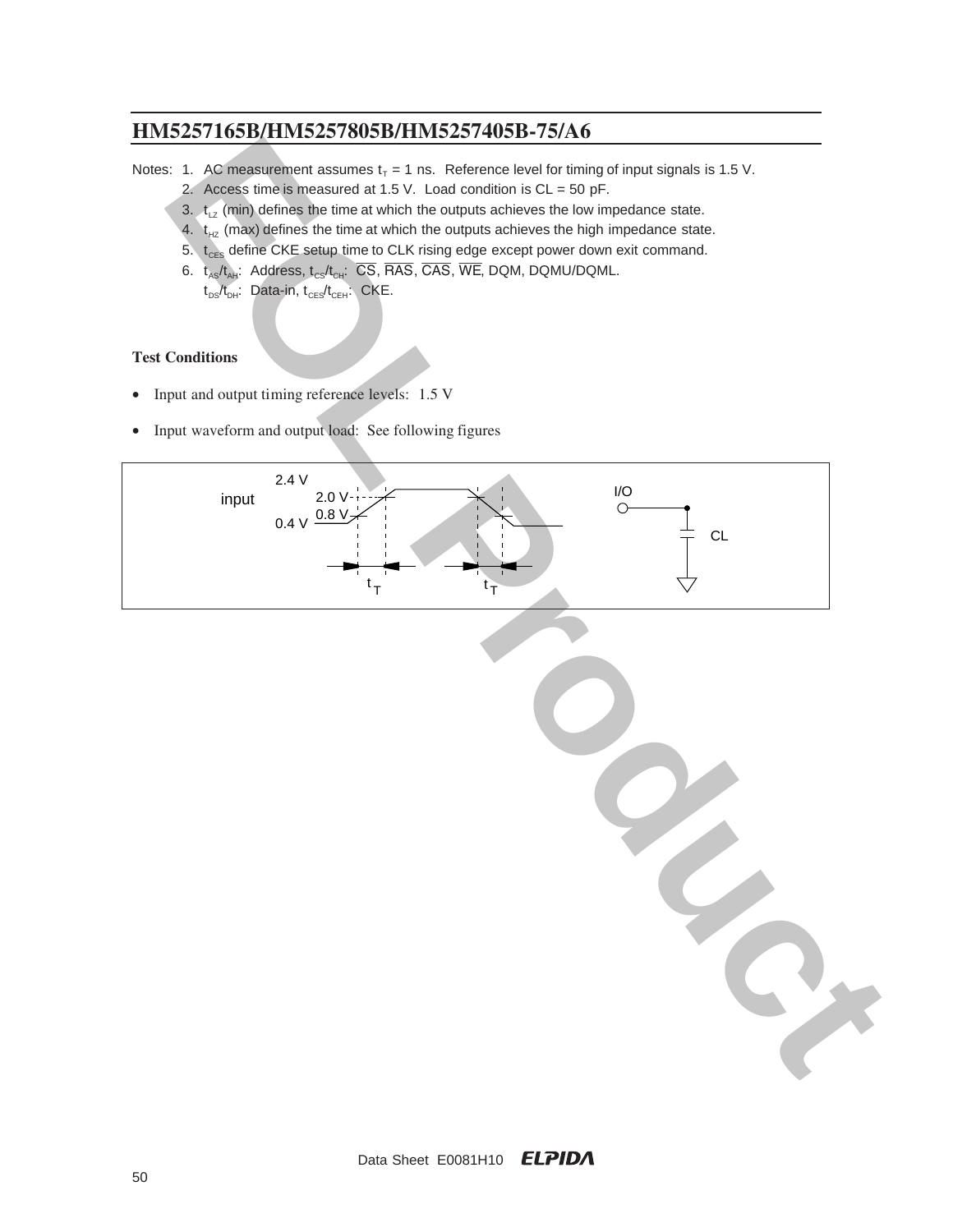Notes: 1. AC measurement assumes  $t<sub>T</sub> = 1$  ns. Reference level for timing of input signals is 1.5 V.

- 2. Access time is measured at 1.5 V. Load condition is CL = 50 pF.
- 3.  $t_{1z}$  (min) defines the time at which the outputs achieves the low impedance state.
- 4.  $t_{HZ}$  (max) defines the time at which the outputs achieves the high impedance state.
- 5.  $t_{\text{CES}}$  define CKE setup time to CLK rising edge except power down exit command.
- 6.  $t_{AS}/t_{AH}$ : Address,  $t_{CS}/t_{CH}$ :  $\overline{CS}$ ,  $\overline{RAS}$ ,  $\overline{CAS}$ ,  $\overline{W}\overline{E}$ , DQM, DQMU/DQML.  $t_{DS}/t_{DH}$ : Data-in,  $t_{CES}/t_{CEH}$ : CKE.

### **Test Conditions**

- Input and output timing reference levels: 1.5 V
- Input waveform and output load: See following figures

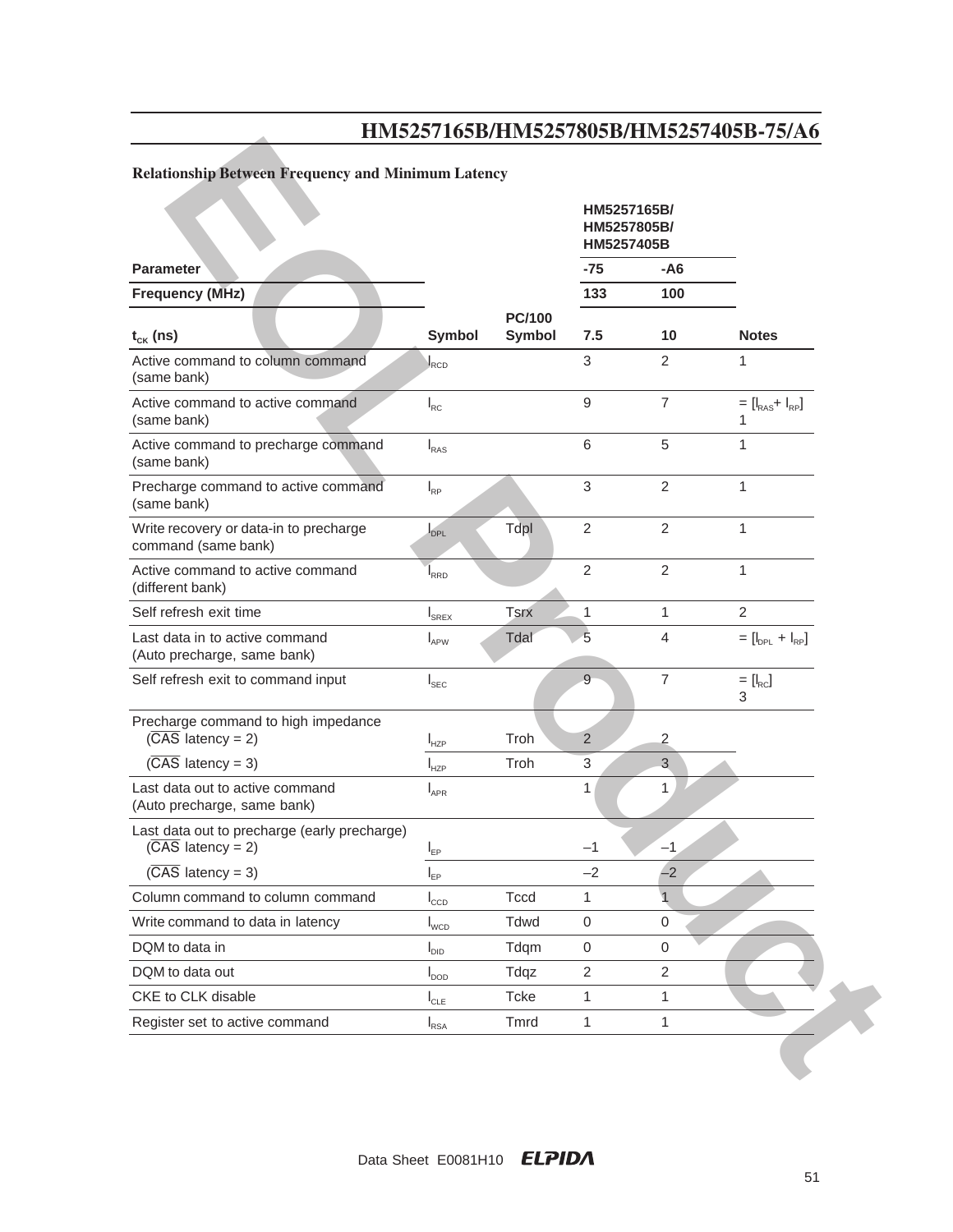# **Relationship Between Frequency and Minimum Latency**

|                                                                                |                  |                                | HM5257165B/<br>HM5257805B/<br>HM5257405B |                  |                        |
|--------------------------------------------------------------------------------|------------------|--------------------------------|------------------------------------------|------------------|------------------------|
| <b>Parameter</b>                                                               |                  |                                | $-75$                                    | -A6              |                        |
| <b>Frequency (MHz)</b>                                                         |                  |                                | 133                                      | 100              |                        |
| $t_{CK}$ (ns)                                                                  | <b>Symbol</b>    | <b>PC/100</b><br><b>Symbol</b> | 7.5                                      | 10               | <b>Notes</b>           |
| Active command to column command<br>(same bank)                                | $I_{\text{RCD}}$ |                                | 3                                        | $\overline{2}$   | 1                      |
| Active command to active command<br>(same bank)                                | $I_{RC}$         |                                | $\boldsymbol{9}$                         | $\overline{7}$   | $= [I_{RAS} + I_{RP}]$ |
| Active command to precharge command<br>(same bank)                             | I <sub>RAS</sub> |                                | 6                                        | 5                | 1                      |
| Precharge command to active command<br>(same bank)                             | $I_{RP}$         |                                | $\sqrt{3}$                               | $\overline{2}$   | $\mathbf{1}$           |
| Write recovery or data-in to precharge<br>command (same bank)                  | DPL              | Tdpl                           | $\overline{2}$                           | $\overline{2}$   | $\mathbf{1}$           |
| Active command to active command<br>(different bank)                           | I <sub>RRD</sub> |                                | $\overline{2}$                           | $\overline{2}$   | $\mathbf{1}$           |
| Self refresh exit time                                                         | $I_{SREX}$       | <b>Tsrx</b>                    | 1                                        | 1                | $\overline{2}$         |
| Last data in to active command<br>(Auto precharge, same bank)                  | $I_{APW}$        | Tdal                           | 5                                        | 4                | $=[I_{DPL} + I_{RP}]$  |
| Self refresh exit to command input                                             | $I_{\text{SEC}}$ |                                | $\overline{9}$                           | $\overline{7}$   | $=[I_{\rm RC}]$<br>3   |
| Precharge command to high impedance<br>$(\overline{CAS}$ latency = 2)          | $I_{HZP}$        | Troh                           | 2                                        | 2                |                        |
| $(\overline{CAS}$ latency = 3)                                                 | $I_{HZP}$        | Troh                           | 3                                        | 3                |                        |
| Last data out to active command<br>(Auto precharge, same bank)                 | $I_{APR}$        |                                | 1                                        | 1                |                        |
| Last data out to precharge (early precharge)<br>$(\overline{CAS}$ latency = 2) | $I_{EP}$         |                                | $-1$                                     | $-1$             |                        |
| $(\overline{CAS}$ latency = 3)                                                 | $I_{EP}$         |                                | $-2$                                     | $-2$             |                        |
| Column command to column command                                               | $I_{CCD}$        | <b>Tccd</b>                    | 1                                        | $\mathbf 1$      |                        |
| Write command to data in latency                                               | $I_{WCD}$        | Tdwd                           | 0                                        | 0                |                        |
| DQM to data in                                                                 | $I_{\text{DID}}$ | Tdqm                           | $\mathbf 0$                              | $\boldsymbol{0}$ |                        |
| DQM to data out                                                                | $I_{\text{DOD}}$ | Tdqz                           | $\overline{2}$                           | $\overline{2}$   |                        |
| CKE to CLK disable                                                             | $I_{CLE}$        | Tcke                           | 1                                        | 1                |                        |
| Register set to active command                                                 | $I_{RSA}$        | Tmrd                           | 1                                        | 1                |                        |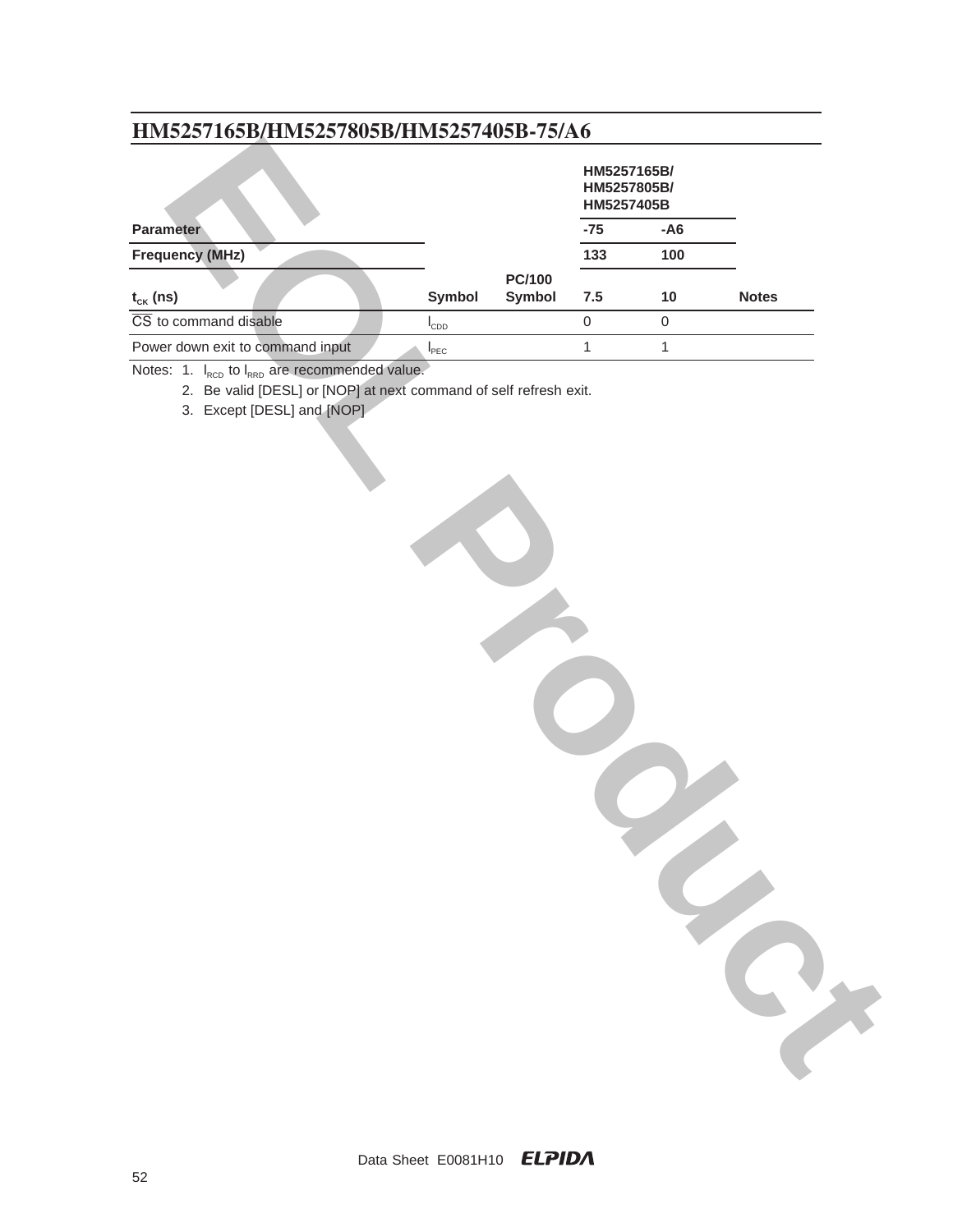|                                                       |                    |                         | HM5257165B/<br>HM5257805B/<br>HM5257405B |              |              |
|-------------------------------------------------------|--------------------|-------------------------|------------------------------------------|--------------|--------------|
| <b>Parameter</b>                                      |                    |                         | $-75$                                    | $- A6$       |              |
| <b>Frequency (MHz)</b>                                |                    |                         | 133                                      | 100          |              |
| $\mathfrak{t}_{\scriptscriptstyle{\mathsf{CK}}}$ (ns) | Symbol             | <b>PC/100</b><br>Symbol | $7.5$                                    | $10$         | <b>Notes</b> |
| $\overline{\text{CS}}$ to command disable             | $I_{CDD}$          |                         | $\mathbf 0$                              | $\mathbf 0$  |              |
| Power down exit to command input                      | $I_{\texttt{PEC}}$ |                         | $\mathbf{1}$                             | $\mathbf{1}$ |              |
| 3. Except [DESL] and [NOP]                            |                    |                         |                                          |              |              |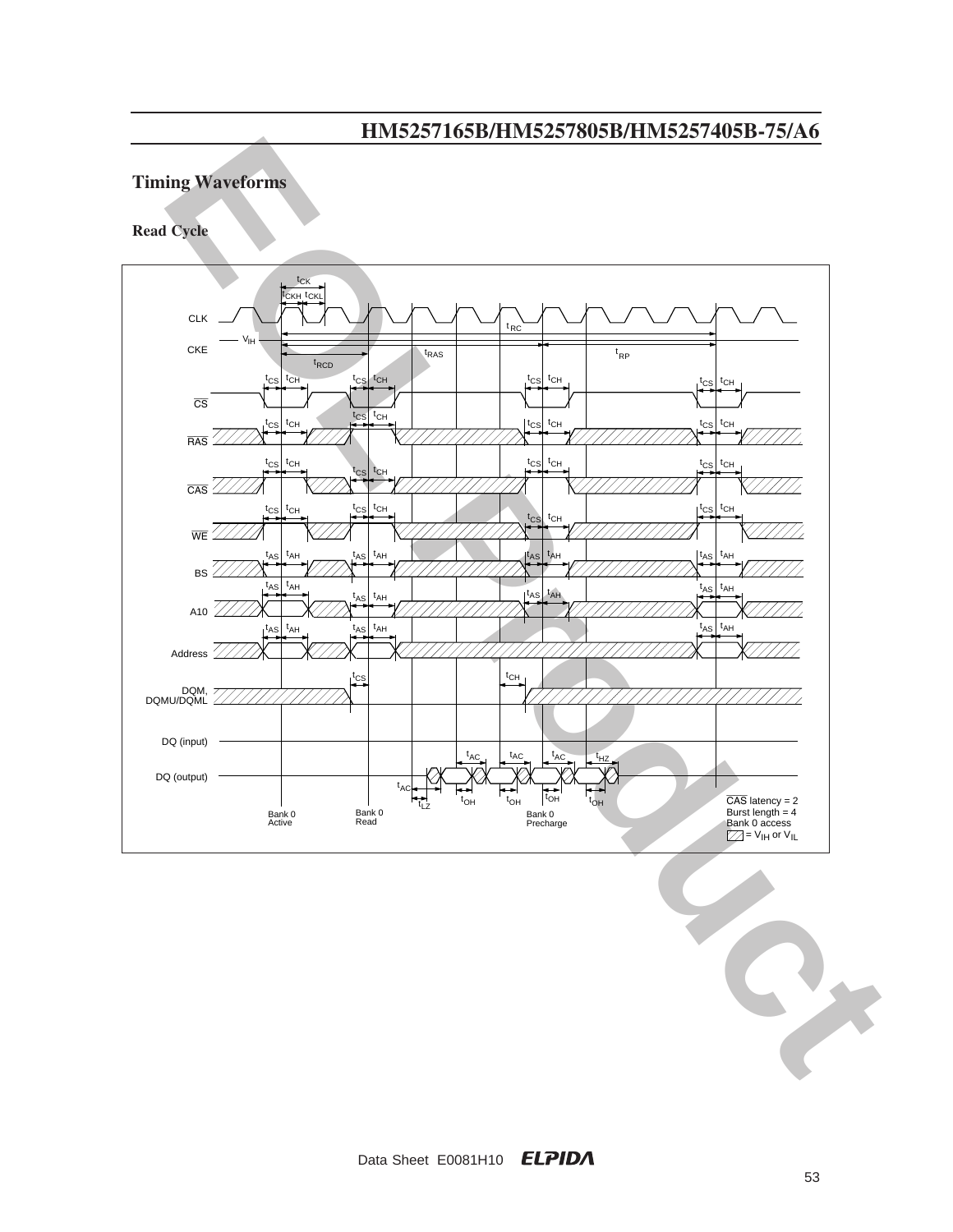## **Timing Waveforms**

**Read Cycle**

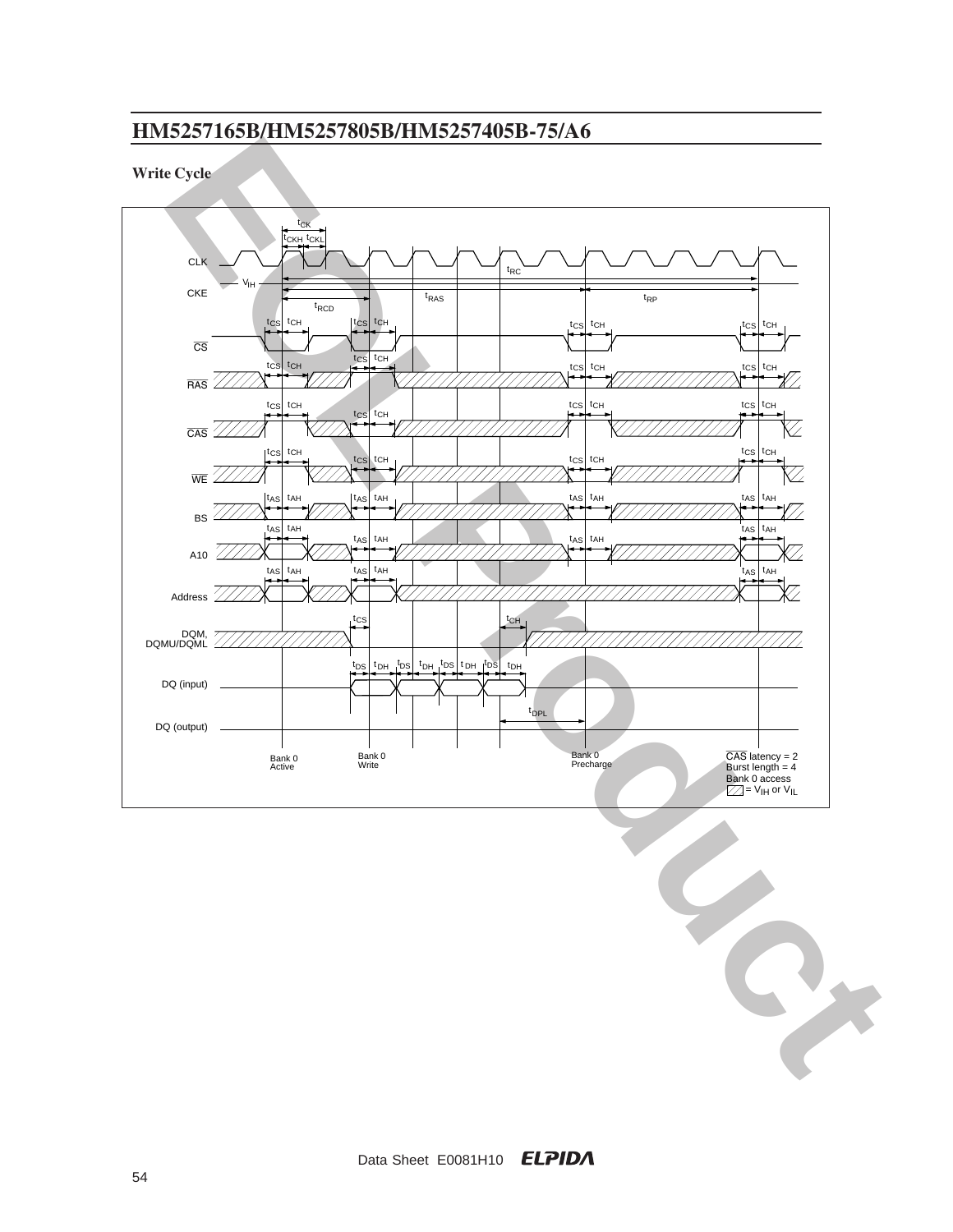### **Write Cycle**

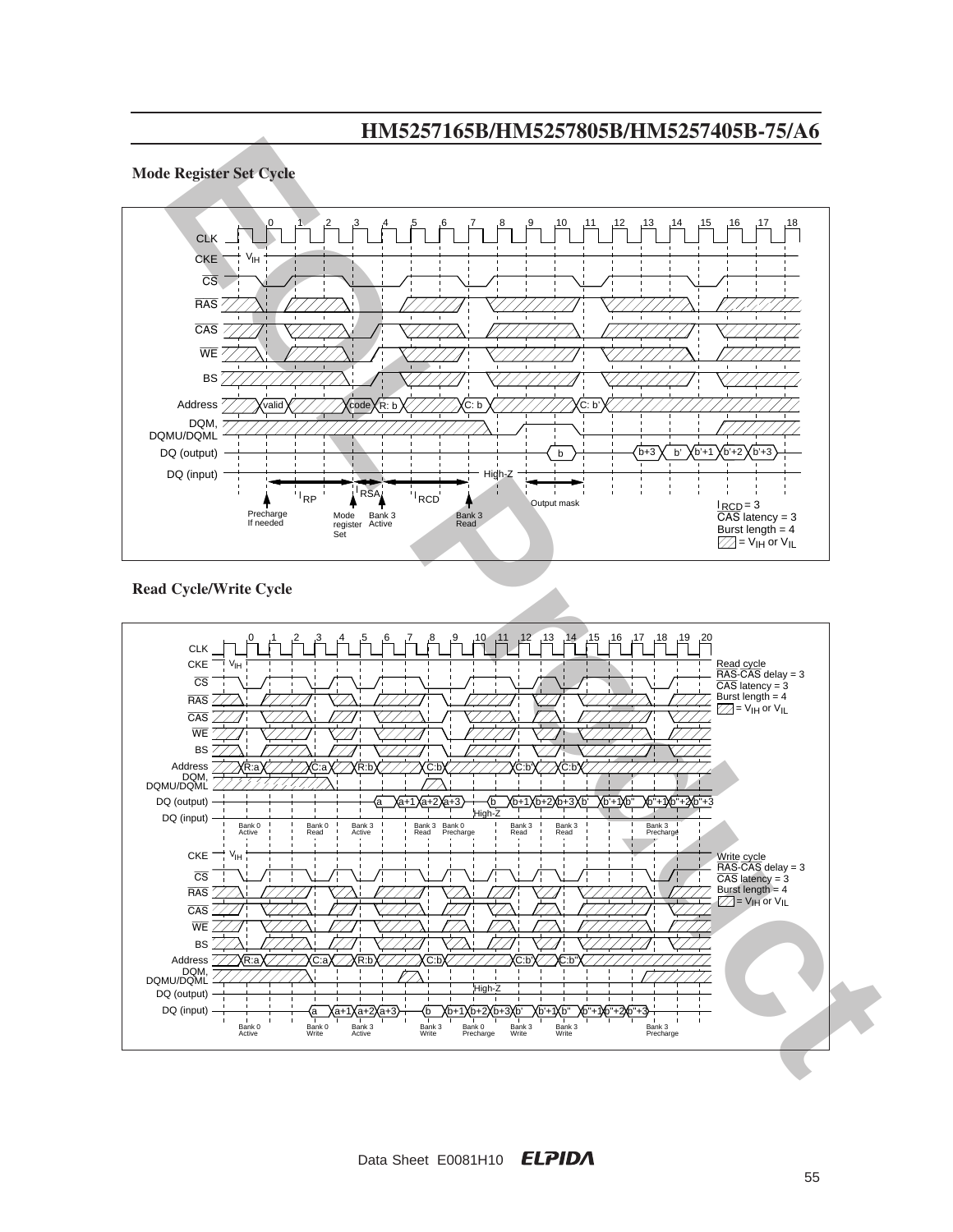

### **Read Cycle/Write Cycle**

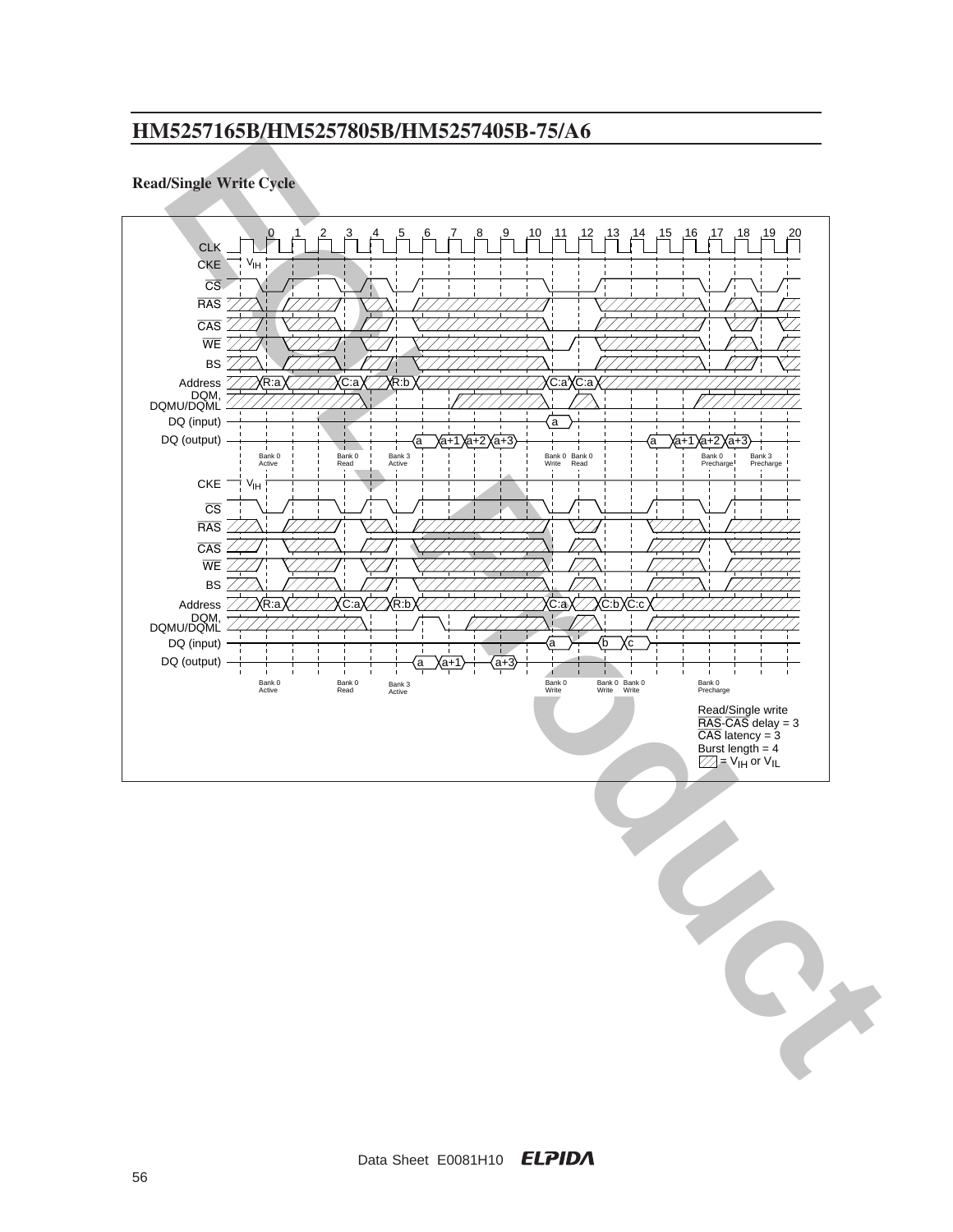### **Read/Single Write Cycle**

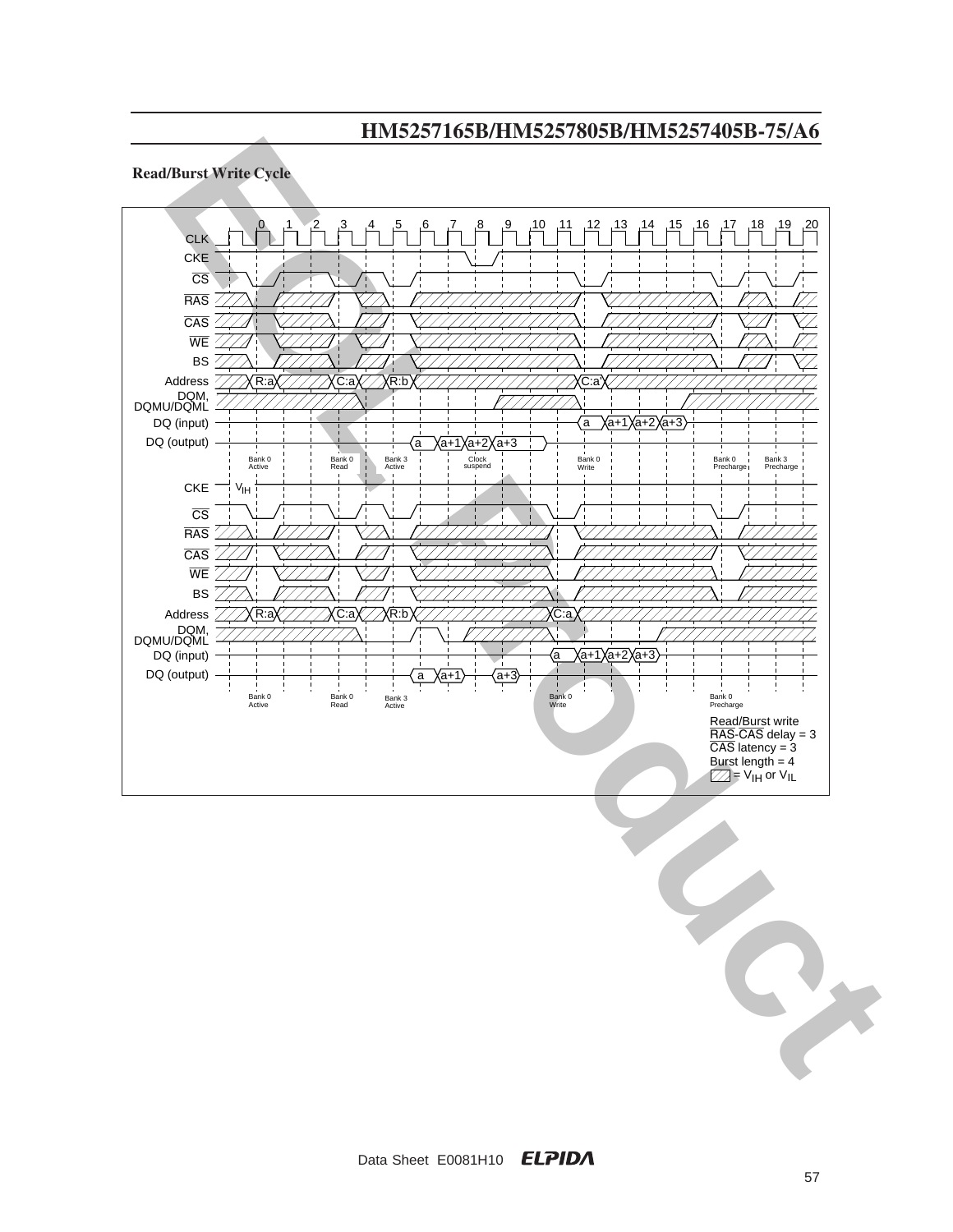#### **Read/Burst Write Cycle**

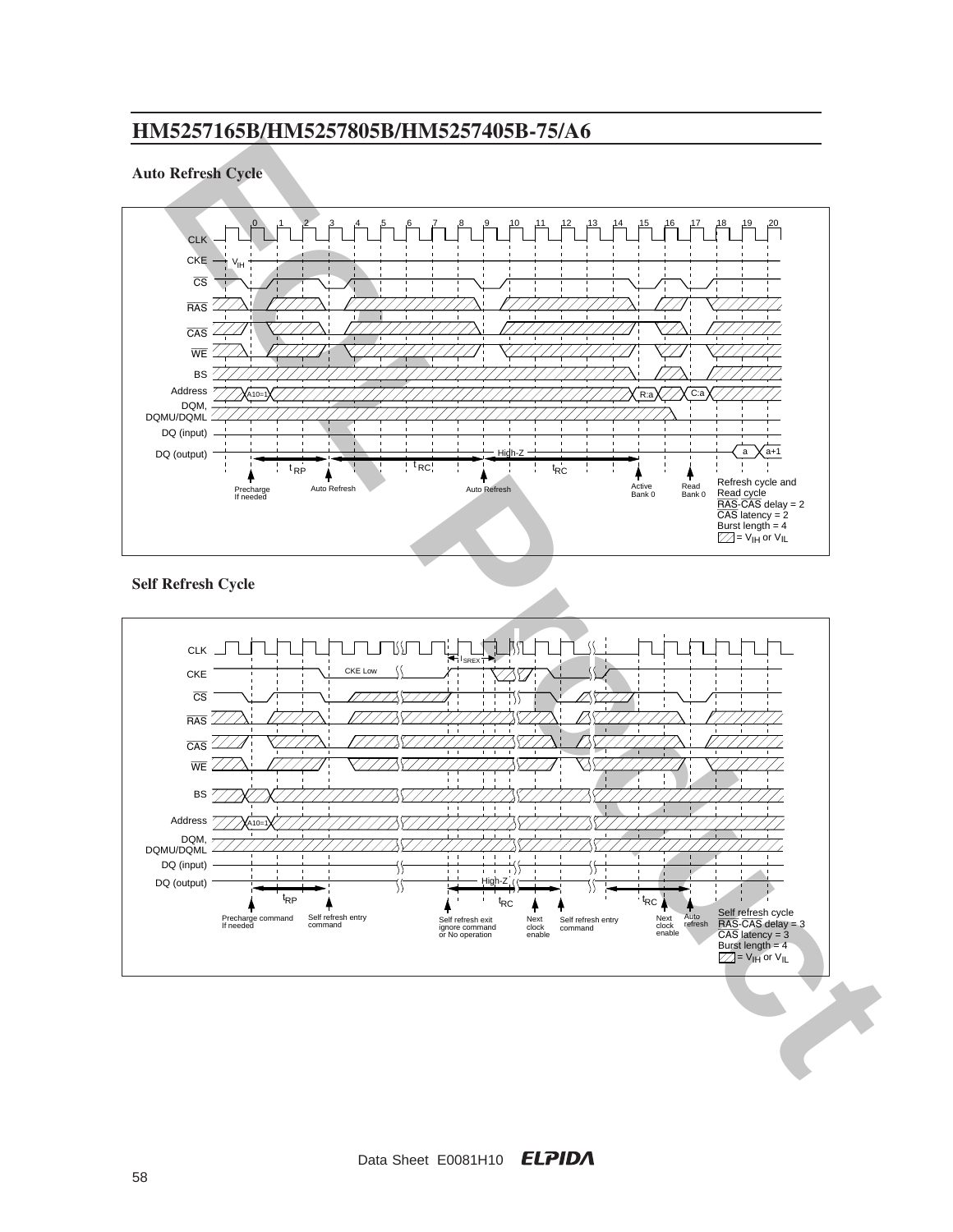#### **Auto Refresh Cycle**



### **Self Refresh Cycle**

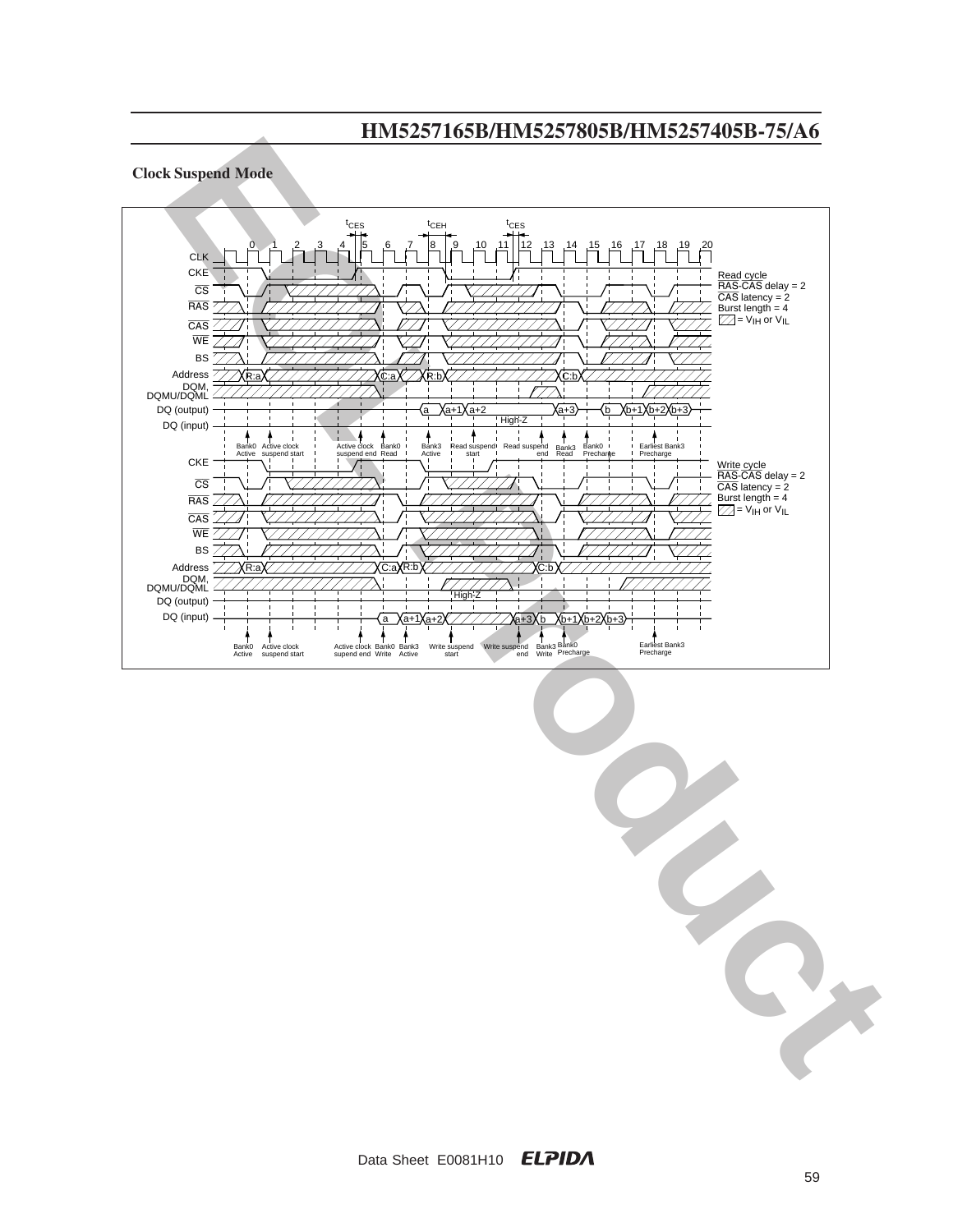

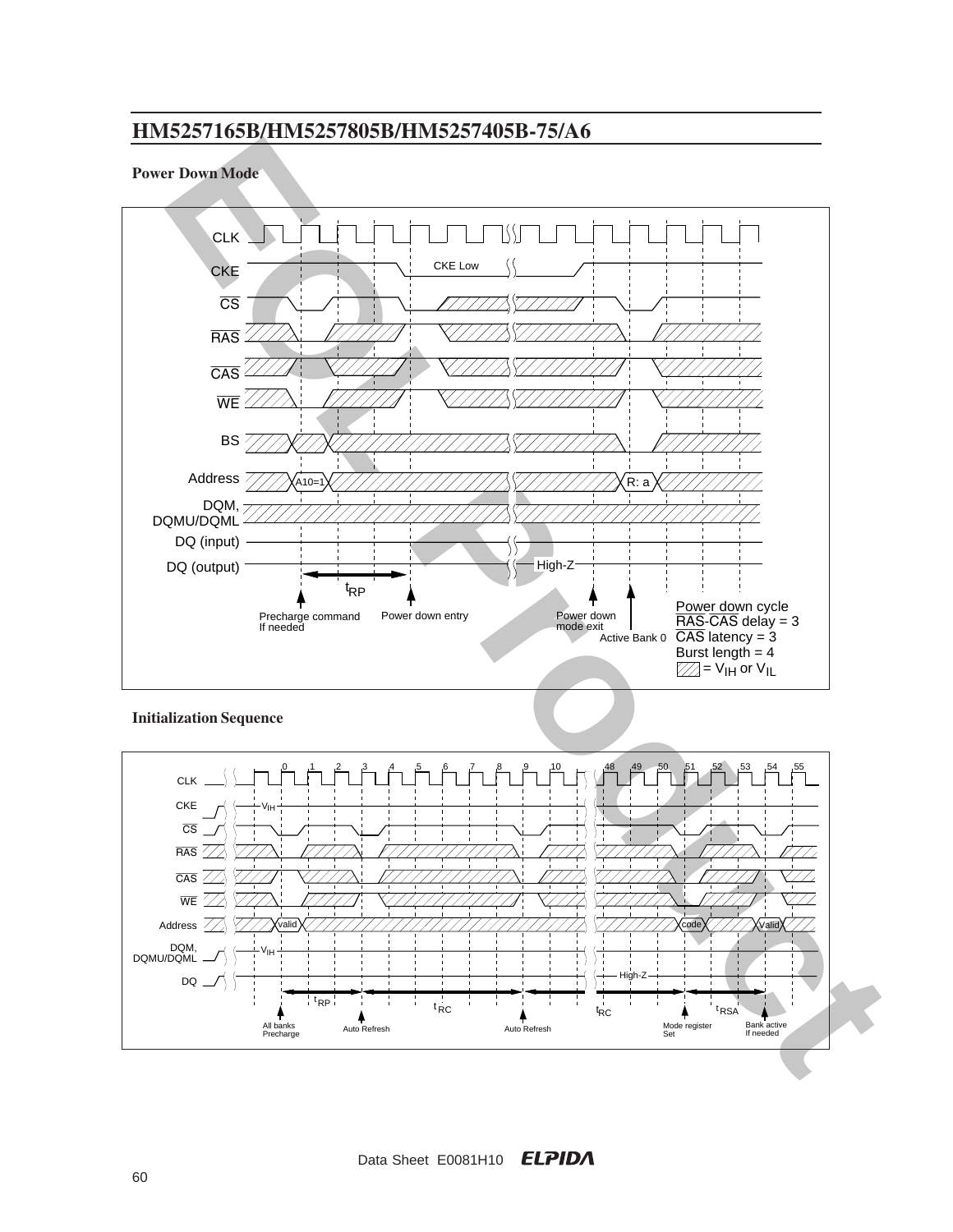#### **Power Down Mode**



**Initialization Sequence**

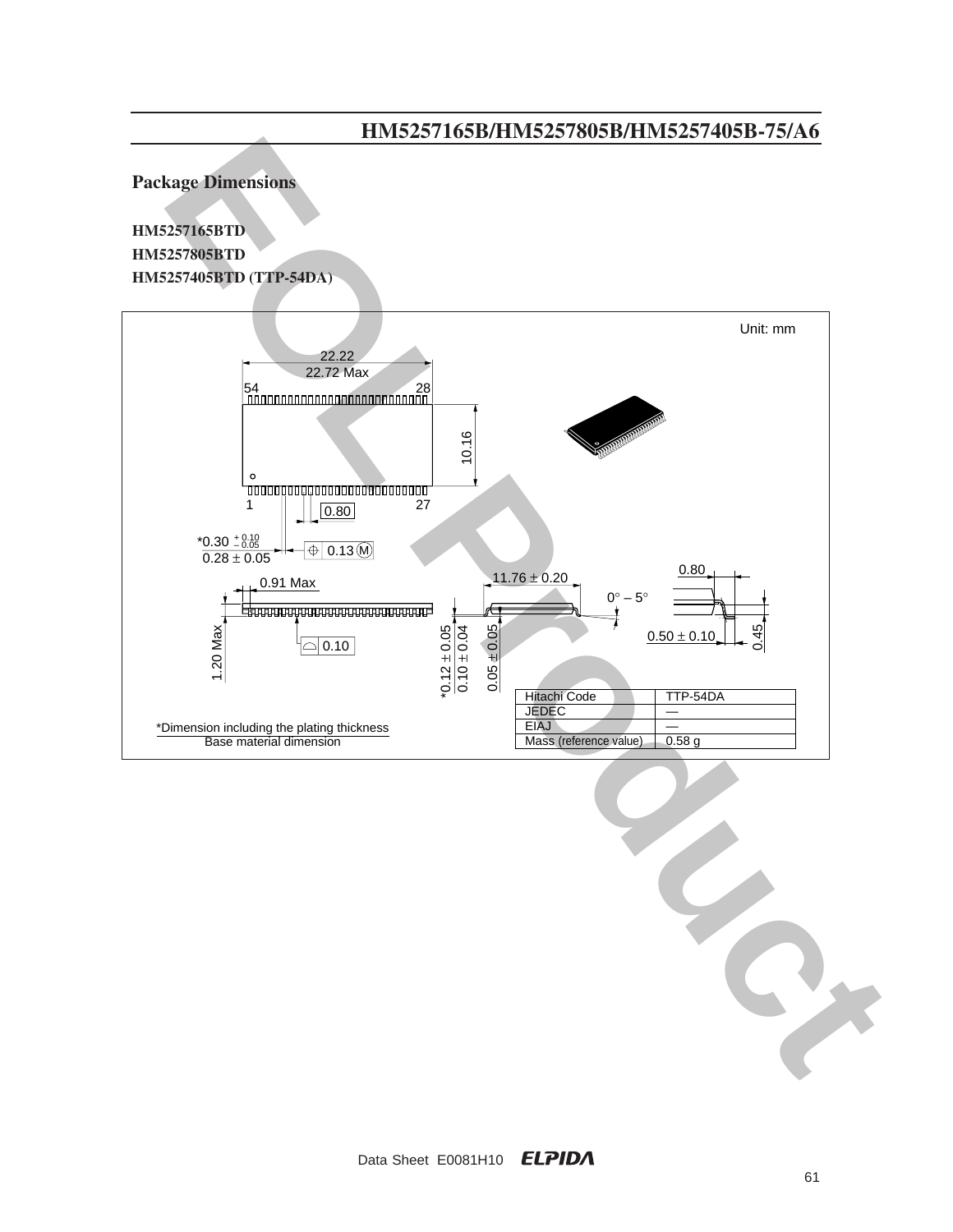**Package Dimensions**

**HM5257165BTD HM5257805BTD HM5257405BTD (TTP-54DA)**